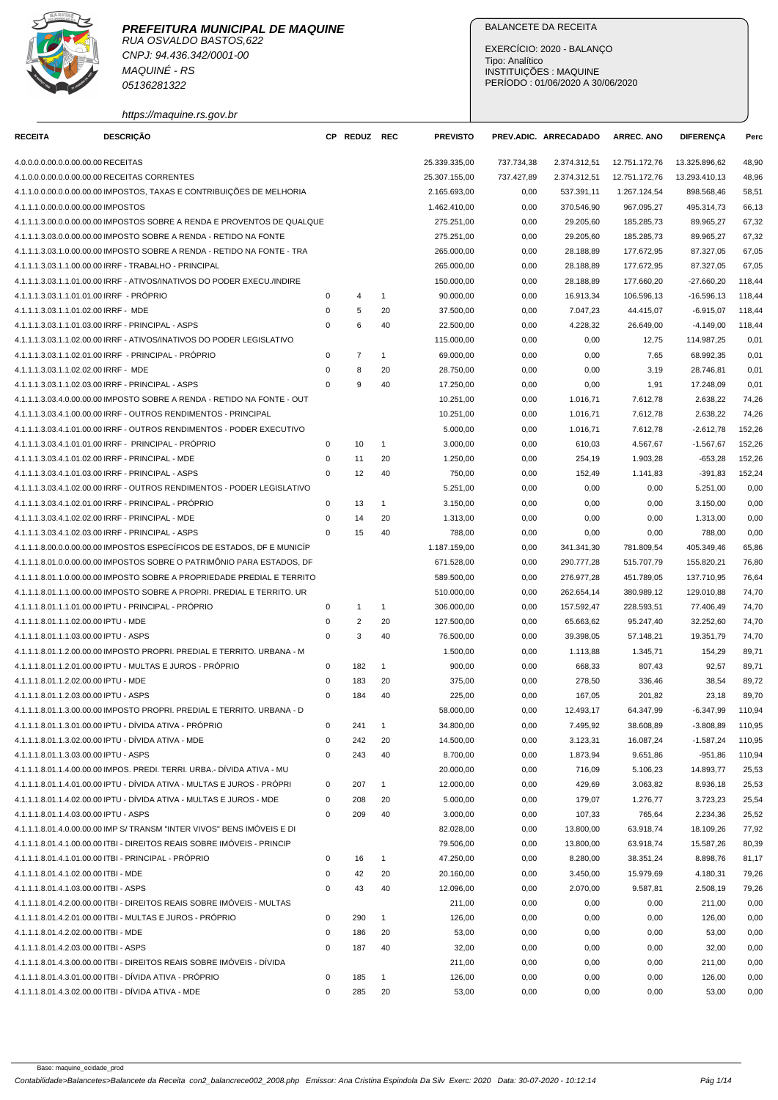

CNPJ: 94.436.342/0001-00 MAQUINÉ - RS 05136281322

https://maquine.rs.gov.br

# BALANCETE DA RECEITA

| <b>RECEITA</b>                           | <b>DESCRIÇÃO</b>                                                        |             | CP REDUZ REC   |              | <b>PREVISTO</b> |            | PREV.ADIC. ARRECADADO | <b>ARREC. ANO</b> | <b>DIFERENÇA</b> | Perc   |
|------------------------------------------|-------------------------------------------------------------------------|-------------|----------------|--------------|-----------------|------------|-----------------------|-------------------|------------------|--------|
| 4.0.0.0.0.00.0.0.00.00.00 RECEITAS       |                                                                         |             |                |              | 25.339.335,00   | 737.734,38 | 2.374.312,51          | 12.751.172,76     | 13.325.896,62    | 48,90  |
|                                          | 4.1.0.0.0.00.0.0.00.00.00 RECEITAS CORRENTES                            |             |                |              | 25.307.155,00   | 737.427,89 | 2.374.312,51          | 12.751.172,76     | 13.293.410,13    | 48,96  |
|                                          | 4.1.1.0.0.00.0.0.00.00.00 IMPOSTOS, TAXAS E CONTRIBUIÇÕES DE MELHORIA   |             |                |              | 2.165.693,00    | 0,00       | 537.391,11            | 1.267.124,54      | 898.568,46       | 58,51  |
| 4.1.1.1.0.00.0.0.00.00.00 IMPOSTOS       |                                                                         |             |                |              | 1.462.410,00    | 0,00       | 370.546,90            | 967.095,27        | 495.314,73       | 66,13  |
|                                          | 4.1.1.1.3.00.0.0.00.00.00 IMPOSTOS SOBRE A RENDA E PROVENTOS DE QUALQUE |             |                |              | 275.251,00      | 0,00       | 29.205,60             | 185.285,73        | 89.965,27        | 67,32  |
|                                          | 4.1.1.1.3.03.0.0.00.00.00 IMPOSTO SOBRE A RENDA - RETIDO NA FONTE       |             |                |              | 275.251,00      | 0,00       | 29.205,60             | 185.285,73        | 89.965,27        | 67,32  |
|                                          | 4.1.1.1.3.03.1.0.00.00.00 IMPOSTO SOBRE A RENDA - RETIDO NA FONTE - TRA |             |                |              | 265.000,00      | 0,00       | 28.188,89             | 177.672,95        | 87.327,05        | 67,05  |
|                                          | 4.1.1.1.3.03.1.1.00.00.00 IRRF - TRABALHO - PRINCIPAL                   |             |                |              | 265.000,00      | 0,00       | 28.188,89             | 177.672,95        | 87.327,05        | 67,05  |
|                                          | 4.1.1.1.3.03.1.1.01.00.00 IRRF - ATIVOS/INATIVOS DO PODER EXECU./INDIRE |             |                |              | 150.000,00      | 0,00       | 28.188,89             | 177.660,20        | $-27.660,20$     | 118,44 |
| 4.1.1.1.3.03.1.1.01.01.00 IRRF - PRÓPRIO |                                                                         | 0           | 4              | $\mathbf{1}$ | 90.000.00       | 0,00       | 16.913,34             | 106.596,13        | $-16.596.13$     | 118,44 |
| 4.1.1.1.3.03.1.1.01.02.00 IRRF - MDE     |                                                                         | 0           | 5              | 20           | 37.500,00       | 0,00       | 7.047,23              | 44.415,07         | $-6.915,07$      | 118,44 |
|                                          | 4.1.1.1.3.03.1.1.01.03.00 IRRF - PRINCIPAL - ASPS                       | 0           | 6              | 40           | 22.500,00       | 0,00       | 4.228,32              | 26.649,00         | $-4.149,00$      | 118,44 |
|                                          | 4.1.1.1.3.03.1.1.02.00.00 IRRF - ATIVOS/INATIVOS DO PODER LEGISLATIVO   |             |                |              | 115.000,00      | 0,00       | 0,00                  | 12,75             | 114.987,25       | 0,01   |
|                                          | 4.1.1.1.3.03.1.1.02.01.00 IRRF - PRINCIPAL - PRÓPRIO                    | 0           | $\overline{7}$ | $\mathbf{1}$ | 69.000,00       | 0,00       | 0,00                  | 7,65              | 68.992,35        | 0,01   |
| 4.1.1.1.3.03.1.1.02.02.00 IRRF - MDE     |                                                                         | 0           | 8              | 20           | 28.750,00       | 0,00       | 0,00                  | 3,19              | 28.746,81        | 0,01   |
|                                          | 4.1.1.1.3.03.1.1.02.03.00 IRRF - PRINCIPAL - ASPS                       | $\Omega$    | 9              | 40           | 17.250,00       | 0,00       | 0,00                  | 1,91              | 17.248,09        | 0,01   |
|                                          | 4.1.1.1.3.03.4.0.00.00.00 IMPOSTO SOBRE A RENDA - RETIDO NA FONTE - OUT |             |                |              | 10.251,00       | 0,00       | 1.016,71              | 7.612,78          | 2.638,22         | 74,26  |
|                                          | 4.1.1.1.3.03.4.1.00.00.00 IRRF - OUTROS RENDIMENTOS - PRINCIPAL         |             |                |              | 10.251,00       | 0,00       | 1.016,71              | 7.612,78          | 2.638,22         | 74,26  |
|                                          | 4.1.1.1.3.03.4.1.01.00.00 IRRF - OUTROS RENDIMENTOS - PODER EXECUTIVO   |             |                |              | 5.000.00        | 0,00       | 1.016,71              | 7.612,78          | $-2.612,78$      | 152,26 |
|                                          | 4.1.1.1.3.03.4.1.01.01.00 IRRF - PRINCIPAL - PRÓPRIO                    | 0           | 10             | $\mathbf{1}$ | 3.000,00        | 0,00       | 610,03                | 4.567,67          | $-1.567,67$      | 152,26 |
|                                          | 4.1.1.1.3.03.4.1.01.02.00 IRRF - PRINCIPAL - MDE                        | 0           | 11             | 20           | 1.250,00        | 0,00       | 254,19                | 1.903,28          | $-653,28$        | 152,26 |
|                                          | 4.1.1.1.3.03.4.1.01.03.00 IRRF - PRINCIPAL - ASPS                       | 0           | 12             | 40           | 750,00          | 0,00       | 152,49                | 1.141,83          | $-391,83$        | 152,24 |
|                                          | 4.1.1.1.3.03.4.1.02.00.00 IRRF - OUTROS RENDIMENTOS - PODER LEGISLATIVO |             |                |              | 5.251,00        | 0,00       | 0,00                  | 0,00              | 5.251,00         | 0,00   |
|                                          | 4.1.1.1.3.03.4.1.02.01.00 IRRF - PRINCIPAL - PRÓPRIO                    | $\mathbf 0$ | 13             | $\mathbf{1}$ | 3.150.00        | 0,00       | 0,00                  | 0,00              | 3.150.00         | 0,00   |
|                                          | 4.1.1.1.3.03.4.1.02.02.00 IRRF - PRINCIPAL - MDE                        | 0           | 14             | 20           | 1.313,00        | 0,00       | 0,00                  | 0,00              | 1.313,00         | 0,00   |
|                                          | 4.1.1.1.3.03.4.1.02.03.00 IRRF - PRINCIPAL - ASPS                       | 0           | 15             | 40           | 788,00          | 0,00       | 0,00                  | 0,00              | 788,00           | 0,00   |
|                                          | 4.1.1.1.8.00.0.0.00.00.00 IMPOSTOS ESPECÍFICOS DE ESTADOS, DF E MUNICÍP |             |                |              | 1.187.159,00    | 0,00       | 341.341,30            | 781.809,54        | 405.349,46       | 65,86  |
|                                          | 4.1.1.1.8.01.0.0.00.00.00 IMPOSTOS SOBRE O PATRIMÔNIO PARA ESTADOS, DF  |             |                |              | 671.528,00      | 0,00       | 290.777,28            | 515.707,79        | 155.820,21       | 76,80  |
|                                          | 4.1.1.1.8.01.1.0.00.00.00 IMPOSTO SOBRE A PROPRIEDADE PREDIAL E TERRITO |             |                |              | 589.500,00      | 0,00       | 276.977,28            | 451.789,05        | 137.710,95       | 76,64  |
|                                          | 4.1.1.1.8.01.1.1.00.00.00 IMPOSTO SOBRE A PROPRI. PREDIAL E TERRITO. UR |             |                |              | 510.000,00      | 0,00       | 262.654,14            | 380.989,12        | 129.010,88       | 74,70  |
|                                          | 4.1.1.1.8.01.1.1.01.00.00 IPTU - PRINCIPAL - PRÓPRIO                    | 0           | $\mathbf{1}$   | 1            | 306.000,00      | 0,00       | 157.592,47            | 228.593,51        | 77.406,49        | 74,70  |
| 4.1.1.1.8.01.1.1.02.00.00 IPTU - MDE     |                                                                         | 0           | $\overline{c}$ | 20           | 127.500,00      | 0,00       | 65.663,62             | 95.247,40         | 32.252,60        | 74,70  |
| 4.1.1.1.8.01.1.1.03.00.00 IPTU - ASPS    |                                                                         | 0           | 3              | 40           | 76.500.00       | 0,00       | 39.398,05             | 57.148,21         | 19.351.79        | 74,70  |
|                                          | 4.1.1.1.8.01.1.2.00.00.00 IMPOSTO PROPRI. PREDIAL E TERRITO. URBANA - M |             |                |              | 1.500,00        | 0,00       | 1.113,88              | 1.345,71          | 154,29           | 89,71  |
|                                          | 4.1.1.1.8.01.1.2.01.00.00 IPTU - MULTAS E JUROS - PROPRIO               | 0           | 182            | 1            | 900,00          | 0,00       | 668,33                | 807,43            | 92,57            | 89,71  |
| 4.1.1.1.8.01.1.2.02.00.00 IPTU - MDE     |                                                                         | 0           | 183            | 20           | 375,00          | 0,00       | 278,50                | 336,46            | 38,54            | 89,72  |
| 4.1.1.1.8.01.1.2.03.00.00 IPTU - ASPS    |                                                                         | $\Omega$    | 184            | 40           | 225,00          | 0,00       | 167,05                | 201,82            | 23,18            | 89,70  |
|                                          | 4.1.1.1.8.01.1.3.00.00.00 IMPOSTO PROPRI. PREDIAL E TERRITO. URBANA - D |             |                |              | 58.000,00       | 0,00       | 12.493,17             | 64.347,99         | $-6.347.99$      | 110,94 |
|                                          | 4.1.1.1.8.01.1.3.01.00.00 IPTU - DÍVIDA ATIVA - PRÓPRIO                 | 0           | 241            | $\mathbf{1}$ | 34.800,00       | 0,00       | 7.495,92              | 38.608,89         | $-3.808,89$      | 110,95 |
|                                          | 4.1.1.1.8.01.1.3.02.00.00 IPTU - DÍVIDA ATIVA - MDE                     | 0           | 242            | 20           | 14.500,00       | 0,00       | 3.123,31              | 16.087,24         | $-1.587,24$      | 110,95 |
| 4.1.1.1.8.01.1.3.03.00.00 IPTU - ASPS    |                                                                         | 0           | 243            | 40           | 8.700,00        | 0,00       | 1.873,94              | 9.651,86          | $-951,86$        | 110,94 |
|                                          | 4.1.1.1.8.01.1.4.00.00.00 IMPOS. PREDI. TERRI. URBA.- DÍVIDA ATIVA - MU |             |                |              | 20.000,00       | 0,00       | 716,09                | 5.106,23          | 14.893,77        | 25,53  |
|                                          | 4.1.1.1.8.01.1.4.01.00.00 IPTU - DÍVIDA ATIVA - MULTAS E JUROS - PRÓPRI | $\pmb{0}$   | 207            | $\mathbf{1}$ | 12.000,00       | 0,00       | 429,69                | 3.063,82          | 8.936,18         | 25,53  |
|                                          | 4.1.1.1.8.01.1.4.02.00.00 IPTU - DIVIDA ATIVA - MULTAS E JUROS - MDE    | 0           | 208            | 20           | 5.000,00        | 0,00       | 179,07                | 1.276,77          | 3.723,23         | 25,54  |
| 4.1.1.1.8.01.1.4.03.00.00 IPTU - ASPS    |                                                                         | 0           | 209            | 40           | 3.000,00        | 0,00       | 107,33                | 765,64            | 2.234,36         | 25,52  |
|                                          | 4.1.1.1.8.01.4.0.00.00.00 IMP S/ TRANSM "INTER VIVOS" BENS IMÓVEIS E DI |             |                |              | 82.028,00       | 0,00       | 13.800,00             | 63.918,74         | 18.109,26        | 77,92  |
|                                          | 4.1.1.1.8.01.4.1.00.00.00 ITBI - DIREITOS REAIS SOBRE IMÓVEIS - PRINCIP |             |                |              | 79.506,00       | 0,00       | 13.800,00             | 63.918,74         | 15.587,26        | 80,39  |
|                                          | 4.1.1.1.8.01.4.1.01.00.00 ITBI - PRINCIPAL - PRÓPRIO                    | 0           | 16             | $\mathbf{1}$ | 47.250,00       | 0,00       | 8.280,00              | 38.351,24         | 8.898,76         | 81,17  |
| 4.1.1.1.8.01.4.1.02.00.00 ITBI - MDE     |                                                                         | 0           | 42             | 20           | 20.160,00       | 0,00       | 3.450,00              | 15.979,69         | 4.180,31         | 79,26  |
| 4.1.1.1.8.01.4.1.03.00.00 ITBI - ASPS    |                                                                         | 0           | 43             | 40           | 12.096,00       | 0,00       | 2.070,00              | 9.587,81          | 2.508,19         | 79,26  |
|                                          | 4.1.1.1.8.01.4.2.00.00.00 ITBI - DIREITOS REAIS SOBRE IMÓVEIS - MULTAS  |             |                |              | 211,00          | 0,00       | 0,00                  | 0,00              | 211,00           | 0,00   |
|                                          | 4.1.1.1.8.01.4.2.01.00.00 ITBI - MULTAS E JUROS - PRÓPRIO               | $\mathsf 0$ | 290            | $\mathbf{1}$ | 126,00          | 0,00       | 0,00                  | 0,00              | 126,00           | 0,00   |
| 4.1.1.1.8.01.4.2.02.00.00 ITBI - MDE     |                                                                         | 0           | 186            | 20           | 53,00           | 0,00       | 0,00                  | 0,00              | 53,00            | 0,00   |
| 4.1.1.1.8.01.4.2.03.00.00 ITBI - ASPS    |                                                                         | 0           | 187            | 40           | 32,00           | 0,00       | 0,00                  | 0,00              | 32,00            | 0,00   |
|                                          | 4.1.1.1.8.01.4.3.00.00.00 ITBI - DIREITOS REAIS SOBRE IMÓVEIS - DÍVIDA  |             |                |              | 211,00          | 0,00       | 0,00                  | 0,00              | 211,00           | 0,00   |
|                                          | 4.1.1.1.8.01.4.3.01.00.00 ITBI - DÍVIDA ATIVA - PRÓPRIO                 | 0           | 185            | $\mathbf{1}$ | 126,00          | 0,00       | 0,00                  | 0,00              | 126,00           | 0,00   |
|                                          | 4.1.1.1.8.01.4.3.02.00.00 ITBI - DÍVIDA ATIVA - MDE                     | 0           | 285            | 20           | 53,00           | 0,00       | 0,00                  | 0,00              | 53,00            | 0,00   |
|                                          |                                                                         |             |                |              |                 |            |                       |                   |                  |        |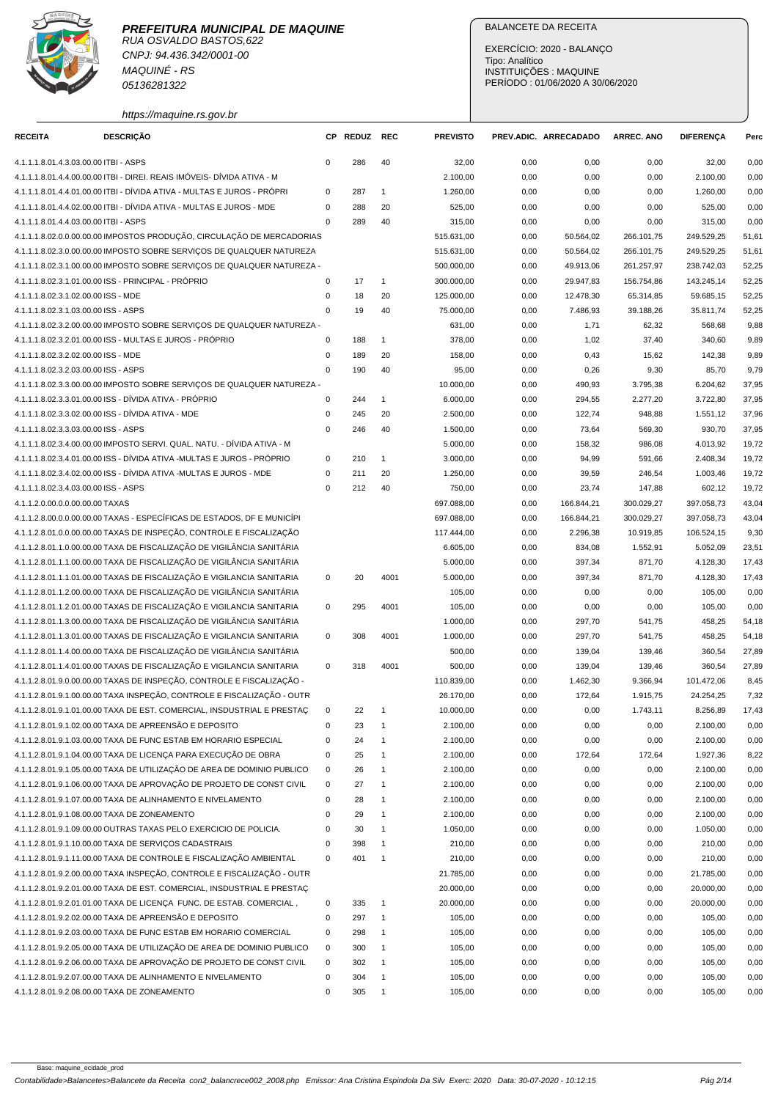

RUA OSVALDO BASTOS,622 CNPJ: 94.436.342/0001-00 MAQUINÉ - RS 05136281322

## BALANCETE DA RECEITA

EXERCÍCIO: 2020 - BALANÇO Tipo: Analítico INSTITUIÇÕES : MAQUINE PERÍODO : 01/06/2020 A 30/06/2020

# https://maquine.rs.gov.br

| <b>RECEITA</b>                        | <b>DESCRIÇÃO</b>                                                        | <b>CP</b>   | <b>REDUZ</b> | <b>REC</b>     | <b>PREVISTO</b> |      | PREV.ADIC. ARRECADADO | ARREC. ANO | <b>DIFERENÇA</b> | Perc  |
|---------------------------------------|-------------------------------------------------------------------------|-------------|--------------|----------------|-----------------|------|-----------------------|------------|------------------|-------|
| 4.1.1.1.8.01.4.3.03.00.00 ITBI - ASPS |                                                                         | $\mathbf 0$ | 286          | 40             | 32,00           | 0,00 | 0,00                  | 0,00       | 32,00            | 0,00  |
|                                       | 4.1.1.1.8.01.4.4.00.00.00 ITBI - DIREI. REAIS IMÓVEIS- DÍVIDA ATIVA - M |             |              |                | 2.100,00        | 0,00 | 0,00                  | 0,00       | 2.100,00         | 0,00  |
|                                       | 4.1.1.1.8.01.4.4.01.00.00 ITBI - DÍVIDA ATIVA - MULTAS E JUROS - PRÓPRI | $\mathbf 0$ | 287          | $\mathbf{1}$   | 1.260,00        | 0,00 | 0,00                  | 0,00       | 1.260,00         | 0,00  |
|                                       | 4.1.1.1.8.01.4.4.02.00.00 ITBI - DÍVIDA ATIVA - MULTAS E JUROS - MDE    | $\mathbf 0$ | 288          | 20             | 525,00          | 0,00 | 0,00                  | 0,00       | 525,00           | 0,00  |
| 4.1.1.1.8.01.4.4.03.00.00 ITBI - ASPS |                                                                         | $\mathbf 0$ | 289          | 40             | 315,00          | 0,00 | 0,00                  | 0,00       | 315,00           | 0,00  |
|                                       | 4.1.1.1.8.02.0.0.00.00.00 IMPOSTOS PRODUÇÃO, CIRCULAÇÃO DE MERCADORIAS  |             |              |                | 515.631,00      | 0,00 | 50.564,02             | 266.101,75 | 249.529,25       | 51,61 |
|                                       | 4.1.1.1.8.02.3.0.00.00.00 IMPOSTO SOBRE SERVIÇOS DE QUALQUER NATUREZA   |             |              |                | 515.631,00      | 0,00 | 50.564,02             | 266.101,75 | 249.529,25       | 51,61 |
|                                       | 4.1.1.1.8.02.3.1.00.00.00 IMPOSTO SOBRE SERVIÇOS DE QUALQUER NATUREZA - |             |              |                | 500.000,00      | 0,00 | 49.913,06             | 261.257,97 | 238.742,03       | 52,25 |
|                                       | 4.1.1.1.8.02.3.1.01.00.00 ISS - PRINCIPAL - PRÓPRIO                     | $\mathsf 0$ | 17           | $\mathbf{1}$   | 300.000,00      | 0,00 | 29.947,83             | 156.754,86 | 143.245,14       | 52,25 |
| 4.1.1.1.8.02.3.1.02.00.00 ISS - MDE   |                                                                         | $\mathbf 0$ | 18           | 20             | 125.000,00      | 0,00 | 12.478,30             | 65.314,85  | 59.685,15        | 52,25 |
| 4.1.1.1.8.02.3.1.03.00.00 ISS - ASPS  |                                                                         | $\mathbf 0$ | 19           | 40             | 75.000,00       | 0,00 | 7.486,93              | 39.188,26  | 35.811,74        | 52,25 |
|                                       | 4.1.1.1.8.02.3.2.00.00.00 IMPOSTO SOBRE SERVIÇOS DE QUALQUER NATUREZA - |             |              |                | 631,00          | 0,00 | 1,71                  | 62,32      | 568,68           | 9,88  |
|                                       | 4.1.1.1.8.02.3.2.01.00.00 ISS - MULTAS E JUROS - PRÓPRIO                | $\mathsf 0$ | 188          | $\mathbf{1}$   | 378,00          | 0,00 | 1,02                  | 37,40      | 340,60           | 9,89  |
| 4.1.1.1.8.02.3.2.02.00.00 ISS - MDE   |                                                                         | $\mathbf 0$ | 189          | 20             | 158,00          | 0,00 | 0,43                  | 15,62      | 142,38           | 9,89  |
| 4.1.1.1.8.02.3.2.03.00.00 ISS - ASPS  |                                                                         | $\mathbf 0$ | 190          | 40             | 95,00           | 0,00 | 0,26                  | 9,30       | 85,70            | 9,79  |
|                                       | 4.1.1.1.8.02.3.3.00.00.00 IMPOSTO SOBRE SERVIÇOS DE QUALQUER NATUREZA - |             |              |                | 10.000,00       | 0,00 | 490,93                | 3.795,38   | 6.204,62         | 37,95 |
|                                       | 4.1.1.1.8.02.3.3.01.00.00 ISS - DÍVIDA ATIVA - PRÓPRIO                  | $\mathbf 0$ | 244          | $\mathbf{1}$   | 6.000,00        | 0,00 | 294,55                | 2.277,20   | 3.722,80         | 37,95 |
|                                       | 4.1.1.1.8.02.3.3.02.00.00 ISS - DÍVIDA ATIVA - MDE                      | $\mathbf 0$ | 245          | 20             | 2.500,00        | 0,00 | 122,74                | 948,88     | 1.551,12         | 37,96 |
| 4.1.1.1.8.02.3.3.03.00.00 ISS - ASPS  |                                                                         | $\mathbf 0$ | 246          | 40             | 1.500,00        | 0,00 | 73,64                 | 569,30     | 930,70           | 37,95 |
|                                       | 4.1.1.1.8.02.3.4.00.00.00 IMPOSTO SERVI. QUAL. NATU. - DÍVIDA ATIVA - M |             |              |                | 5.000,00        | 0,00 | 158,32                | 986,08     | 4.013,92         | 19,72 |
|                                       | 4.1.1.1.8.02.3.4.01.00.00 ISS - DÍVIDA ATIVA -MULTAS E JUROS - PRÓPRIO  | $\mathbf 0$ | 210          | $\mathbf{1}$   | 3.000,00        | 0,00 | 94,99                 | 591,66     | 2.408,34         | 19,72 |
|                                       | 4.1.1.1.8.02.3.4.02.00.00 ISS - DÍVIDA ATIVA -MULTAS E JUROS - MDE      | $\mathbf 0$ | 211          | 20             | 1.250,00        | 0,00 | 39,59                 | 246,54     | 1.003,46         | 19,72 |
| 4.1.1.1.8.02.3.4.03.00.00 ISS - ASPS  |                                                                         | $\mathbf 0$ | 212          | 40             | 750,00          | 0,00 | 23,74                 | 147,88     | 602,12           | 19,72 |
| 4.1.1.2.0.00.0.0.00.00.00 TAXAS       |                                                                         |             |              |                | 697.088,00      | 0,00 | 166.844,21            | 300.029,27 | 397.058,73       | 43,04 |
|                                       | 4.1.1.2.8.00.0.0.00.00.00 TAXAS - ESPECÍFICAS DE ESTADOS, DF E MUNICÍPI |             |              |                | 697.088,00      | 0,00 | 166.844,21            | 300.029,27 | 397.058,73       | 43,04 |
|                                       | 4.1.1.2.8.01.0.0.00.00.00 TAXAS DE INSPEÇÃO, CONTROLE E FISCALIZAÇÃO    |             |              |                | 117.444,00      | 0,00 | 2.296,38              | 10.919,85  | 106.524,15       | 9,30  |
|                                       | 4.1.1.2.8.01.1.0.00.00.00 TAXA DE FISCALIZAÇÃO DE VIGILÂNCIA SANITÁRIA  |             |              |                | 6.605,00        | 0,00 | 834,08                | 1.552,91   | 5.052,09         | 23,51 |
|                                       | 4.1.1.2.8.01.1.1.00.00.00 TAXA DE FISCALIZAÇÃO DE VIGILÂNCIA SANITÁRIA  |             |              |                | 5.000,00        | 0,00 | 397,34                | 871,70     | 4.128,30         | 17,43 |
|                                       | 4.1.1.2.8.01.1.1.01.00.00 TAXAS DE FISCALIZAÇÃO E VIGILANCIA SANITARIA  | $\mathbf 0$ | 20           | 4001           | 5.000,00        | 0,00 | 397,34                | 871,70     | 4.128,30         | 17,43 |
|                                       | 4.1.1.2.8.01.1.2.00.00.00 TAXA DE FISCALIZAÇÃO DE VIGILÂNCIA SANITÁRIA  |             |              |                | 105,00          | 0,00 | 0,00                  | 0,00       | 105,00           | 0,00  |
|                                       | 4.1.1.2.8.01.1.2.01.00.00 TAXAS DE FISCALIZAÇÃO E VIGILANCIA SANITARIA  | $\mathbf 0$ | 295          | 4001           | 105,00          | 0,00 | 0,00                  | 0,00       | 105,00           | 0,00  |
|                                       | 4.1.1.2.8.01.1.3.00.00.00 TAXA DE FISCALIZAÇÃO DE VIGILÂNCIA SANITÁRIA  |             |              |                | 1.000,00        | 0,00 | 297,70                | 541,75     | 458,25           | 54,18 |
|                                       | 4.1.1.2.8.01.1.3.01.00.00 TAXAS DE FISCALIZAÇÃO E VIGILANCIA SANITARIA  | $\mathbf 0$ | 308          | 4001           | 1.000,00        | 0,00 | 297,70                | 541,75     | 458,25           | 54,18 |
|                                       | 4.1.1.2.8.01.1.4.00.00.00 TAXA DE FISCALIZAÇÃO DE VIGILÂNCIA SANITÁRIA  |             |              |                | 500,00          | 0,00 | 139,04                | 139,46     | 360,54           | 27,89 |
|                                       | 4.1.1.2.8.01.1.4.01.00.00 TAXAS DE FISCALIZAÇÃO E VIGILANCIA SANITARIA  | $\mathbf 0$ | 318          | 4001           | 500,00          | 0,00 | 139,04                | 139,46     | 360,54           | 27,89 |
|                                       | 4.1.1.2.8.01.9.0.00.00.00 TAXAS DE INSPEÇÃO, CONTROLE E FISCALIZAÇÃO -  |             |              |                | 110.839,00      | 0,00 | 1.462,30              | 9.366,94   | 101.472,06       | 8,45  |
|                                       | 4.1.1.2.8.01.9.1.00.00.00 TAXA INSPEÇÃO, CONTROLE E FISCALIZAÇÃO - OUTR |             |              |                | 26.170,00       | 0,00 | 172,64                | 1.915,75   | 24.254,25        | 7,32  |
|                                       | 4.1.1.2.8.01.9.1.01.00.00 TAXA DE EST. COMERCIAL, INSDUSTRIAL E PRESTAÇ | $\Omega$    | 22           | $\mathbf{1}$   | 10.000,00       | 0,00 | 0,00                  | 1.743,11   | 8.256,89         | 17,43 |
|                                       | 4.1.1.2.8.01.9.1.02.00.00 TAXA DE APREENSÃO E DEPOSITO                  | $\pmb{0}$   | 23           | $\mathbf{1}$   | 2.100,00        | 0,00 | 0,00                  | 0,00       | 2.100,00         | 0,00  |
|                                       | 4.1.1.2.8.01.9.1.03.00.00 TAXA DE FUNC ESTAB EM HORARIO ESPECIAL        | $\mathsf 0$ | 24           | $\overline{1}$ | 2.100,00        | 0,00 | 0,00                  | 0,00       | 2.100,00         | 0,00  |
|                                       | 4.1.1.2.8.01.9.1.04.00.00 TAXA DE LICENÇA PARA EXECUÇÃO DE OBRA         | $\pmb{0}$   | 25           | $\mathbf{1}$   | 2.100,00        | 0,00 | 172,64                | 172,64     | 1.927,36         | 8,22  |
|                                       | 4.1.1.2.8.01.9.1.05.00.00 TAXA DE UTILIZAÇÃO DE AREA DE DOMINIO PUBLICO | $\mathbf 0$ | 26           | $\mathbf{1}$   | 2.100,00        | 0,00 | 0,00                  | 0,00       | 2.100,00         | 0,00  |
|                                       | 4.1.1.2.8.01.9.1.06.00.00 TAXA DE APROVAÇÃO DE PROJETO DE CONST CIVIL   | 0           | 27           | $\mathbf{1}$   | 2.100,00        | 0,00 | 0,00                  | 0,00       | 2.100,00         | 0,00  |
|                                       | 4.1.1.2.8.01.9.1.07.00.00 TAXA DE ALINHAMENTO E NIVELAMENTO             | $\mathsf 0$ | 28           | $\mathbf{1}$   | 2.100,00        | 0,00 | 0,00                  | 0,00       | 2.100,00         | 0,00  |
|                                       | 4.1.1.2.8.01.9.1.08.00.00 TAXA DE ZONEAMENTO                            | $\mathsf 0$ | 29           | -1             | 2.100,00        | 0,00 | 0,00                  | 0,00       | 2.100,00         | 0,00  |
|                                       | 4.1.1.2.8.01.9.1.09.00.00 OUTRAS TAXAS PELO EXERCICIO DE POLICIA.       | $\mathsf 0$ | 30           | -1             | 1.050,00        | 0,00 | 0,00                  | 0,00       | 1.050,00         | 0,00  |
|                                       | 4.1.1.2.8.01.9.1.10.00.00 TAXA DE SERVIÇOS CADASTRAIS                   | $\mathsf 0$ | 398          | $\overline{1}$ | 210,00          | 0,00 | 0,00                  | 0,00       | 210,00           | 0,00  |
|                                       | 4.1.1.2.8.01.9.1.11.00.00 TAXA DE CONTROLE E FISCALIZAÇÃO AMBIENTAL     | $\mathsf 0$ | 401          | $\mathbf{1}$   | 210,00          | 0,00 | 0,00                  | 0,00       | 210,00           | 0,00  |
|                                       | 4.1.1.2.8.01.9.2.00.00.00 TAXA INSPEÇÃO, CONTROLE E FISCALIZAÇÃO - OUTR |             |              |                | 21.785,00       | 0,00 | 0,00                  | 0,00       | 21.785,00        | 0,00  |
|                                       | 4.1.1.2.8.01.9.2.01.00.00 TAXA DE EST. COMERCIAL, INSDUSTRIAL E PRESTAC |             |              |                | 20.000,00       | 0,00 | 0,00                  | 0,00       | 20.000,00        | 0,00  |
|                                       | 4.1.1.2.8.01.9.2.01.01.00 TAXA DE LICENÇA FUNC. DE ESTAB. COMERCIAL,    | $\mathbf 0$ | 335          | $\overline{1}$ | 20.000,00       | 0,00 | 0,00                  | 0,00       | 20.000,00        | 0,00  |
|                                       | 4.1.1.2.8.01.9.2.02.00.00 TAXA DE APREENSÃO E DEPOSITO                  | $\mathbf 0$ | 297          | $\mathbf{1}$   | 105,00          | 0,00 | 0,00                  | 0,00       | 105,00           | 0,00  |
|                                       | 4.1.1.2.8.01.9.2.03.00.00 TAXA DE FUNC ESTAB EM HORARIO COMERCIAL       | $\mathbf 0$ | 298          | $\overline{1}$ | 105,00          | 0,00 | 0,00                  | 0,00       | 105,00           | 0,00  |
|                                       | 4.1.1.2.8.01.9.2.05.00.00 TAXA DE UTILIZAÇÃO DE AREA DE DOMINIO PUBLICO | 0           | 300          | $\overline{1}$ | 105,00          | 0,00 | 0,00                  | 0,00       | 105,00           | 0,00  |
|                                       | 4.1.1.2.8.01.9.2.06.00.00 TAXA DE APROVAÇÃO DE PROJETO DE CONST CIVIL   | $\mathsf 0$ | 302          | $\overline{1}$ | 105,00          | 0,00 | 0,00                  | 0,00       | 105,00           | 0,00  |
|                                       | 4.1.1.2.8.01.9.2.07.00.00 TAXA DE ALINHAMENTO E NIVELAMENTO             | $\mathsf 0$ | 304          | $\overline{1}$ | 105,00          | 0,00 | 0,00                  | 0,00       | 105,00           | 0,00  |
|                                       | 4.1.1.2.8.01.9.2.08.00.00 TAXA DE ZONEAMENTO                            | $\mathsf 0$ | 305          | $\overline{1}$ | 105,00          | 0,00 | 0,00                  | 0,00       | 105,00           | 0,00  |
|                                       |                                                                         |             |              |                |                 |      |                       |            |                  |       |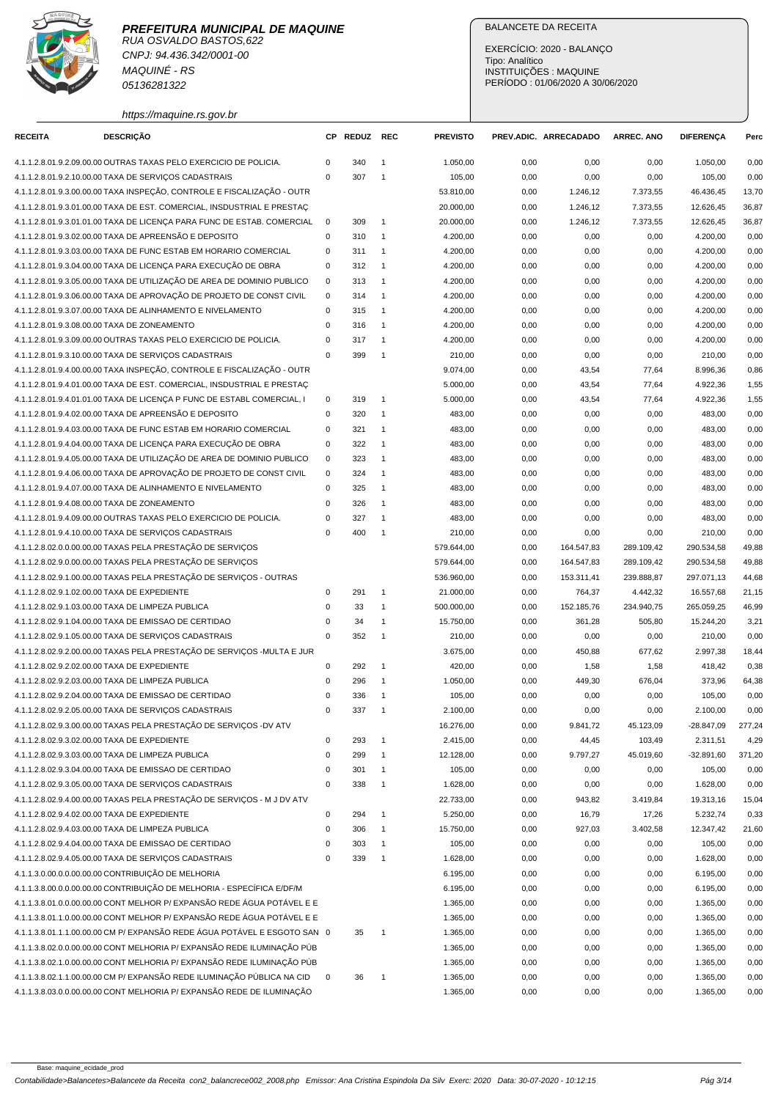

RUA OSVALDO BASTOS,622 CNPJ: 94.436.342/0001-00 MAQUINÉ - RS 05136281322

## BALANCETE DA RECEITA

EXERCÍCIO: 2020 - BALANÇO Tipo: Analítico INSTITUIÇÕES : MAQUINE PERÍODO : 01/06/2020 A 30/06/2020

https://maquine.rs.gov.br

| <b>RECEITA</b>                               | <b>DESCRIÇÃO</b>                                                                                                             | СP          | REDUZ REC |                | <b>PREVISTO</b>      |              | PREV.ADIC. ARRECADADO | <b>ARREC. ANO</b> | <b>DIFERENÇA</b>     | Perc         |
|----------------------------------------------|------------------------------------------------------------------------------------------------------------------------------|-------------|-----------|----------------|----------------------|--------------|-----------------------|-------------------|----------------------|--------------|
|                                              | 4.1.1.2.8.01.9.2.09.00.00 OUTRAS TAXAS PELO EXERCICIO DE POLICIA.                                                            | 0           | 340       | $\overline{1}$ | 1.050,00             | 0,00         | 0,00                  | 0,00              | 1.050,00             | 0,00         |
|                                              | 4.1.1.2.8.01.9.2.10.00.00 TAXA DE SERVIÇOS CADASTRAIS                                                                        | $\mathbf 0$ | 307       | $\overline{1}$ | 105,00               | 0,00         | 0,00                  | 0,00              | 105,00               | 0,00         |
|                                              | 4.1.1.2.8.01.9.3.00.00.00 TAXA INSPEÇÃO, CONTROLE E FISCALIZAÇÃO - OUTR                                                      |             |           |                | 53.810,00            | 0,00         | 1.246,12              | 7.373,55          | 46.436,45            | 13,70        |
|                                              | 4.1.1.2.8.01.9.3.01.00.00 TAXA DE EST. COMERCIAL, INSDUSTRIAL E PRESTAÇ                                                      |             |           |                | 20.000,00            | 0,00         | 1.246,12              | 7.373,55          | 12.626,45            | 36,87        |
|                                              | 4.1.1.2.8.01.9.3.01.01.00 TAXA DE LICENÇA PARA FUNC DE ESTAB. COMERCIAL                                                      | $\mathbf 0$ | 309       | $\overline{1}$ | 20.000,00            | 0,00         | 1.246,12              | 7.373,55          | 12.626,45            | 36,87        |
|                                              | 4.1.1.2.8.01.9.3.02.00.00 TAXA DE APREENSÃO E DEPOSITO                                                                       | 0           | 310       | $\overline{1}$ | 4.200,00             | 0,00         | 0,00                  | 0,00              | 4.200,00             | 0,00         |
|                                              | 4.1.1.2.8.01.9.3.03.00.00 TAXA DE FUNC ESTAB EM HORARIO COMERCIAL                                                            | 0           | 311       | $\overline{1}$ | 4.200,00             | 0,00         | 0,00                  | 0,00              | 4.200,00             | 0,00         |
|                                              | 4.1.1.2.8.01.9.3.04.00.00 TAXA DE LICENÇA PARA EXECUÇÃO DE OBRA                                                              | 0           | 312       | $\overline{1}$ | 4.200,00             | 0,00         | 0,00                  | 0,00              | 4.200,00             | 0,00         |
|                                              | 4.1.1.2.8.01.9.3.05.00.00 TAXA DE UTILIZAÇÃO DE AREA DE DOMINIO PUBLICO                                                      | $\mathbf 0$ | 313       | $\overline{1}$ | 4.200,00             | 0,00         | 0,00                  | 0,00              | 4.200,00             | 0,00         |
|                                              | 4.1.1.2.8.01.9.3.06.00.00 TAXA DE APROVAÇÃO DE PROJETO DE CONST CIVIL                                                        | $\mathbf 0$ | 314       | $\overline{1}$ | 4.200,00             | 0,00         | 0,00                  | 0,00              | 4.200,00             | 0,00         |
|                                              | 4.1.1.2.8.01.9.3.07.00.00 TAXA DE ALINHAMENTO E NIVELAMENTO                                                                  | $\mathbf 0$ | 315       | $\overline{1}$ | 4.200,00             | 0,00         | 0,00                  | 0,00              | 4.200,00             | 0,00         |
|                                              | 4.1.1.2.8.01.9.3.08.00.00 TAXA DE ZONEAMENTO                                                                                 | $\mathbf 0$ | 316       | $\overline{1}$ | 4.200,00             | 0,00         | 0,00                  | 0,00              | 4.200,00             | 0,00         |
|                                              | 4.1.1.2.8.01.9.3.09.00.00 OUTRAS TAXAS PELO EXERCICIO DE POLICIA.                                                            | $\mathbf 0$ | 317       | $\overline{1}$ | 4.200,00             | 0,00         | 0,00                  | 0,00              | 4.200,00             | 0,00         |
|                                              | 4.1.1.2.8.01.9.3.10.00.00 TAXA DE SERVIÇOS CADASTRAIS                                                                        | $\mathbf 0$ | 399       | $\overline{1}$ | 210,00               | 0,00         | 0,00                  | 0,00              | 210,00               | 0,00         |
|                                              | 4.1.1.2.8.01.9.4.00.00.00 TAXA INSPEÇÃO, CONTROLE E FISCALIZAÇÃO - OUTR                                                      |             |           |                | 9.074,00             | 0,00         | 43,54                 | 77,64             | 8.996,36             | 0,86         |
|                                              | 4.1.1.2.8.01.9.4.01.00.00 TAXA DE EST. COMERCIAL, INSDUSTRIAL E PRESTAÇ                                                      |             |           |                | 5.000,00             | 0,00         | 43,54                 | 77,64             | 4.922,36             | 1,55         |
|                                              | 4.1.1.2.8.01.9.4.01.01.00 TAXA DE LICENÇA P FUNC DE ESTABL COMERCIAL, I                                                      | 0           | 319       | $\overline{1}$ | 5.000,00             | 0,00         | 43,54                 | 77,64             | 4.922,36             | 1,55         |
|                                              | 4.1.1.2.8.01.9.4.02.00.00 TAXA DE APREENSÃO E DEPOSITO                                                                       | $\mathbf 0$ | 320       | $\overline{1}$ | 483,00               | 0,00         | 0,00                  | 0,00              | 483,00               | 0,00         |
|                                              | 4.1.1.2.8.01.9.4.03.00.00 TAXA DE FUNC ESTAB EM HORARIO COMERCIAL                                                            | 0           | 321       | $\overline{1}$ | 483,00               | 0,00         | 0,00                  | 0,00              | 483,00               | 0,00         |
|                                              | 4.1.1.2.8.01.9.4.04.00.00 TAXA DE LICENÇA PARA EXECUÇÃO DE OBRA                                                              | $\mathbf 0$ | 322       | $\overline{1}$ | 483,00               | 0,00         | 0,00                  | 0,00              | 483,00               | 0,00         |
|                                              | 4.1.1.2.8.01.9.4.05.00.00 TAXA DE UTILIZAÇÃO DE AREA DE DOMINIO PUBLICO                                                      | $\mathbf 0$ | 323       | $\overline{1}$ | 483,00               | 0,00         | 0,00                  | 0,00              | 483,00               | 0,00         |
|                                              | 4.1.1.2.8.01.9.4.06.00.00 TAXA DE APROVAÇÃO DE PROJETO DE CONST CIVIL                                                        | $\mathbf 0$ | 324       | $\overline{1}$ | 483,00               | 0,00         | 0,00                  | 0,00              | 483,00               | 0,00         |
|                                              | 4.1.1.2.8.01.9.4.07.00.00 TAXA DE ALINHAMENTO E NIVELAMENTO                                                                  | $\mathsf 0$ | 325       | $\overline{1}$ | 483,00               | 0,00         | 0,00                  | 0,00              | 483,00               | 0,00         |
|                                              | 4.1.1.2.8.01.9.4.08.00.00 TAXA DE ZONEAMENTO                                                                                 | $\mathbf 0$ | 326       | $\overline{1}$ | 483,00               | 0,00         | 0,00                  | 0,00              | 483,00               | 0,00         |
|                                              | 4.1.1.2.8.01.9.4.09.00.00 OUTRAS TAXAS PELO EXERCICIO DE POLICIA.                                                            | $\mathbf 0$ | 327       | $\overline{1}$ | 483,00               | 0,00         | 0,00                  | 0,00              | 483,00               | 0,00         |
|                                              | 4.1.1.2.8.01.9.4.10.00.00 TAXA DE SERVIÇOS CADASTRAIS                                                                        | 0           | 400       | $\overline{1}$ | 210,00               | 0,00         | 0,00                  | 0,00              | 210,00               | 0,00         |
|                                              | 4.1.1.2.8.02.0.0.00.00.00 TAXAS PELA PRESTAÇÃO DE SERVIÇOS                                                                   |             |           |                | 579.644,00           | 0,00         | 164.547,83            | 289.109,42        | 290.534,58           | 49,88        |
|                                              | 4.1.1.2.8.02.9.0.00.00.00 TAXAS PELA PRESTAÇÃO DE SERVIÇOS                                                                   |             |           |                | 579.644,00           | 0,00         | 164.547,83            | 289.109,42        | 290.534,58           | 49,88        |
|                                              | 4.1.1.2.8.02.9.1.00.00.00 TAXAS PELA PRESTAÇÃO DE SERVIÇOS - OUTRAS                                                          |             |           |                | 536.960,00           | 0,00         | 153.311,41            | 239.888,87        | 297.071,13           | 44,68        |
| 4.1.1.2.8.02.9.1.02.00.00 TAXA DE EXPEDIENTE |                                                                                                                              | $\mathbf 0$ | 291       | $\overline{1}$ | 21.000,00            | 0,00         | 764,37                | 4.442,32          | 16.557,68            | 21,15        |
|                                              | 4.1.1.2.8.02.9.1.03.00.00 TAXA DE LIMPEZA PUBLICA                                                                            | $\mathbf 0$ | 33        | $\overline{1}$ | 500.000,00           | 0,00         | 152.185,76            | 234.940,75        | 265.059,25           | 46,99        |
|                                              | 4.1.1.2.8.02.9.1.04.00.00 TAXA DE EMISSAO DE CERTIDAO                                                                        | 0           | 34        | $\overline{1}$ | 15.750,00            | 0,00         | 361,28                | 505,80            | 15.244,20            | 3,21         |
|                                              | 4.1.1.2.8.02.9.1.05.00.00 TAXA DE SERVIÇOS CADASTRAIS                                                                        | $\mathbf 0$ | 352       | $\overline{1}$ | 210,00               | 0,00         | 0,00                  | 0,00              | 210,00               | 0,00         |
|                                              | 4.1.1.2.8.02.9.2.00.00.00 TAXAS PELA PRESTAÇÃO DE SERVIÇOS - MULTA E JUR                                                     |             |           |                | 3.675,00             | 0,00         | 450,88                | 677,62            | 2.997,38             | 18,44        |
| 4.1.1.2.8.02.9.2.02.00.00 TAXA DE EXPEDIENTE |                                                                                                                              | 0           | 292       | $\overline{1}$ | 420,00               | 0,00         | 1,58                  | 1,58              | 418,42               | 0,38         |
|                                              | 4.1.1.2.8.02.9.2.03.00.00 TAXA DE LIMPEZA PUBLICA                                                                            | $\mathsf 0$ | 296       | $\overline{1}$ | 1.050,00             | 0,00         | 449,30                | 676,04            | 373,96               | 64,38        |
|                                              | 4.1.1.2.8.02.9.2.04.00.00 TAXA DE EMISSAO DE CERTIDAO                                                                        | $\mathbf 0$ | 336       | $\overline{1}$ | 105,00               | 0,00         | 0,00                  | 0,00              | 105,00               | 0,00         |
|                                              | 4.1.1.2.8.02.9.2.05.00.00 TAXA DE SERVIÇOS CADASTRAIS                                                                        | 0           | 337       | $\overline{1}$ | 2.100,00             | 0,00         | 0,00                  | 0,00              | 2.100,00             | 0,00         |
|                                              | 4.1.1.2.8.02.9.3.00.00.00 TAXAS PELA PRESTAÇÃO DE SERVIÇOS -DV ATV                                                           |             |           |                | 16.276,00            | 0,00         | 9.841,72              | 45.123,09         | $-28.847,09$         | 277,24       |
| 4.1.1.2.8.02.9.3.02.00.00 TAXA DE EXPEDIENTE |                                                                                                                              | $\pmb{0}$   | 293       | $\overline{1}$ | 2.415,00             | 0,00         | 44,45                 | 103,49            | 2.311,51             | 4,29         |
|                                              | 4.1.1.2.8.02.9.3.03.00.00 TAXA DE LIMPEZA PUBLICA                                                                            | $\mathbf 0$ | 299       | $\overline{1}$ | 12.128,00            | 0,00         | 9.797,27              | 45.019,60         | $-32.891,60$         | 371,20       |
|                                              | 4.1.1.2.8.02.9.3.04.00.00 TAXA DE EMISSAO DE CERTIDAO                                                                        | 0           | 301       | $\overline{1}$ | 105,00               | 0,00         | 0,00                  | 0,00              | 105,00               | 0,00         |
|                                              | 4.1.1.2.8.02.9.3.05.00.00 TAXA DE SERVIÇOS CADASTRAIS                                                                        | $\mathsf 0$ | 338       | $\overline{1}$ | 1.628,00             | 0,00         | 0,00                  | 0,00              | 1.628,00             | 0,00         |
|                                              | 4.1.1.2.8.02.9.4.00.00.00 TAXAS PELA PRESTAÇÃO DE SERVIÇOS - M J DV ATV                                                      |             |           |                | 22.733,00            | 0,00         | 943,82                | 3.419,84          | 19.313,16            | 15,04        |
| 4.1.1.2.8.02.9.4.02.00.00 TAXA DE EXPEDIENTE |                                                                                                                              | $\mathsf 0$ | 294       | $\overline{1}$ | 5.250,00             | 0,00         | 16,79                 | 17,26             | 5.232,74             | 0,33         |
|                                              | 4.1.1.2.8.02.9.4.03.00.00 TAXA DE LIMPEZA PUBLICA                                                                            | $\mathbf 0$ | 306       | $\overline{1}$ | 15.750,00            | 0,00         | 927,03                | 3.402,58          | 12.347,42            | 21,60        |
|                                              | 4.1.1.2.8.02.9.4.04.00.00 TAXA DE EMISSAO DE CERTIDAO                                                                        | $\mathsf 0$ | 303       | $\overline{1}$ | 105,00               | 0,00         | 0,00                  | 0,00              | 105,00               | 0,00         |
|                                              | 4.1.1.2.8.02.9.4.05.00.00 TAXA DE SERVIÇOS CADASTRAIS                                                                        | $\mathbf 0$ | 339       | $\overline{1}$ | 1.628,00             | 0,00         | 0,00                  | 0,00              | 1.628,00             | 0,00         |
|                                              | 4.1.1.3.0.00.0.0.00.00.00 CONTRIBUIÇÃO DE MELHORIA<br>4.1.1.3.8.00.0.0.00.00.00 CONTRIBUIÇÃO DE MELHORIA - ESPECÍFICA E/DF/M |             |           |                | 6.195,00             | 0,00         | 0,00                  | 0,00              | 6.195,00             | 0,00         |
|                                              | 4.1.1.3.8.01.0.0.00.00.00 CONT MELHOR P/ EXPANSÃO REDE ÁGUA POTÁVEL E E                                                      |             |           |                | 6.195,00             | 0,00         | 0,00                  | 0,00              | 6.195,00             | 0,00         |
|                                              | 4.1.1.3.8.01.1.0.00.00.00 CONT MELHOR P/ EXPANSÃO REDE ÁGUA POTÁVEL E E                                                      |             |           |                | 1.365,00<br>1.365,00 | 0,00<br>0,00 | 0,00<br>0,00          | 0,00<br>0,00      | 1.365,00<br>1.365,00 | 0,00<br>0,00 |
|                                              | 4.1.1.3.8.01.1.1.00.00.00 CM P/ EXPANSÃO REDE ÁGUA POTÁVEL E ESGOTO SAN 0                                                    |             |           | $\overline{1}$ |                      |              |                       |                   |                      |              |
|                                              | 4.1.1.3.8.02.0.0.00.00.00 CONT MELHORIA P/ EXPANSÃO REDE ILUMINAÇÃO PÚB                                                      |             | 35        |                | 1.365,00<br>1.365,00 | 0,00<br>0,00 | 0,00<br>0,00          | 0,00<br>0,00      | 1.365,00<br>1.365,00 | 0,00<br>0,00 |
|                                              | 4.1.1.3.8.02.1.0.00.00.00 CONT MELHORIA P/ EXPANSÃO REDE ILUMINAÇÃO PÚB                                                      |             |           |                | 1.365,00             | 0,00         | 0,00                  | 0,00              | 1.365,00             | 0,00         |
|                                              | 4.1.1.3.8.02.1.1.00.00.00 CM P/ EXPANSÃO REDE ILUMINAÇÃO PÚBLICA NA CID                                                      | $\pmb{0}$   | 36        | $\mathbf{1}$   | 1.365,00             | 0,00         | 0,00                  | 0,00              | 1.365,00             | 0,00         |
|                                              | 4.1.1.3.8.03.0.0.00.00.00 CONT MELHORIA P/ EXPANSÃO REDE DE ILUMINAÇÃO                                                       |             |           |                | 1.365,00             | 0,00         | 0,00                  | 0,00              | 1.365,00             | 0,00         |
|                                              |                                                                                                                              |             |           |                |                      |              |                       |                   |                      |              |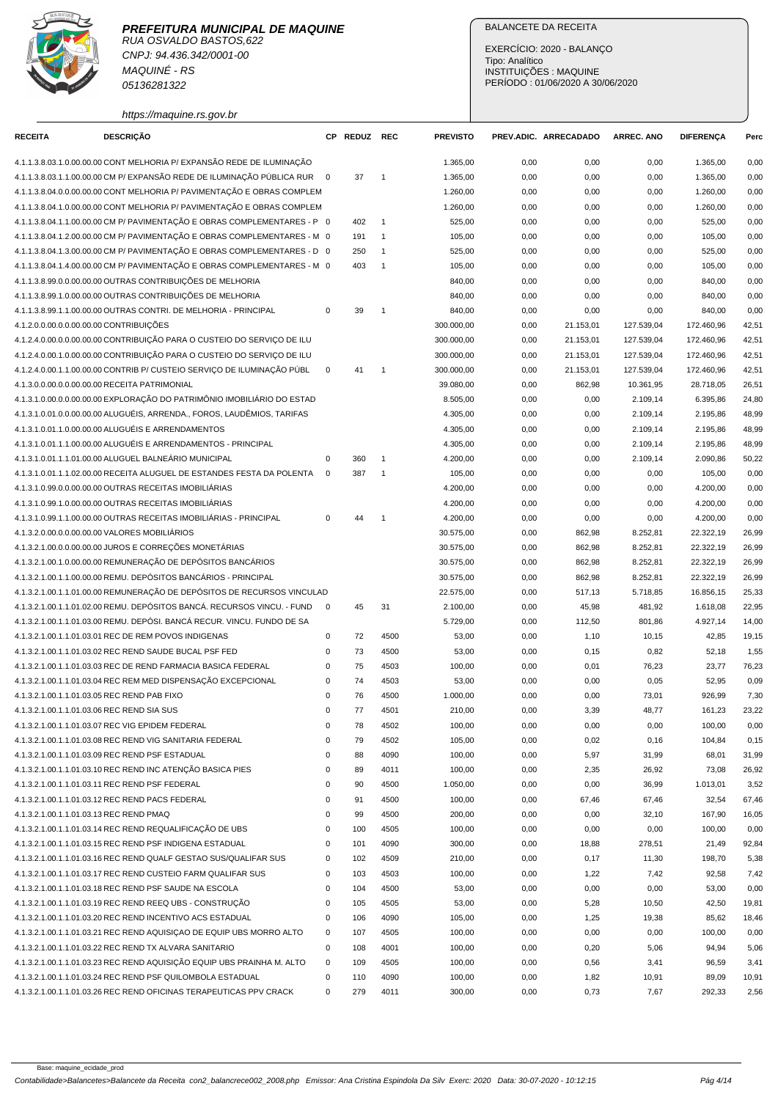

CNPJ: 94.436.342/0001-00 MAQUINÉ - RS 05136281322

https://maquine.rs.gov.br

## BALANCETE DA RECEITA

EXERCÍCIO: 2020 - BALANÇO Tipo: Analítico INSTITUIÇÕES : MAQUINE PERÍODO : 01/06/2020 A 30/06/2020

| <b>RECEITA</b> | <b>DESCRIÇÃO</b>                                                                                                             |              | CP REDUZ REC |                | <b>PREVISTO</b> |              | PREV.ADIC. ARRECADADO | <b>ARREC. ANO</b> | <b>DIFERENÇA</b> | Perc           |
|----------------|------------------------------------------------------------------------------------------------------------------------------|--------------|--------------|----------------|-----------------|--------------|-----------------------|-------------------|------------------|----------------|
|                | 4.1.1.3.8.03.1.0.00.00.00 CONT MELHORIA P/ EXPANSÃO REDE DE ILUMINAÇÃO                                                       |              |              |                | 1.365,00        | 0,00         | 0,00                  | 0,00              | 1.365.00         | 0,00           |
|                | 4.1.1.3.8.03.1.1.00.00.00 CM P/ EXPANSÃO REDE DE ILUMINAÇÃO PÚBLICA RUR 0                                                    |              | 37           | $\overline{1}$ | 1.365,00        | 0,00         | 0,00                  | 0,00              | 1.365,00         | 0,00           |
|                | 4.1.1.3.8.04.0.0.00.00.00 CONT MELHORIA P/ PAVIMENTAÇÃO E OBRAS COMPLEM                                                      |              |              |                | 1.260,00        | 0,00         | 0,00                  | 0,00              | 1.260,00         | 0,00           |
|                | 4.1.1.3.8.04.1.0.00.00.00 CONT MELHORIA P/ PAVIMENTAÇÃO E OBRAS COMPLEM                                                      |              |              |                | 1.260,00        | 0,00         | 0,00                  | 0,00              | 1.260,00         | 0,00           |
|                | 4.1.1.3.8.04.1.1.00.00.00 CM P/ PAVIMENTAÇÃO E OBRAS COMPLEMENTARES - P 0                                                    |              | 402          | $\mathbf{1}$   | 525,00          | 0,00         | 0,00                  | 0,00              | 525,00           | 0,00           |
|                | 4.1.1.3.8.04.1.2.00.00.00 CM P/ PAVIMENTAÇÃO E OBRAS COMPLEMENTARES - M 0                                                    |              | 191          | $\mathbf{1}$   | 105,00          | 0,00         | 0,00                  | 0,00              | 105,00           | 0,00           |
|                | 4.1.1.3.8.04.1.3.00.00.00 CM P/ PAVIMENTAÇÃO E OBRAS COMPLEMENTARES - D 0                                                    |              | 250          | $\mathbf{1}$   | 525,00          | 0,00         | 0,00                  | 0,00              | 525,00           | 0,00           |
|                | 4.1.1.3.8.04.1.4.00.00.00 CM P/ PAVIMENTAÇÃO E OBRAS COMPLEMENTARES - M 0                                                    |              | 403          | $\overline{1}$ | 105,00          | 0,00         | 0,00                  | 0,00              | 105,00           | 0,00           |
|                | 4.1.1.3.8.99.0.0.00.00.00 OUTRAS CONTRIBUIÇÕES DE MELHORIA                                                                   |              |              |                | 840,00          | 0,00         | 0,00                  | 0,00              | 840,00           | 0,00           |
|                | 4.1.1.3.8.99.1.0.00.00.00 OUTRAS CONTRIBUIÇÕES DE MELHORIA                                                                   |              |              |                | 840,00          | 0,00         | 0,00                  | 0,00              | 840,00           | 0,00           |
|                | 4.1.1.3.8.99.1.1.00.00.00 OUTRAS CONTRI. DE MELHORIA - PRINCIPAL                                                             | $\mathbf 0$  | 39           | $\overline{1}$ | 840,00          | 0,00         | 0,00                  | 0,00              | 840,00           | 0,00           |
|                | 4.1.2.0.0.00.0.0.00.00.00 CONTRIBUIÇÕES                                                                                      |              |              |                | 300.000,00      | 0,00         | 21.153,01             | 127.539,04        | 172.460,96       | 42,51          |
|                | 4.1.2.4.0.00.0.0.00.00.00 CONTRIBUIÇÃO PARA O CUSTEIO DO SERVIÇO DE ILU                                                      |              |              |                | 300.000,00      | 0,00         | 21.153,01             | 127.539,04        | 172.460,96       | 42,51          |
|                | 4.1.2.4.0.00.1.0.00.00.00 CONTRIBUIÇÃO PARA O CUSTEIO DO SERVIÇO DE ILU                                                      |              |              |                | 300.000,00      | 0,00         | 21.153,01             | 127.539,04        | 172.460,96       | 42,51          |
|                | 4.1.2.4.0.00.1.1.00.00.00 CONTRIB P/ CUSTEIO SERVIÇO DE ILUMINAÇÃO PÚBL                                                      | $\mathbf 0$  | 41           | $\overline{1}$ | 300.000,00      | 0,00         | 21.153,01             | 127.539,04        | 172.460,96       | 42,51          |
|                | 4.1.3.0.0.00.0.0.00.00.00 RECEITA PATRIMONIAL                                                                                |              |              |                | 39.080,00       | 0,00         | 862,98                | 10.361,95         | 28.718,05        | 26,51          |
|                | 4.1.3.1.0.00.0.0.00.00.00 EXPLORAÇÃO DO PATRIMÔNIO IMOBILIÁRIO DO ESTAD                                                      |              |              |                | 8.505,00        | 0,00         | 0,00                  | 2.109,14          | 6.395,86         | 24,80          |
|                | 4.1.3.1.0.01.0.0.00.00.00 ALUGUÉIS, ARRENDA., FOROS, LAUDÊMIOS, TARIFAS                                                      |              |              |                | 4.305,00        | 0,00         | 0,00                  | 2.109,14          | 2.195,86         | 48,99          |
|                | 4.1.3.1.0.01.1.0.00.00.00 ALUGUÉIS E ARRENDAMENTOS                                                                           |              |              |                | 4.305,00        | 0,00         | 0,00                  | 2.109,14          | 2.195,86         | 48,99          |
|                | 4.1.3.1.0.01.1.1.00.00.00 ALUGUÉIS E ARRENDAMENTOS - PRINCIPAL                                                               |              |              |                | 4.305,00        | 0,00         | 0,00                  | 2.109,14          | 2.195,86         | 48,99          |
|                | 4.1.3.1.0.01.1.1.01.00.00 ALUGUEL BALNEÁRIO MUNICIPAL                                                                        | 0            | 360          | $\overline{1}$ | 4.200,00        | 0,00         | 0,00                  | 2.109,14          | 2.090,86         | 50,22          |
|                | 4.1.3.1.0.01.1.1.02.00.00 RECEITA ALUGUEL DE ESTANDES FESTA DA POLENTA                                                       | $\mathbf{0}$ | 387          | $\overline{1}$ | 105,00          | 0,00         | 0,00                  | 0,00              | 105,00           | 0,00           |
|                | 4.1.3.1.0.99.0.0.00.00.00 OUTRAS RECEITAS IMOBILIÁRIAS                                                                       |              |              |                | 4.200,00        | 0,00         | 0,00                  | 0,00              | 4.200,00         | 0,00           |
|                | 4.1.3.1.0.99.1.0.00.00.00 OUTRAS RECEITAS IMOBILIÁRIAS                                                                       |              |              |                | 4.200,00        | 0,00         | 0,00                  | 0,00              | 4.200,00         | 0,00           |
|                | 4.1.3.1.0.99.1.1.00.00.00 OUTRAS RECEITAS IMOBILIÁRIAS - PRINCIPAL                                                           | $\mathbf 0$  | 44           | $\overline{1}$ | 4.200,00        | 0,00         | 0,00                  | 0,00              | 4.200,00         | 0,00           |
|                | 4.1.3.2.0.00.0.0.00.00.00 VALORES MOBILIÁRIOS                                                                                |              |              |                | 30.575,00       | 0,00         | 862,98                | 8.252,81          | 22.322,19        | 26,99          |
|                | 4.1.3.2.1.00.0.0.00.00.00 JUROS E CORREÇÕES MONETÁRIAS                                                                       |              |              |                | 30.575,00       | 0,00         | 862,98                | 8.252,81          | 22.322,19        | 26,99          |
|                | 4.1.3.2.1.00.1.0.00.00.00 REMUNERAÇÃO DE DEPÓSITOS BANCÁRIOS                                                                 |              |              |                | 30.575,00       | 0,00         | 862,98                | 8.252,81          | 22.322,19        | 26,99          |
|                | 4.1.3.2.1.00.1.1.00.00.00 REMU. DEPÓSITOS BANCÁRIOS - PRINCIPAL                                                              |              |              |                | 30.575,00       | 0,00         | 862,98                | 8.252,81          | 22.322,19        | 26,99          |
|                | 4.1.3.2.1.00.1.1.01.00.00 REMUNERAÇÃO DE DEPÓSITOS DE RECURSOS VINCULAD                                                      |              |              |                | 22.575,00       | 0,00         | 517,13                | 5.718,85          | 16.856,15        | 25,33          |
|                | 4.1.3.2.1.00.1.1.01.02.00 REMU. DEPÓSITOS BANCÁ. RECURSOS VINCU. - FUND                                                      | $\mathbf 0$  | 45           | 31             | 2.100,00        | 0,00         | 45,98                 | 481,92            | 1.618,08         | 22,95          |
|                | 4.1.3.2.1.00.1.1.01.03.00 REMU. DEPÓSI. BANCÁ RECUR. VINCU. FUNDO DE SA                                                      |              |              |                | 5.729,00        | 0,00         | 112,50                | 801,86            | 4.927,14         | 14,00          |
|                | 4.1.3.2.1.00.1.1.01.03.01 REC DE REM POVOS INDIGENAS                                                                         | 0            | 72           | 4500           | 53,00           | 0,00         | 1,10                  | 10,15             | 42,85            | 19,15          |
|                | 4.1.3.2.1.00.1.1.01.03.02 REC REND SAUDE BUCAL PSF FED                                                                       | 0            | 73           | 4500           | 53,00           | 0,00         | 0,15                  | 0,82              | 52,18            | 1,55           |
|                | 4.1.3.2.1.00.1.1.01.03.03 REC DE REND FARMACIA BASICA FEDERAL                                                                | 0            | 75           | 4503           | 100,00          | 0,00         | 0,01                  | 76,23             | 23,77            | 76,23          |
|                | 4.1.3.2.1.00.1.1.01.03.04 REC REM MED DISPENSAÇÃO EXCEPCIONAL                                                                | 0            | 74           | 4503           | 53,00           | 0,00         | 0,00                  | 0,05              | 52,95            | 0,09           |
|                | 4.1.3.2.1.00.1.1.01.03.05 REC REND PAB FIXO                                                                                  | 0            | 76           | 4500           | 1.000,00        | 0,00         | 0,00                  | 73,01             | 926,99           | 7,30           |
|                | 4.1.3.2.1.00.1.1.01.03.06 REC REND SIA SUS                                                                                   | $\mathbf 0$  | 77           | 4501           | 210,00          | 0,00         | 3,39                  | 48,77             | 161,23           | 23,22          |
|                | 4.1.3.2.1.00.1.1.01.03.07 REC VIG EPIDEM FEDERAL                                                                             | 0            | 78           | 4502           | 100,00          | 0,00         | 0,00                  | 0,00              | 100,00           | 0,00           |
|                | 4.1.3.2.1.00.1.1.01.03.08 REC REND VIG SANITARIA FEDERAL                                                                     | $\mathsf 0$  | 79           | 4502           | 105,00          | 0,00         | 0,02                  | 0, 16             | 104,84           | 0,15           |
|                | 4.1.3.2.1.00.1.1.01.03.09 REC REND PSF ESTADUAL                                                                              | 0            | 88           | 4090           | 100,00          | 0,00         | 5,97                  | 31,99             | 68,01            | 31,99          |
|                | 4.1.3.2.1.00.1.1.01.03.10 REC REND INC ATENÇÃO BASICA PIES                                                                   | 0            | 89           | 4011           | 100,00          | 0,00         | 2,35                  | 26,92             | 73,08            | 26,92          |
|                | 4.1.3.2.1.00.1.1.01.03.11 REC REND PSF FEDERAL                                                                               | 0            | 90           | 4500           | 1.050,00        | 0,00         | 0,00                  | 36,99             | 1.013,01         | 3,52           |
|                | 4.1.3.2.1.00.1.1.01.03.12 REC REND PACS FEDERAL                                                                              | 0            | 91           | 4500           | 100,00          | 0,00         | 67,46                 | 67,46             | 32,54            | 67,46          |
|                | 4.1.3.2.1.00.1.1.01.03.13 REC REND PMAQ                                                                                      | 0            | 99           | 4500           | 200,00          | 0,00         | 0,00                  | 32,10             | 167,90           | 16,05          |
|                | 4.1.3.2.1.00.1.1.01.03.14 REC REND REQUALIFICAÇÃO DE UBS                                                                     | 0            | 100          | 4505           | 100,00          | 0,00         | 0,00                  | 0,00              | 100,00           | 0,00           |
|                | 4.1.3.2.1.00.1.1.01.03.15 REC REND PSF INDIGENA ESTADUAL<br>4.1.3.2.1.00.1.1.01.03.16 REC REND QUALF GESTAO SUS/QUALIFAR SUS | 0<br>0       | 101<br>102   | 4090<br>4509   | 300,00          | 0,00         | 18,88<br>0,17         | 278,51            | 21,49            | 92,84<br>5,38  |
|                | 4.1.3.2.1.00.1.1.01.03.17 REC REND CUSTEIO FARM QUALIFAR SUS                                                                 | $\mathsf 0$  |              |                | 210,00          | 0,00         |                       | 11,30             | 198,70           |                |
|                | 4.1.3.2.1.00.1.1.01.03.18 REC REND PSF SAUDE NA ESCOLA                                                                       | $\mathsf 0$  | 103<br>104   | 4503<br>4500   | 100,00<br>53,00 | 0,00<br>0,00 | 1,22<br>0,00          | 7,42<br>0,00      | 92,58<br>53,00   | 7,42<br>0,00   |
|                |                                                                                                                              | $\pmb{0}$    |              |                |                 |              |                       |                   |                  |                |
|                | 4.1.3.2.1.00.1.1.01.03.19 REC REND REEQ UBS - CONSTRUÇÃO<br>4.1.3.2.1.00.1.1.01.03.20 REC REND INCENTIVO ACS ESTADUAL        | 0            | 105<br>106   | 4505<br>4090   | 53,00<br>105,00 | 0,00<br>0,00 | 5,28<br>1,25          | 10,50<br>19,38    | 42,50<br>85,62   | 19,81<br>18,46 |
|                | 4.1.3.2.1.00.1.1.01.03.21 REC REND AQUISIÇAO DE EQUIP UBS MORRO ALTO                                                         | 0            | 107          | 4505           | 100,00          | 0,00         | 0,00                  | 0,00              | 100,00           | 0,00           |
|                | 4.1.3.2.1.00.1.1.01.03.22 REC REND TX ALVARA SANITARIO                                                                       | 0            | 108          | 4001           | 100,00          | 0,00         | 0,20                  | 5,06              | 94,94            | 5,06           |
|                | 4.1.3.2.1.00.1.1.01.03.23 REC REND AQUISIÇÃO EQUIP UBS PRAINHA M. ALTO                                                       | $\mathbf 0$  | 109          | 4505           | 100,00          | 0,00         | 0,56                  | 3,41              | 96,59            | 3,41           |
|                | 4.1.3.2.1.00.1.1.01.03.24 REC REND PSF QUILOMBOLA ESTADUAL                                                                   | 0            | 110          | 4090           | 100,00          | 0,00         | 1,82                  | 10,91             | 89,09            | 10,91          |
|                | 4.1.3.2.1.00.1.1.01.03.26 REC REND OFICINAS TERAPEUTICAS PPV CRACK                                                           | $\mathbf 0$  | 279          | 4011           | 300,00          | 0,00         | 0,73                  | 7,67              | 292,33           | 2,56           |
|                |                                                                                                                              |              |              |                |                 |              |                       |                   |                  |                |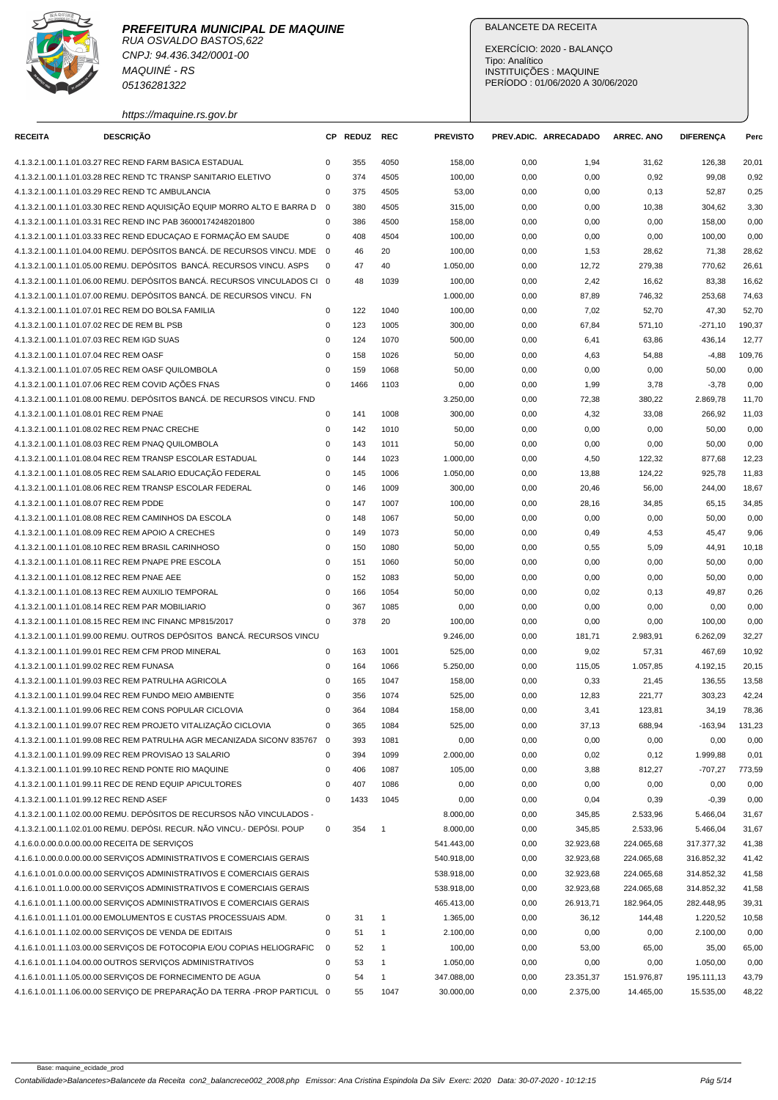

CNPJ: 94.436.342/0001-00 MAQUINÉ - RS 05136281322

https://maquine.rs.gov.br

## BALANCETE DA RECEITA

EXERCÍCIO: 2020 - BALANÇO Tipo: Analítico INSTITUIÇÕES : MAQUINE PERÍODO : 01/06/2020 A 30/06/2020

| <b>RECEITA</b>                              | <b>DESCRIÇÃO</b>                                                                                                                          |                | CP REDUZ | <b>REC</b>     | <b>PREVISTO</b> |      | PREV.ADIC. ARRECADADO | <b>ARREC, ANO</b> | <b>DIFERENÇA</b> | Perc           |
|---------------------------------------------|-------------------------------------------------------------------------------------------------------------------------------------------|----------------|----------|----------------|-----------------|------|-----------------------|-------------------|------------------|----------------|
|                                             |                                                                                                                                           |                |          |                |                 |      |                       |                   |                  |                |
|                                             | 4.1.3.2.1.00.1.1.01.03.27 REC REND FARM BASICA ESTADUAL                                                                                   | 0              | 355      | 4050           | 158,00          | 0,00 | 1,94                  | 31,62             | 126,38           | 20,01          |
|                                             | 4.1.3.2.1.00.1.1.01.03.28 REC REND TC TRANSP SANITARIO ELETIVO                                                                            | 0              | 374      | 4505           | 100,00          | 0,00 | 0,00                  | 0,92              | 99,08            | 0,92           |
|                                             | 4.1.3.2.1.00.1.1.01.03.29 REC REND TC AMBULANCIA                                                                                          | 0              | 375      | 4505           | 53,00           | 0,00 | 0,00                  | 0, 13             | 52,87            | 0,25           |
|                                             | 4.1.3.2.1.00.1.1.01.03.30 REC REND AQUISIÇÃO EQUIP MORRO ALTO E BARRA D                                                                   | $\overline{0}$ | 380      | 4505           | 315,00          | 0,00 | 0,00                  | 10,38             | 304,62           | 3,30           |
|                                             | 4.1.3.2.1.00.1.1.01.03.31 REC REND INC PAB 36000174248201800                                                                              | $\mathbf 0$    | 386      | 4500           | 158,00          | 0,00 | 0,00                  | 0,00              | 158,00           | 0,00           |
|                                             | 4.1.3.2.1.00.1.1.01.03.33 REC REND EDUCAÇÃO E FORMAÇÃO EM SAUDE                                                                           | 0              | 408      | 4504           | 100,00          | 0,00 | 0,00                  | 0,00              | 100,00           | 0,00           |
|                                             | 4.1.3.2.1.00.1.1.01.04.00 REMU. DEPÓSITOS BANCÁ. DE RECURSOS VINCU. MDE                                                                   | $\overline{0}$ | 46       | 20             | 100,00          | 0,00 | 1,53                  | 28,62             | 71,38            | 28,62          |
|                                             | 4.1.3.2.1.00.1.1.01.05.00 REMU. DEPÓSITOS BANCÁ. RECURSOS VINCU. ASPS                                                                     | 0              | 47       | 40             | 1.050,00        | 0,00 | 12,72                 | 279,38            | 770,62           | 26,61          |
|                                             | 4.1.3.2.1.00.1.1.01.06.00 REMU. DEPÓSITOS BANCÁ. RECURSOS VINCULADOS CI 0                                                                 |                | 48       | 1039           | 100,00          | 0,00 | 2,42                  | 16,62             | 83,38            | 16,62          |
|                                             | 4.1.3.2.1.00.1.1.01.07.00 REMU. DEPÓSITOS BANCÁ. DE RECURSOS VINCU. FN                                                                    |                |          |                | 1.000,00        | 0,00 | 87,89                 | 746,32            | 253,68           | 74,63          |
|                                             | 4.1.3.2.1.00.1.1.01.07.01 REC REM DO BOLSA FAMILIA                                                                                        | $\mathbf 0$    | 122      | 1040           | 100,00          | 0,00 | 7,02                  | 52,70             | 47,30            | 52,70          |
| 4.1.3.2.1.00.1.1.01.07.02 REC DE REM BL PSB |                                                                                                                                           | $\mathsf 0$    | 123      | 1005           | 300,00          | 0,00 | 67,84                 | 571,10            | $-271,10$        | 190,37         |
| 4.1.3.2.1.00.1.1.01.07.03 REC REM IGD SUAS  |                                                                                                                                           | 0              | 124      | 1070           | 500,00          | 0,00 | 6,41                  | 63,86             | 436,14           | 12,77          |
| 4.1.3.2.1.00.1.1.01.07.04 REC REM OASF      |                                                                                                                                           | $\mathbf 0$    | 158      | 1026           | 50,00           | 0,00 | 4,63                  | 54,88             | $-4,88$          | 109,76         |
|                                             | 4.1.3.2.1.00.1.1.01.07.05 REC REM OASF QUILOMBOLA                                                                                         | $\Omega$       | 159      | 1068           | 50,00           | 0,00 | 0,00                  | 0,00              | 50,00            | 0,00           |
|                                             | 4.1.3.2.1.00.1.1.01.07.06 REC REM COVID AÇÕES FNAS                                                                                        | $\mathbf 0$    | 1466     | 1103           | 0,00            | 0,00 | 1,99                  | 3,78              | $-3,78$          | 0,00           |
|                                             | 4.1.3.2.1.00.1.1.01.08.00 REMU. DEPÓSITOS BANCÁ. DE RECURSOS VINCU. FND                                                                   |                |          |                | 3.250,00        | 0,00 | 72,38                 | 380,22            | 2.869,78         | 11,70          |
| 4.1.3.2.1.00.1.1.01.08.01 REC REM PNAE      |                                                                                                                                           | 0              | 141      | 1008           | 300,00          | 0,00 | 4,32                  | 33,08             | 266,92           | 11,03          |
|                                             | 4.1.3.2.1.00.1.1.01.08.02 REC REM PNAC CRECHE                                                                                             | $\mathsf 0$    | 142      | 1010           | 50,00           | 0,00 | 0,00                  | 0,00              | 50,00            | 0,00           |
|                                             | 4.1.3.2.1.00.1.1.01.08.03 REC REM PNAQ QUILOMBOLA                                                                                         | 0              | 143      | 1011           | 50,00           | 0,00 | 0,00                  | 0,00              | 50,00            | 0,00           |
|                                             | 4.1.3.2.1.00.1.1.01.08.04 REC REM TRANSP ESCOLAR ESTADUAL                                                                                 | $\mathbf 0$    | 144      | 1023           | 1.000,00        | 0,00 | 4,50                  | 122,32            | 877,68           | 12,23          |
|                                             | 4.1.3.2.1.00.1.1.01.08.05 REC REM SALARIO EDUCAÇÃO FEDERAL                                                                                | $\mathsf 0$    | 145      | 1006           | 1.050,00        | 0,00 | 13,88                 | 124,22            | 925,78           | 11,83          |
|                                             | 4.1.3.2.1.00.1.1.01.08.06 REC REM TRANSP ESCOLAR FEDERAL                                                                                  | $\mathbf 0$    | 146      | 1009           | 300,00          | 0,00 | 20,46                 | 56,00             | 244,00           | 18,67          |
| 4.1.3.2.1.00.1.1.01.08.07 REC REM PDDE      |                                                                                                                                           | 0              | 147      | 1007           | 100,00          | 0,00 | 28,16                 | 34,85             | 65,15            | 34,85          |
|                                             | 4.1.3.2.1.00.1.1.01.08.08 REC REM CAMINHOS DA ESCOLA                                                                                      | 0              | 148      | 1067           | 50,00           | 0,00 | 0,00                  | 0,00              | 50,00            | 0,00           |
|                                             | 4.1.3.2.1.00.1.1.01.08.09 REC REM APOIO A CRECHES                                                                                         | $\mathbf 0$    | 149      | 1073           | 50,00           | 0,00 | 0,49                  | 4,53              | 45,47            | 9,06           |
|                                             | 4.1.3.2.1.00.1.1.01.08.10 REC REM BRASIL CARINHOSO                                                                                        | $\mathbf 0$    | 150      | 1080           | 50,00           | 0,00 | 0,55                  | 5,09              | 44,91            | 10,18          |
|                                             | 4.1.3.2.1.00.1.1.01.08.11 REC REM PNAPE PRE ESCOLA                                                                                        | $\mathsf 0$    | 151      | 1060           | 50,00           | 0,00 | 0,00                  | 0,00              | 50,00            | 0,00           |
| 4.1.3.2.1.00.1.1.01.08.12 REC REM PNAE AEE  |                                                                                                                                           | 0              | 152      | 1083           | 50,00           | 0,00 | 0,00                  | 0,00              | 50,00            | 0,00           |
|                                             | 4.1.3.2.1.00.1.1.01.08.13 REC REM AUXILIO TEMPORAL                                                                                        | $\mathbf 0$    | 166      | 1054           | 50,00           | 0,00 | 0,02                  | 0,13              | 49,87            | 0,26           |
|                                             | 4.1.3.2.1.00.1.1.01.08.14 REC REM PAR MOBILIARIO                                                                                          | $\mathbf 0$    | 367      | 1085           | 0,00            | 0,00 | 0,00                  | 0,00              | 0,00             | 0,00           |
|                                             | 4.1.3.2.1.00.1.1.01.08.15 REC REM INC FINANC MP815/2017                                                                                   | $\mathbf 0$    | 378      | 20             | 100,00          | 0,00 | 0,00                  | 0,00              | 100,00           | 0,00           |
|                                             | 4.1.3.2.1.00.1.1.01.99.00 REMU, OUTROS DEPÓSITOS BANCÁ, RECURSOS VINCU                                                                    |                |          |                | 9.246,00        | 0,00 | 181,71                | 2.983,91          | 6.262,09         | 32,27          |
|                                             | 4.1.3.2.1.00.1.1.01.99.01 REC REM CFM PROD MINERAL                                                                                        | 0              | 163      | 1001           | 525,00          | 0,00 | 9,02                  | 57,31             | 467,69           | 10,92          |
| 4.1.3.2.1.00.1.1.01.99.02 REC REM FUNASA    |                                                                                                                                           | $\mathbf 0$    | 164      | 1066           | 5.250,00        | 0,00 | 115,05                | 1.057,85          | 4.192,15         | 20,15          |
|                                             | 4.1.3.2.1.00.1.1.01.99.03 REC REM PATRULHA AGRICOLA                                                                                       | $\Omega$       | 165      | 1047           | 158,00          | 0,00 | 0,33                  | 21,45             | 136,55           | 13,58          |
|                                             | 4.1.3.2.1.00.1.1.01.99.04 REC REM FUNDO MEIO AMBIENTE                                                                                     | 0              | 356      | 1074           | 525,00          | 0,00 | 12,83                 | 221,77            | 303,23           | 42,24          |
|                                             | 4.1.3.2.1.00.1.1.01.99.06 REC REM CONS POPULAR CICLOVIA                                                                                   | $\Omega$       | 364      | 1084           | 158,00          | 0,00 | 3,41                  | 123,81            | 34,19            | 78,36          |
|                                             |                                                                                                                                           | $\mathsf 0$    | 365      | 1084           |                 |      |                       |                   |                  |                |
|                                             | 4.1.3.2.1.00.1.1.01.99.07 REC REM PROJETO VITALIZAÇÃO CICLOVIA<br>4.1.3.2.1.00.1.1.01.99.08 REC REM PATRULHA AGR MECANIZADA SICONV 835767 | $\mathbf 0$    |          | 1081           | 525,00          | 0,00 | 37,13                 | 688,94            | $-163,94$        | 131,23<br>0,00 |
|                                             | 4.1.3.2.1.00.1.1.01.99.09 REC REM PROVISAO 13 SALARIO                                                                                     |                | 393      |                | 0,00            | 0,00 | 0,00                  | 0,00              | 0,00             |                |
|                                             |                                                                                                                                           | 0              | 394      | 1099           | 2.000,00        | 0,00 | 0,02                  | 0,12              | 1.999,88         | 0,01           |
|                                             | 4.1.3.2.1.00.1.1.01.99.10 REC REND PONTE RIO MAQUINE                                                                                      | $\mathsf 0$    | 406      | 1087           | 105,00          | 0,00 | 3,88                  | 812,27            | $-707,27$        | 773,59         |
|                                             | 4.1.3.2.1.00.1.1.01.99.11 REC DE REND EQUIP APICULTORES                                                                                   | $\mathbf 0$    | 407      | 1086           | 0,00            | 0,00 | 0,00                  | 0,00              | 0,00             | 0,00           |
| 4.1.3.2.1.00.1.1.01.99.12 REC REND ASEF     |                                                                                                                                           | $\mathbf 0$    | 1433     | 1045           | 0,00            | 0,00 | 0,04                  | 0,39              | $-0,39$          | 0,00           |
|                                             | 4.1.3.2.1.00.1.1.02.00.00 REMU. DEPÓSITOS DE RECURSOS NÃO VINCULADOS -                                                                    |                |          |                | 8.000,00        | 0,00 | 345,85                | 2.533,96          | 5.466,04         | 31,67          |
|                                             | 4.1.3.2.1.00.1.1.02.01.00 REMU. DEPÓSI. RECUR. NÃO VINCU.- DEPÓSI. POUP                                                                   | $\mathbf 0$    | 354      | $\overline{1}$ | 8.000,00        | 0,00 | 345,85                | 2.533,96          | 5.466,04         | 31,67          |
|                                             | 4.1.6.0.0.00.0.0.00.00.00 RECEITA DE SERVICOS                                                                                             |                |          |                | 541.443,00      | 0,00 | 32.923,68             | 224.065,68        | 317.377,32       | 41,38          |
|                                             | 4.1.6.1.0.00.0.0.00.00.00 SERVIÇOS ADMINISTRATIVOS E COMERCIAIS GERAIS                                                                    |                |          |                | 540.918,00      | 0,00 | 32.923,68             | 224.065,68        | 316.852,32       | 41,42          |
|                                             | 4.1.6.1.0.01.0.00.00.00.00 SERVIÇOS ADMINISTRATIVOS E COMERCIAIS GERAIS                                                                   |                |          |                | 538.918,00      | 0,00 | 32.923,68             | 224.065,68        | 314.852,32       | 41,58          |
|                                             | 4.1.6.1.0.01.1.0.00.00.00 SERVIÇOS ADMINISTRATIVOS E COMERCIAIS GERAIS                                                                    |                |          |                | 538.918,00      | 0,00 | 32.923,68             | 224.065,68        | 314.852,32       | 41,58          |
|                                             | 4.1.6.1.0.01.1.1.00.00.00 SERVIÇOS ADMINISTRATIVOS E COMERCIAIS GERAIS                                                                    |                |          |                | 465.413,00      | 0,00 | 26.913,71             | 182.964,05        | 282.448,95       | 39,31          |
|                                             | 4.1.6.1.0.01.1.1.01.00.00 EMOLUMENTOS E CUSTAS PROCESSUAIS ADM.                                                                           | 0              | 31       | $\mathbf{1}$   | 1.365,00        | 0,00 | 36,12                 | 144,48            | 1.220,52         | 10,58          |
|                                             | 4.1.6.1.0.01.1.1.02.00.00 SERVIÇOS DE VENDA DE EDITAIS                                                                                    | $\mathsf 0$    | 51       | 1              | 2.100,00        | 0,00 | 0,00                  | 0,00              | 2.100,00         | 0,00           |
|                                             | 4.1.6.1.0.01.1.1.03.00.00 SERVIÇOS DE FOTOCOPIA E/OU COPIAS HELIOGRAFIC                                                                   | 0              | 52       | 1              | 100,00          | 0,00 | 53,00                 | 65,00             | 35,00            | 65,00          |
|                                             | 4.1.6.1.0.01.1.1.04.00.00 OUTROS SERVIÇOS ADMINISTRATIVOS                                                                                 | 0              | 53       |                | 1.050,00        | 0,00 | 0,00                  | 0,00              | 1.050,00         | 0,00           |
|                                             | 4.1.6.1.0.01.1.1.05.00.00 SERVIÇOS DE FORNECIMENTO DE AGUA                                                                                | 0              | 54       | $\mathbf{1}$   | 347.088,00      | 0,00 | 23.351,37             | 151.976,87        | 195.111,13       | 43,79          |
|                                             | 4.1.6.1.0.01.1.1.06.00.00 SERVIÇO DE PREPARAÇÃO DA TERRA -PROP PARTICUL 0                                                                 |                | 55       | 1047           | 30.000,00       | 0,00 | 2.375,00              | 14.465,00         | 15.535,00        | 48,22          |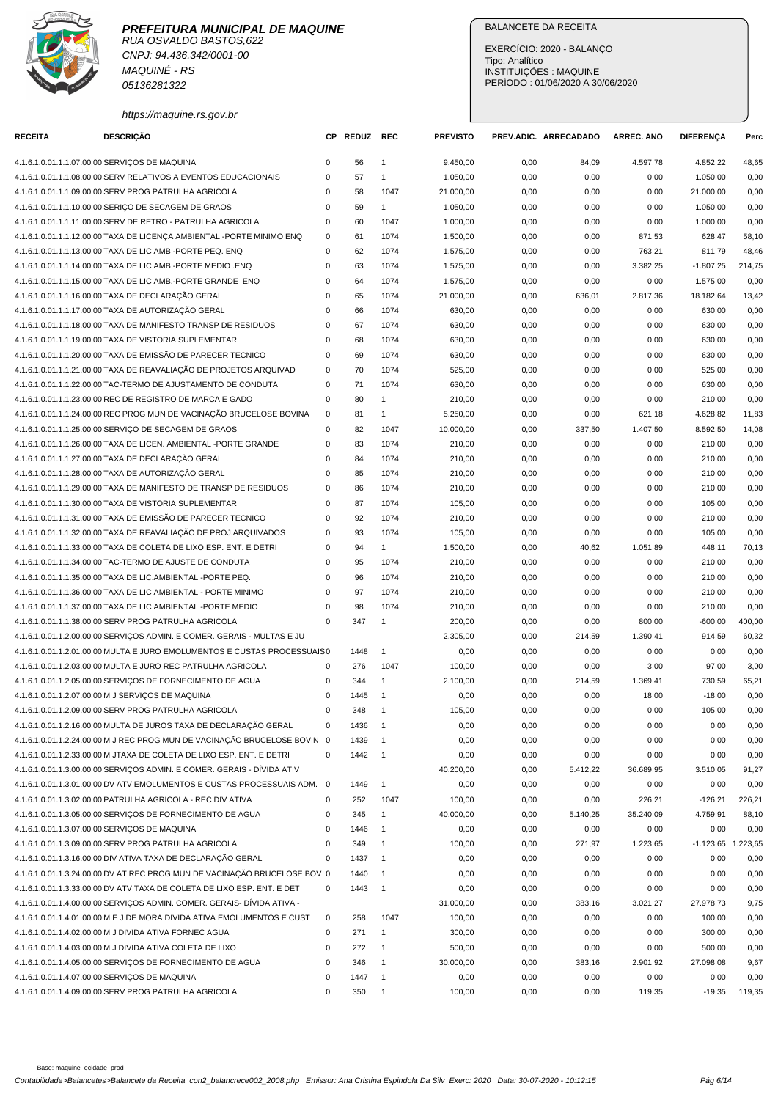

RUA OSVALDO BASTOS,622 CNPJ: 94.436.342/0001-00 MAQUINÉ - RS 05136281322

https://maquine.rs.gov.br

## BALANCETE DA RECEITA

| <b>RECEITA</b> | <b>DESCRIÇÃO</b>                                                                                                                   |             | CP REDUZ | <b>REC</b>               | <b>PREVISTO</b> |      | PREV.ADIC. ARRECADADO | <b>ARREC. ANO</b> | <b>DIFERENÇA</b>     | Perc   |
|----------------|------------------------------------------------------------------------------------------------------------------------------------|-------------|----------|--------------------------|-----------------|------|-----------------------|-------------------|----------------------|--------|
|                | 4.1.6.1.0.01.1.1.07.00.00 SERVIÇOS DE MAQUINA                                                                                      | $\mathbf 0$ | 56       | $\mathbf{1}$             | 9.450,00        | 0,00 | 84,09                 | 4.597,78          | 4.852,22             | 48,65  |
|                | 4.1.6.1.0.01.1.1.08.00.00 SERV RELATIVOS A EVENTOS EDUCACIONAIS                                                                    | 0           | 57       | $\mathbf{1}$             | 1.050,00        | 0,00 | 0,00                  | 0,00              | 1.050,00             | 0,00   |
|                | 4.1.6.1.0.01.1.1.09.00.00 SERV PROG PATRULHA AGRICOLA                                                                              | $\mathbf 0$ | 58       | 1047                     | 21.000,00       | 0,00 | 0,00                  | 0,00              | 21.000,00            | 0,00   |
|                | 4.1.6.1.0.01.1.1.10.00.00 SERIÇO DE SECAGEM DE GRAOS                                                                               | 0           | 59       | $\mathbf{1}$             | 1.050,00        | 0,00 | 0,00                  | 0,00              | 1.050,00             | 0,00   |
|                | 4.1.6.1.0.01.1.1.11.00.00 SERV DE RETRO - PATRULHA AGRICOLA                                                                        | 0           | 60       | 1047                     | 1.000,00        | 0,00 | 0,00                  | 0,00              | 1.000,00             | 0,00   |
|                |                                                                                                                                    | $\mathbf 0$ | 61       | 1074                     |                 |      |                       |                   | 628,47               | 58,10  |
|                | 4.1.6.1.0.01.1.1.12.00.00 TAXA DE LICENÇA AMBIENTAL -PORTE MINIMO ENQ<br>4.1.6.1.0.01.1.1.13.00.00 TAXA DE LIC AMB -PORTE PEQ. ENQ | $\mathbf 0$ | 62       | 1074                     | 1.500,00        | 0,00 | 0,00                  | 871,53            |                      |        |
|                |                                                                                                                                    | $\mathbf 0$ |          |                          | 1.575,00        | 0,00 | 0,00                  | 763,21            | 811,79               | 48,46  |
|                | 4.1.6.1.0.01.1.1.14.00.00 TAXA DE LIC AMB -PORTE MEDIO .ENQ                                                                        |             | 63       | 1074                     | 1.575,00        | 0,00 | 0,00                  | 3.382,25          | $-1.807,25$          | 214,75 |
|                | 4.1.6.1.0.01.1.1.15.00.00 TAXA DE LIC AMB.-PORTE GRANDE ENQ                                                                        | 0           | 64       | 1074                     | 1.575,00        | 0,00 | 0,00                  | 0,00              | 1.575,00             | 0,00   |
|                | 4.1.6.1.0.01.1.1.16.00.00 TAXA DE DECLARAÇÃO GERAL                                                                                 | $\mathbf 0$ | 65       | 1074                     | 21.000,00       | 0,00 | 636,01                | 2.817,36          | 18.182,64            | 13,42  |
|                | 4.1.6.1.0.01.1.1.17.00.00 TAXA DE AUTORIZAÇÃO GERAL                                                                                | 0           | 66       | 1074                     | 630,00          | 0,00 | 0,00                  | 0,00              | 630,00               | 0,00   |
|                | 4.1.6.1.0.01.1.1.18.00.00 TAXA DE MANIFESTO TRANSP DE RESIDUOS                                                                     | $\mathbf 0$ | 67       | 1074                     | 630,00          | 0,00 | 0,00                  | 0,00              | 630,00               | 0,00   |
|                | 4.1.6.1.0.01.1.1.19.00.00 TAXA DE VISTORIA SUPLEMENTAR                                                                             | $\mathbf 0$ | 68       | 1074                     | 630,00          | 0,00 | 0,00                  | 0,00              | 630,00               | 0,00   |
|                | 4.1.6.1.0.01.1.1.20.00.00 TAXA DE EMISSÃO DE PARECER TECNICO                                                                       | $\mathbf 0$ | 69       | 1074                     | 630,00          | 0,00 | 0,00                  | 0,00              | 630,00               | 0,00   |
|                | 4.1.6.1.0.01.1.1.21.00.00 TAXA DE REAVALIAÇÃO DE PROJETOS ARQUIVAD                                                                 | $\mathbf 0$ | 70       | 1074                     | 525,00          | 0,00 | 0,00                  | 0,00              | 525,00               | 0,00   |
|                | 4.1.6.1.0.01.1.1.22.00.00 TAC-TERMO DE AJUSTAMENTO DE CONDUTA                                                                      | $\mathbf 0$ | 71       | 1074                     | 630,00          | 0,00 | 0,00                  | 0,00              | 630,00               | 0,00   |
|                | 4.1.6.1.0.01.1.1.23.00.00 REC DE REGISTRO DE MARCA E GADO                                                                          | $\mathbf 0$ | 80       | $\mathbf{1}$             | 210,00          | 0,00 | 0,00                  | 0,00              | 210,00               | 0,00   |
|                | 4.1.6.1.0.01.1.1.24.00.00 REC PROG MUN DE VACINAÇÃO BRUCELOSE BOVINA                                                               | 0           | 81       | $\mathbf{1}$             | 5.250,00        | 0,00 | 0,00                  | 621,18            | 4.628,82             | 11,83  |
|                | 4.1.6.1.0.01.1.1.25.00.00 SERVIÇO DE SECAGEM DE GRAOS                                                                              | $\mathbf 0$ | 82       | 1047                     | 10.000,00       | 0,00 | 337,50                | 1.407,50          | 8.592,50             | 14,08  |
|                | 4.1.6.1.0.01.1.1.26.00.00 TAXA DE LICEN. AMBIENTAL -PORTE GRANDE                                                                   | $\mathbf 0$ | 83       | 1074                     | 210,00          | 0,00 | 0,00                  | 0,00              | 210,00               | 0,00   |
|                | 4.1.6.1.0.01.1.1.27.00.00 TAXA DE DECLARAÇÃO GERAL                                                                                 | 0           | 84       | 1074                     | 210,00          | 0,00 | 0,00                  | 0,00              | 210,00               | 0,00   |
|                | 4.1.6.1.0.01.1.1.28.00.00 TAXA DE AUTORIZAÇÃO GERAL                                                                                | $\mathbf 0$ | 85       | 1074                     | 210,00          | 0,00 | 0,00                  | 0,00              | 210,00               | 0,00   |
|                | 4.1.6.1.0.01.1.1.29.00.00 TAXA DE MANIFESTO DE TRANSP DE RESIDUOS                                                                  | 0           | 86       | 1074                     | 210,00          | 0,00 | 0,00                  | 0,00              | 210,00               | 0,00   |
|                | 4.1.6.1.0.01.1.1.30.00.00 TAXA DE VISTORIA SUPLEMENTAR                                                                             | $\mathbf 0$ | 87       | 1074                     | 105,00          | 0,00 | 0,00                  | 0,00              | 105,00               | 0,00   |
|                | 4.1.6.1.0.01.1.1.31.00.00 TAXA DE EMISSÃO DE PARECER TECNICO                                                                       | $\mathbf 0$ | 92       | 1074                     | 210,00          | 0,00 | 0,00                  | 0,00              | 210,00               | 0,00   |
|                | 4.1.6.1.0.01.1.1.32.00.00 TAXA DE REAVALIAÇÃO DE PROJ.ARQUIVADOS                                                                   | $\mathbf 0$ | 93       | 1074                     | 105,00          | 0,00 | 0,00                  | 0,00              | 105,00               | 0,00   |
|                | 4.1.6.1.0.01.1.1.33.00.00 TAXA DE COLETA DE LIXO ESP. ENT. E DETRI                                                                 | 0           | 94       | 1                        | 1.500,00        | 0,00 | 40,62                 | 1.051,89          | 448,11               | 70,13  |
|                | 4.1.6.1.0.01.1.1.34.00.00 TAC-TERMO DE AJUSTE DE CONDUTA                                                                           | $\mathbf 0$ | 95       | 1074                     | 210,00          | 0,00 | 0,00                  | 0,00              | 210,00               | 0,00   |
|                | 4.1.6.1.0.01.1.1.35.00.00 TAXA DE LIC.AMBIENTAL -PORTE PEQ.                                                                        | $\mathbf 0$ | 96       | 1074                     | 210,00          | 0,00 | 0,00                  | 0,00              | 210,00               | 0,00   |
|                | 4.1.6.1.0.01.1.1.36.00.00 TAXA DE LIC AMBIENTAL - PORTE MINIMO                                                                     | $\mathbf 0$ | 97       | 1074                     | 210,00          | 0,00 | 0,00                  | 0,00              | 210,00               | 0,00   |
|                | 4.1.6.1.0.01.1.1.37.00.00 TAXA DE LIC AMBIENTAL -PORTE MEDIO                                                                       | $\mathbf 0$ | 98       | 1074                     | 210,00          | 0,00 | 0,00                  | 0,00              | 210,00               | 0,00   |
|                | 4.1.6.1.0.01.1.1.38.00.00 SERV PROG PATRULHA AGRICOLA                                                                              | $\mathbf 0$ | 347      | $\mathbf{1}$             | 200,00          | 0,00 | 0,00                  | 800,00            | $-600,00$            | 400,00 |
|                | 4.1.6.1.0.01.1.2.00.00.00 SERVIÇOS ADMIN. E COMER. GERAIS - MULTAS E JU                                                            |             |          |                          | 2.305,00        | 0,00 | 214,59                | 1.390,41          | 914,59               | 60,32  |
|                | 4.1.6.1.0.01.1.2.01.00.00 MULTA E JURO EMOLUMENTOS E CUSTAS PROCESSUAIS 0                                                          |             | 1448     | $\mathbf{1}$             | 0,00            | 0,00 | 0,00                  | 0,00              | 0,00                 | 0,00   |
|                | 4.1.6.1.0.01.1.2.03.00.00 MULTA E JURO REC PATRULHA AGRICOLA                                                                       | $\mathbf 0$ | 276      | 1047                     | 100,00          | 0,00 | 0,00                  | 3,00              | 97,00                | 3,00   |
|                | 4.1.6.1.0.01.1.2.05.00.00 SERVICOS DE FORNECIMENTO DE AGUA                                                                         | 0           | 344      | $\mathbf{1}$             | 2.100,00        | 0,00 | 214,59                | 1.369,41          | 730,59               | 65,21  |
|                | 4.1.6.1.0.01.1.2.07.00.00 M J SERVIÇOS DE MAQUINA                                                                                  | 0           | 1445     | $\overline{1}$           | 0,00            | 0,00 | 0,00                  | 18,00             | $-18,00$             | 0,00   |
|                | 4.1.6.1.0.01.1.2.09.00.00 SERV PROG PATRULHA AGRICOLA                                                                              | $\mathbf 0$ | 348      | $\overline{1}$           | 105,00          | 0,00 | 0,00                  | 0,00              | 105,00               | 0,00   |
|                | 4.1.6.1.0.01.1.2.16.00.00 MULTA DE JUROS TAXA DE DECLARAÇÃO GERAL                                                                  | $\mathbf 0$ | 1436     | $\overline{1}$           | 0,00            | 0,00 | 0,00                  | 0,00              | 0,00                 | 0,00   |
|                | 4.1.6.1.0.01.1.2.24.00.00 M J REC PROG MUN DE VACINAÇÃO BRUCELOSE BOVIN 0                                                          |             | 1439     |                          | 0,00            | 0,00 | 0,00                  | 0,00              | 0,00                 | 0,00   |
|                | 4.1.6.1.0.01.1.2.33.00.00 M JTAXA DE COLETA DE LIXO ESP. ENT. E DETRI                                                              | $\mathbf 0$ | 1442     | $\overline{\phantom{0}}$ | 0,00            | 0,00 | 0,00                  | 0,00              | 0,00                 | 0,00   |
|                | 4.1.6.1.0.01.1.3.00.00.00 SERVIÇOS ADMIN. E COMER. GERAIS - DÍVIDA ATIV                                                            |             |          |                          | 40.200,00       | 0,00 | 5.412,22              | 36.689,95         | 3.510,05             | 91,27  |
|                |                                                                                                                                    |             |          |                          |                 |      |                       |                   |                      |        |
|                | 4.1.6.1.0.01.1.3.01.00.00 DV ATV EMOLUMENTOS E CUSTAS PROCESSUAIS ADM. 0                                                           |             | 1449     | $\mathbf{1}$             | 0,00            | 0,00 | 0,00                  | 0,00              | 0,00                 | 0,00   |
|                | 4.1.6.1.0.01.1.3.02.00.00 PATRULHA AGRICOLA - REC DIV ATIVA                                                                        | 0           | 252      | 1047                     | 100,00          | 0,00 | 0,00                  | 226,21            | $-126,21$            | 226,21 |
|                | 4.1.6.1.0.01.1.3.05.00.00 SERVIÇOS DE FORNECIMENTO DE AGUA                                                                         | 0           | 345      | $\mathbf{1}$             | 40.000,00       | 0,00 | 5.140,25              | 35.240,09         | 4.759,91             | 88,10  |
|                | 4.1.6.1.0.01.1.3.07.00.00 SERVICOS DE MAQUINA                                                                                      | 0           | 1446     | $\overline{1}$           | 0,00            | 0,00 | 0,00                  | 0,00              | 0,00                 | 0,00   |
|                | 4.1.6.1.0.01.1.3.09.00.00 SERV PROG PATRULHA AGRICOLA                                                                              | 0           | 349      | $\overline{1}$           | 100,00          | 0,00 | 271,97                | 1.223,65          | $-1.123,65$ 1.223,65 |        |
|                | 4.1.6.1.0.01.1.3.16.00.00 DIV ATIVA TAXA DE DECLARAÇÃO GERAL                                                                       | 0           | 1437     | $\overline{1}$           | 0,00            | 0,00 | 0,00                  | 0,00              | 0,00                 | 0,00   |
|                | 4.1.6.1.0.01.1.3.24.00.00 DV AT REC PROG MUN DE VACINAÇÃO BRUCELOSE BOV 0                                                          |             | 1440     | $\overline{1}$           | 0,00            | 0,00 | 0,00                  | 0,00              | 0,00                 | 0,00   |
|                | 4.1.6.1.0.01.1.3.33.00.00 DV ATV TAXA DE COLETA DE LIXO ESP. ENT. E DET                                                            | 0           | 1443     | $\overline{1}$           | 0,00            | 0,00 | 0,00                  | 0,00              | 0,00                 | 0,00   |
|                | 4.1.6.1.0.01.1.4.00.00.00 SERVIÇOS ADMIN. COMER. GERAIS- DÍVIDA ATIVA -                                                            |             |          |                          | 31.000,00       | 0,00 | 383,16                | 3.021,27          | 27.978,73            | 9,75   |
|                | 4.1.6.1.0.01.1.4.01.00.00 M E J DE MORA DIVIDA ATIVA EMOLUMENTOS E CUST                                                            | $\mathbf 0$ | 258      | 1047                     | 100,00          | 0,00 | 0,00                  | 0,00              | 100,00               | 0,00   |
|                | 4.1.6.1.0.01.1.4.02.00.00 M J DIVIDA ATIVA FORNEC AGUA                                                                             | 0           | 271      | 1                        | 300,00          | 0,00 | 0,00                  | 0,00              | 300,00               | 0,00   |
|                | 4.1.6.1.0.01.1.4.03.00.00 M J DIVIDA ATIVA COLETA DE LIXO                                                                          | 0           | 272      | -1                       | 500,00          | 0,00 | 0,00                  | 0,00              | 500,00               | 0,00   |
|                | 4.1.6.1.0.01.1.4.05.00.00 SERVIÇOS DE FORNECIMENTO DE AGUA                                                                         | 0           | 346      | $\overline{1}$           | 30.000,00       | 0,00 | 383,16                | 2.901,92          | 27.098,08            | 9,67   |
|                | 4.1.6.1.0.01.1.4.07.00.00 SERVIÇOS DE MAQUINA                                                                                      | 0           | 1447     | $\overline{1}$           | 0,00            | 0,00 | 0,00                  | 0,00              | 0,00                 | 0,00   |
|                | 4.1.6.1.0.01.1.4.09.00.00 SERV PROG PATRULHA AGRICOLA                                                                              | 0           | 350      | $\overline{1}$           | 100,00          | 0,00 | 0,00                  | 119,35            | $-19,35$             | 119,35 |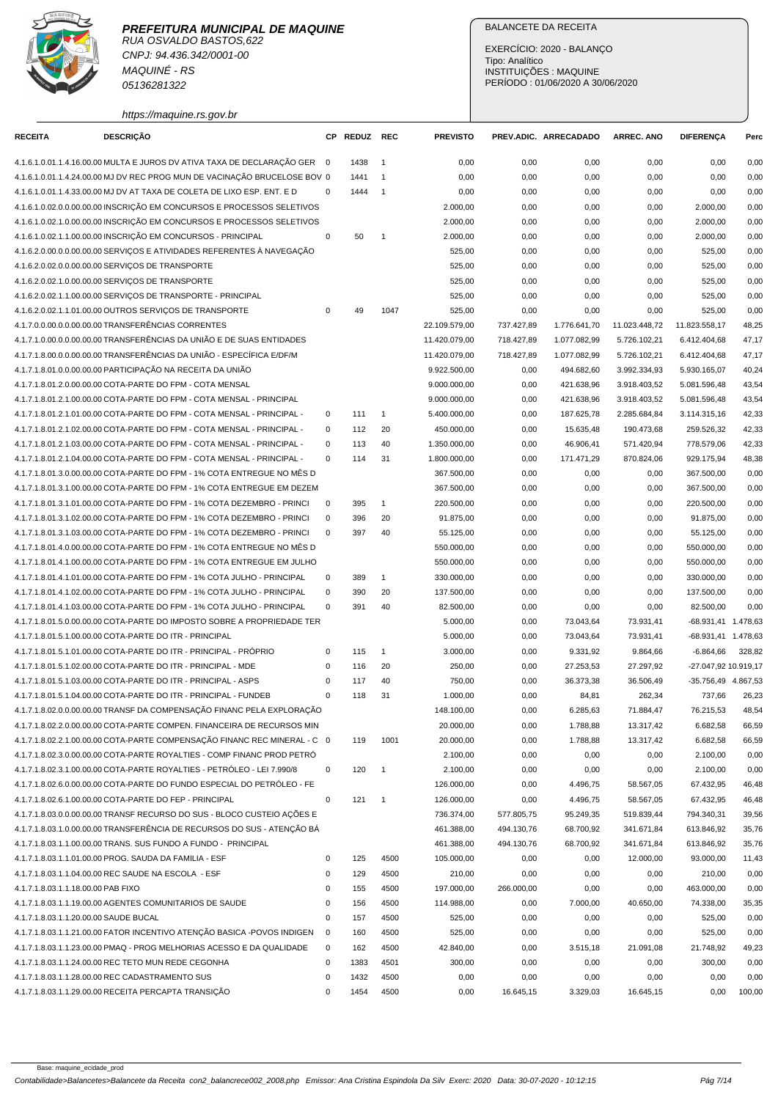

RUA OSVALDO BASTOS,622 CNPJ: 94.436.342/0001-00 MAQUINÉ - RS 05136281322

https://maquine.rs.gov.br

## BALANCETE DA RECEITA

| <b>RECEITA</b>                        | <b>DESCRIÇÃO</b>                                                          |             | CP REDUZ REC |                      | <b>PREVISTO</b> |            | PREV.ADIC. ARRECADADO | <b>ARREC. ANO</b> | <b>DIFERENCA</b>     | Perc   |
|---------------------------------------|---------------------------------------------------------------------------|-------------|--------------|----------------------|-----------------|------------|-----------------------|-------------------|----------------------|--------|
|                                       | 4.1.6.1.0.01.1.4.16.00.00 MULTA E JUROS DV ATIVA TAXA DE DECLARAÇÃO GER 0 |             | 1438         | $\overline{1}$       | 0,00            | 0,00       | 0,00                  | 0,00              | 0,00                 | 0,00   |
|                                       | 4.1.6.1.0.01.1.4.24.00.00 MJ DV REC PROG MUN DE VACINAÇÃO BRUCELOSE BOV 0 |             | 1441         | $\overline{1}$       | 0,00            | 0,00       | 0,00                  | 0,00              | 0,00                 | 0,00   |
|                                       | 4.1.6.1.0.01.1.4.33.00.00 MJ DV AT TAXA DE COLETA DE LIXO ESP. ENT. E D   | $\mathbf 0$ | 1444         | $\overline{1}$       | 0,00            | 0,00       | 0,00                  | 0,00              | 0,00                 | 0,00   |
|                                       | 4.1.6.1.0.02.0.0.00.00.00 INSCRIÇÃO EM CONCURSOS E PROCESSOS SELETIVOS    |             |              |                      | 2.000,00        | 0,00       | 0,00                  | 0,00              | 2.000,00             | 0,00   |
|                                       | 4.1.6.1.0.02.1.0.00.00.00 INSCRIÇÃO EM CONCURSOS E PROCESSOS SELETIVOS    |             |              |                      | 2.000,00        | 0,00       | 0,00                  | 0,00              | 2.000,00             | 0,00   |
|                                       | 4.1.6.1.0.02.1.1.00.00.00 INSCRIÇÃO EM CONCURSOS - PRINCIPAL              | 0           | 50           | $\mathbf{1}$         | 2.000,00        | 0,00       | 0,00                  | 0,00              | 2.000,00             | 0,00   |
|                                       | 4.1.6.2.0.00.0.0.00.00.00 SERVIÇOS E ATIVIDADES REFERENTES À NAVEGAÇÃO    |             |              |                      | 525,00          | 0,00       | 0,00                  | 0,00              | 525,00               | 0,00   |
|                                       | 4.1.6.2.0.02.0.0.00.00.00 SERVICOS DE TRANSPORTE                          |             |              |                      | 525,00          | 0,00       | 0,00                  | 0,00              | 525,00               | 0,00   |
|                                       | 4.1.6.2.0.02.1.0.00.00.00 SERVIÇOS DE TRANSPORTE                          |             |              |                      | 525,00          | 0,00       | 0,00                  | 0,00              | 525,00               | 0,00   |
|                                       | 4.1.6.2.0.02.1.1.00.00.00 SERVIÇOS DE TRANSPORTE - PRINCIPAL              |             |              |                      | 525,00          | 0,00       | 0,00                  | 0,00              | 525,00               | 0,00   |
|                                       | 4.1.6.2.0.02.1.1.01.00.00 OUTROS SERVIÇOS DE TRANSPORTE                   | 0           | 49           | 1047                 | 525,00          | 0,00       | 0,00                  | 0,00              | 525,00               | 0,00   |
|                                       | 4.1.7.0.0.00.0.0.00.00.00 TRANSFERÊNCIAS CORRENTES                        |             |              |                      | 22.109.579,00   | 737.427,89 | 1.776.641,70          | 11.023.448,72     | 11.823.558,17        | 48,25  |
|                                       | 4.1.7.1.0.00.0.0.00.00.00 TRANSFERÊNCIAS DA UNIÃO E DE SUAS ENTIDADES     |             |              |                      | 11.420.079,00   | 718.427,89 | 1.077.082,99          | 5.726.102,21      | 6.412.404,68         | 47,17  |
|                                       | 4.1.7.1.8.00.0.0.00.00.00 TRANSFERÊNCIAS DA UNIÃO - ESPECÍFICA E/DF/M     |             |              |                      | 11.420.079,00   | 718.427,89 | 1.077.082,99          | 5.726.102,21      | 6.412.404,68         | 47,17  |
|                                       | 4.1.7.1.8.01.0.0.00.00.00 PARTICIPAÇÃO NA RECEITA DA UNIÃO                |             |              |                      | 9.922.500,00    | 0,00       | 494.682,60            | 3.992.334,93      | 5.930.165,07         | 40,24  |
|                                       | 4.1.7.1.8.01.2.0.00.00.00 COTA-PARTE DO FPM - COTA MENSAL                 |             |              |                      | 9.000.000,00    | 0,00       | 421.638,96            | 3.918.403,52      | 5.081.596,48         | 43,54  |
|                                       | 4.1.7.1.8.01.2.1.00.00.00 COTA-PARTE DO FPM - COTA MENSAL - PRINCIPAL     |             |              |                      | 9.000.000,00    | 0,00       | 421.638,96            | 3.918.403,52      | 5.081.596,48         | 43,54  |
|                                       | 4.1.7.1.8.01.2.1.01.00.00 COTA-PARTE DO FPM - COTA MENSAL - PRINCIPAL -   | 0           | 111          | $\mathbf{1}$         | 5.400.000,00    | 0,00       | 187.625,78            | 2.285.684,84      | 3.114.315,16         | 42,33  |
|                                       | 4.1.7.1.8.01.2.1.02.00.00 COTA-PARTE DO FPM - COTA MENSAL - PRINCIPAL -   | $\mathbf 0$ | 112          | 20                   | 450.000,00      | 0,00       | 15.635,48             | 190.473,68        | 259.526,32           | 42,33  |
|                                       | 4.1.7.1.8.01.2.1.03.00.00 COTA-PARTE DO FPM - COTA MENSAL - PRINCIPAL -   | $\mathbf 0$ | 113          | 40                   | 1.350.000,00    | 0,00       | 46.906,41             | 571.420,94        | 778.579,06           | 42,33  |
|                                       | 4.1.7.1.8.01.2.1.04.00.00 COTA-PARTE DO FPM - COTA MENSAL - PRINCIPAL -   | $\Omega$    | 114          | 31                   | 1.800.000,00    | 0,00       | 171.471,29            | 870.824,06        | 929.175,94           | 48,38  |
|                                       | 4.1.7.1.8.01.3.0.00.00.00 COTA-PARTE DO FPM - 1% COTA ENTREGUE NO MÊS D   |             |              |                      | 367.500,00      | 0,00       | 0,00                  | 0,00              | 367.500,00           | 0,00   |
|                                       | 4.1.7.1.8.01.3.1.00.00.00 COTA-PARTE DO FPM - 1% COTA ENTREGUE EM DEZEM   |             |              |                      | 367.500,00      | 0,00       | 0,00                  | 0,00              | 367.500,00           | 0,00   |
|                                       | 4.1.7.1.8.01.3.1.01.00.00 COTA-PARTE DO FPM - 1% COTA DEZEMBRO - PRINCI   | 0           | 395          | $\mathbf{1}$         | 220.500,00      | 0,00       | 0,00                  | 0,00              | 220.500,00           | 0,00   |
|                                       | 4.1.7.1.8.01.3.1.02.00.00 COTA-PARTE DO FPM - 1% COTA DEZEMBRO - PRINCI   | $\mathbf 0$ | 396          | 20                   | 91.875,00       | 0,00       | 0,00                  | 0,00              | 91.875,00            | 0,00   |
|                                       | 4.1.7.1.8.01.3.1.03.00.00 COTA-PARTE DO FPM - 1% COTA DEZEMBRO - PRINCI   | $\Omega$    | 397          | 40                   | 55.125,00       | 0,00       | 0,00                  | 0,00              | 55.125,00            | 0,00   |
|                                       | 4.1.7.1.8.01.4.0.00.00.00 COTA-PARTE DO FPM - 1% COTA ENTREGUE NO MÊS D   |             |              |                      | 550.000,00      | 0,00       | 0,00                  | 0,00              | 550.000,00           | 0,00   |
|                                       | 4.1.7.1.8.01.4.1.00.00.00 COTA-PARTE DO FPM - 1% COTA ENTREGUE EM JULHO   |             |              |                      | 550.000,00      | 0,00       | 0,00                  | 0,00              | 550.000,00           | 0,00   |
|                                       | 4.1.7.1.8.01.4.1.01.00.00 COTA-PARTE DO FPM - 1% COTA JULHO - PRINCIPAL   | 0           | 389          | $\mathbf{1}$         | 330.000,00      | 0,00       | 0,00                  | 0,00              | 330.000,00           | 0,00   |
|                                       | 4.1.7.1.8.01.4.1.02.00.00 COTA-PARTE DO FPM - 1% COTA JULHO - PRINCIPAL   | 0           | 390          | 20                   | 137.500,00      | 0,00       | 0,00                  | 0,00              | 137.500,00           | 0,00   |
|                                       | 4.1.7.1.8.01.4.1.03.00.00 COTA-PARTE DO FPM - 1% COTA JULHO - PRINCIPAL   | 0           | 391          | 40                   | 82.500,00       | 0,00       | 0,00                  | 0,00              | 82.500,00            | 0,00   |
|                                       | 4.1.7.1.8.01.5.0.00.00.00 COTA-PARTE DO IMPOSTO SOBRE A PROPRIEDADE TER   |             |              |                      | 5.000,00        | 0,00       | 73.043,64             | 73.931,41         | -68.931,41 1.478,63  |        |
|                                       | 4.1.7.1.8.01.5.1.00.00.00 COTA-PARTE DO ITR - PRINCIPAL                   |             |              |                      | 5.000,00        | 0,00       | 73.043,64             | 73.931,41         |                      |        |
|                                       |                                                                           |             |              |                      |                 |            |                       |                   | -68.931,41 1.478,63  |        |
|                                       | 4.1.7.1.8.01.5.1.01.00.00 COTA-PARTE DO ITR - PRINCIPAL - PRÓPRIO         | 0           | 115<br>116   | $\overline{1}$<br>20 | 3.000,00        | 0,00       | 9.331,92<br>27.253,53 | 9.864,66          | $-6.864,66$          | 328,82 |
|                                       | 4.1.7.1.8.01.5.1.02.00.00 COTA-PARTE DO ITR - PRINCIPAL - MDE             | 0           |              |                      | 250,00          | 0,00       | 36.373,38             | 27.297,92         | -27.047,92 10.919,17 |        |
|                                       | 4.1.7.1.8.01.5.1.03.00.00 COTA-PARTE DO ITR - PRINCIPAL - ASPS            | $\mathbf 0$ | 117          | 40                   | 750,00          | 0,00       |                       | 36.506,49         | -35.756,49 4.867,53  |        |
|                                       | 4.1.7.1.8.01.5.1.04.00.00 COTA-PARTE DO ITR - PRINCIPAL - FUNDEB          | $\mathbf 0$ | 118          | 31                   | 1.000,00        | 0,00       | 84,81                 | 262,34            | 737,66               | 26,23  |
|                                       | 4.1.7.1.8.02.0.0.00.00.00 TRANSF DA COMPENSAÇÃO FINANC PELA EXPLORAÇÃO    |             |              |                      | 148.100,00      | 0,00       | 6.285,63              | 71.884,47         | 76.215,53            | 48,54  |
|                                       | 4.1.7.1.8.02.2.0.00.00.00 COTA-PARTE COMPEN. FINANCEIRA DE RECURSOS MIN   |             |              |                      | 20.000,00       | 0,00       | 1.788,88              | 13.317,42         | 6.682,58             | 66,59  |
|                                       | 4.1.7.1.8.02.2.1.00.00.00 COTA-PARTE COMPENSAÇÃO FINANC REC MINERAL - C 0 |             | 119          | 1001                 | 20.000,00       | 0,00       | 1.788,88              | 13.317,42         | 6.682,58             | 66,59  |
|                                       | 4.1.7.1.8.02.3.0.00.00.00 COTA-PARTE ROYALTIES - COMP FINANC PROD PETRÓ   |             |              |                      | 2.100,00        | 0,00       | 0,00                  | 0,00              | 2.100,00             | 0,00   |
|                                       | 4.1.7.1.8.02.3.1.00.00.00 COTA-PARTE ROYALTIES - PETRÓLEO - LEI 7.990/8   | 0           | 120          | $\overline{1}$       | 2.100,00        | 0,00       | 0,00                  | 0,00              | 2.100,00             | 0,00   |
|                                       | 4.1.7.1.8.02.6.0.00.00.00 COTA-PARTE DO FUNDO ESPECIAL DO PETRÓLEO - FE   |             |              |                      | 126.000,00      | 0,00       | 4.496,75              | 58.567,05         | 67.432,95            | 46,48  |
|                                       | 4.1.7.1.8.02.6.1.00.00.00 COTA-PARTE DO FEP - PRINCIPAL                   | 0           | 121          | $\overline{1}$       | 126.000,00      | 0,00       | 4.496,75              | 58.567,05         | 67.432,95            | 46,48  |
|                                       | 4.1.7.1.8.03.0.0.00.00.00 TRANSF RECURSO DO SUS - BLOCO CUSTEIO AÇÕES E   |             |              |                      | 736.374,00      | 577.805,75 | 95.249,35             | 519.839,44        | 794.340,31           | 39,56  |
|                                       | 4.1.7.1.8.03.1.0.00.00.00 TRANSFERÊNCIA DE RECURSOS DO SUS - ATENÇÃO BÁ   |             |              |                      | 461.388,00      | 494.130,76 | 68.700,92             | 341.671,84        | 613.846,92           | 35,76  |
|                                       | 4.1.7.1.8.03.1.1.00.00.00 TRANS. SUS FUNDO A FUNDO - PRINCIPAL            |             |              |                      | 461.388,00      | 494.130,76 | 68.700,92             | 341.671,84        | 613.846,92           | 35,76  |
|                                       | 4.1.7.1.8.03.1.1.01.00.00 PROG. SAUDA DA FAMILIA - ESF                    | 0           | 125          | 4500                 | 105.000,00      | 0,00       | 0,00                  | 12.000,00         | 93.000,00            | 11,43  |
|                                       | 4.1.7.1.8.03.1.1.04.00.00 REC SAUDE NA ESCOLA - ESF                       | 0           | 129          | 4500                 | 210,00          | 0,00       | 0,00                  | 0,00              | 210,00               | 0,00   |
| 4.1.7.1.8.03.1.1.18.00.00 PAB FIXO    |                                                                           | 0           | 155          | 4500                 | 197.000,00      | 266.000,00 | 0,00                  | 0,00              | 463.000,00           | 0,00   |
|                                       | 4.1.7.1.8.03.1.1.19.00.00 AGENTES COMUNITARIOS DE SAUDE                   | 0           | 156          | 4500                 | 114.988,00      | 0,00       | 7.000,00              | 40.650,00         | 74.338,00            | 35,35  |
| 4.1.7.1.8.03.1.1.20.00.00 SAUDE BUCAL |                                                                           | 0           | 157          | 4500                 | 525,00          | 0,00       | 0,00                  | 0,00              | 525,00               | 0,00   |
|                                       | 4.1.7.1.8.03.1.1.21.00.00 FATOR INCENTIVO ATENÇÃO BASICA -POVOS INDIGEN   | $\mathbf 0$ | 160          | 4500                 | 525,00          | 0,00       | 0,00                  | 0,00              | 525,00               | 0,00   |
|                                       | 4.1.7.1.8.03.1.1.23.00.00 PMAQ - PROG MELHORIAS ACESSO E DA QUALIDADE     | 0           | 162          | 4500                 | 42.840,00       | 0,00       | 3.515,18              | 21.091,08         | 21.748,92            | 49,23  |
|                                       | 4.1.7.1.8.03.1.1.24.00.00 REC TETO MUN REDE CEGONHA                       | 0           | 1383         | 4501                 | 300,00          | 0,00       | 0,00                  | 0,00              | 300,00               | 0,00   |
|                                       | 4.1.7.1.8.03.1.1.28.00.00 REC CADASTRAMENTO SUS                           | 0           | 1432         | 4500                 | 0,00            | 0,00       | 0,00                  | 0,00              | 0,00                 | 0,00   |
|                                       | 4.1.7.1.8.03.1.1.29.00.00 RECEITA PERCAPTA TRANSIÇÃO                      | $\mathbf 0$ | 1454         | 4500                 | 0,00            | 16.645,15  | 3.329,03              | 16.645,15         | 0,00                 | 100,00 |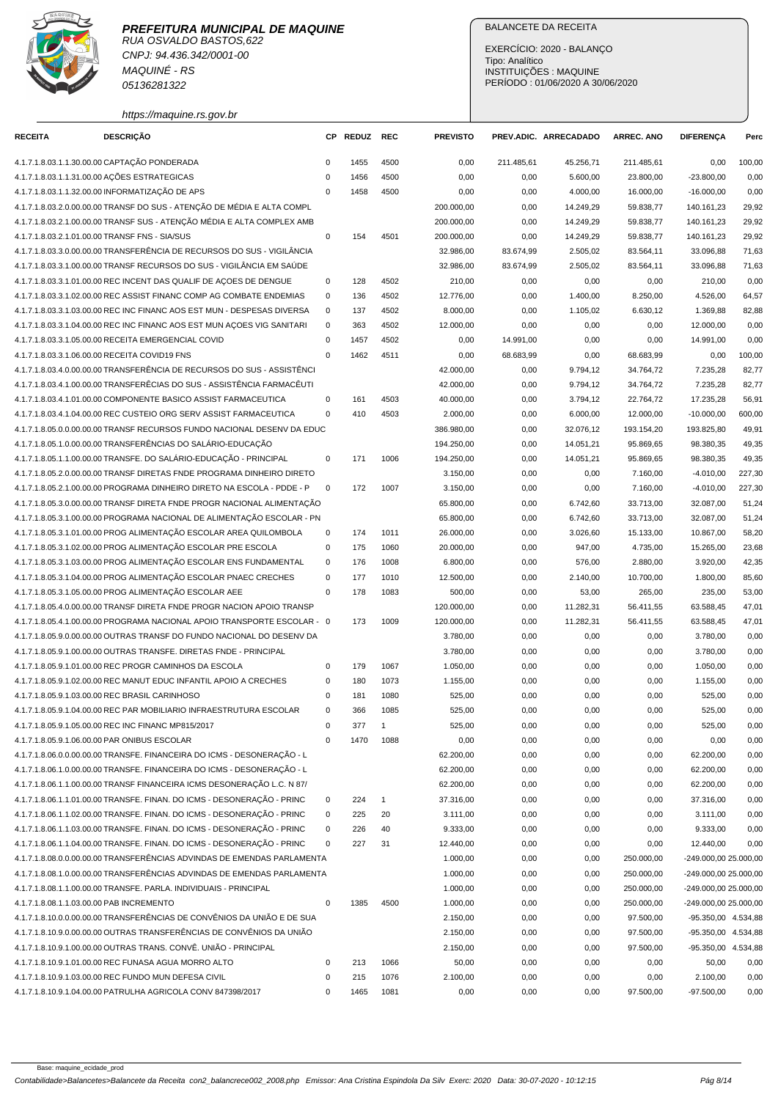

CNPJ: 94.436.342/0001-00 MAQUINÉ - RS 05136281322

# BALANCETE DA RECEITA

| https://maquine.rs.gov.br |  |
|---------------------------|--|

| <b>RECEITA</b>                           | <b>DESCRIÇÃO</b>                                                                                                                                   | CP.         | <b>REDUZ</b> | <b>REC</b>   | <b>PREVISTO</b>      |              | PREV.ADIC. ARRECADADO | <b>ARREC. ANO</b>      | <b>DIFERENÇA</b>                           | Perc   |
|------------------------------------------|----------------------------------------------------------------------------------------------------------------------------------------------------|-------------|--------------|--------------|----------------------|--------------|-----------------------|------------------------|--------------------------------------------|--------|
|                                          | 4.1.7.1.8.03.1.1.30.00.00 CAPTAÇÃO PONDERADA                                                                                                       | 0           | 1455         | 4500         | 0,00                 | 211.485,61   | 45.256,71             | 211.485,61             | 0,00                                       | 100,00 |
|                                          | 4.1.7.1.8.03.1.1.31.00.00 AÇÕES ESTRATEGICAS                                                                                                       | $\mathbf 0$ | 1456         | 4500         | 0,00                 | 0,00         | 5.600,00              | 23.800,00              | $-23.800,00$                               | 0,00   |
|                                          | 4.1.7.1.8.03.1.1.32.00.00 INFORMATIZAÇÃO DE APS                                                                                                    | $\Omega$    | 1458         | 4500         | 0,00                 | 0,00         | 4.000,00              | 16.000,00              | $-16.000,00$                               | 0,00   |
|                                          | 4.1.7.1.8.03.2.0.00.00.00 TRANSF DO SUS - ATENÇÃO DE MÉDIA E ALTA COMPL                                                                            |             |              |              | 200.000,00           | 0,00         | 14.249,29             | 59.838,77              | 140.161,23                                 | 29,92  |
|                                          | 4.1.7.1.8.03.2.1.00.00.00 TRANSF SUS - ATENÇÃO MÉDIA E ALTA COMPLEX AMB                                                                            |             |              |              | 200.000,00           | 0,00         | 14.249,29             | 59.838,77              | 140.161,23                                 | 29,92  |
|                                          | 4.1.7.1.8.03.2.1.01.00.00 TRANSF FNS - SIA/SUS                                                                                                     | $\mathbf 0$ | 154          | 4501         | 200.000,00           | 0,00         | 14.249,29             | 59.838,77              | 140.161,23                                 | 29,92  |
|                                          | 4.1.7.1.8.03.3.0.00.00.00 TRANSFERÊNCIA DE RECURSOS DO SUS - VIGILÂNCIA                                                                            |             |              |              | 32.986,00            | 83.674,99    | 2.505,02              | 83.564,11              | 33.096,88                                  | 71,63  |
|                                          | 4.1.7.1.8.03.3.1.00.00.00 TRANSF RECURSOS DO SUS - VIGILÂNCIA EM SAÚDE                                                                             |             |              |              | 32.986,00            | 83.674,99    | 2.505,02              | 83.564,11              | 33.096,88                                  | 71,63  |
|                                          | 4.1.7.1.8.03.3.1.01.00.00 REC INCENT DAS QUALIF DE AÇOES DE DENGUE                                                                                 | 0           | 128          | 4502         | 210,00               | 0,00         | 0,00                  | 0,00                   | 210,00                                     | 0,00   |
|                                          | 4.1.7.1.8.03.3.1.02.00.00 REC ASSIST FINANC COMP AG COMBATE ENDEMIAS                                                                               | 0           | 136          | 4502         | 12.776,00            | 0,00         | 1.400,00              | 8.250,00               | 4.526,00                                   | 64,57  |
|                                          | 4.1.7.1.8.03.3.1.03.00.00 REC INC FINANC AOS EST MUN - DESPESAS DIVERSA                                                                            | 0           | 137          | 4502         | 8.000,00             | 0,00         | 1.105,02              | 6.630,12               | 1.369,88                                   | 82,88  |
|                                          | 4.1.7.1.8.03.3.1.04.00.00 REC INC FINANC AOS EST MUN AÇOES VIG SANITARI                                                                            | $\mathbf 0$ | 363          | 4502         | 12.000,00            | 0,00         | 0,00                  | 0,00                   | 12.000,00                                  | 0,00   |
|                                          | 4.1.7.1.8.03.3.1.05.00.00 RECEITA EMERGENCIAL COVID                                                                                                | $\mathbf 0$ | 1457         | 4502         | 0,00                 | 14.991,00    | 0,00                  | 0,00                   | 14.991,00                                  | 0,00   |
|                                          | 4.1.7.1.8.03.3.1.06.00.00 RECEITA COVID19 FNS                                                                                                      | $\mathbf 0$ | 1462         | 4511         | 0,00                 | 68.683,99    | 0,00                  | 68.683,99              | 0,00                                       | 100,00 |
|                                          | 4.1.7.1.8.03.4.0.00.00.00 TRANSFERÊNCIA DE RECURSOS DO SUS - ASSISTÊNCI                                                                            |             |              |              | 42.000,00            | 0,00         | 9.794,12              | 34.764,72              | 7.235,28                                   | 82,77  |
|                                          | 4.1.7.1.8.03.4.1.00.00.00 TRANSFERÊCIAS DO SUS - ASSISTÊNCIA FARMACÊUTI                                                                            |             |              |              | 42.000,00            | 0,00         | 9.794,12              | 34.764,72              | 7.235,28                                   | 82,77  |
|                                          | 4.1.7.1.8.03.4.1.01.00.00 COMPONENTE BASICO ASSIST FARMACEUTICA                                                                                    | $\mathbf 0$ | 161          | 4503         | 40.000,00            | 0,00         | 3.794,12              | 22.764,72              | 17.235,28                                  | 56,91  |
|                                          | 4.1.7.1.8.03.4.1.04.00.00 REC CUSTEIO ORG SERV ASSIST FARMACEUTICA                                                                                 | $\mathbf 0$ | 410          | 4503         | 2.000,00             | 0,00         | 6.000,00              | 12.000,00              | $-10.000,00$                               | 600,00 |
|                                          | 4.1.7.1.8.05.0.0.00.00.00 TRANSF RECURSOS FUNDO NACIONAL DESENV DA EDUC                                                                            |             |              |              | 386.980,00           | 0,00         | 32.076,12             | 193.154,20             | 193.825,80                                 | 49,91  |
|                                          | 4.1.7.1.8.05.1.0.00.00.00 TRANSFERÊNCIAS DO SALÁRIO-EDUCAÇÃO                                                                                       |             |              |              | 194.250,00           | 0,00         | 14.051,21             | 95.869,65              | 98.380,35                                  | 49,35  |
|                                          | 4.1.7.1.8.05.1.1.00.00.00 TRANSFE. DO SALÁRIO-EDUCAÇÃO - PRINCIPAL                                                                                 | 0           | 171          | 1006         | 194.250,00           | 0,00         | 14.051,21             | 95.869,65              | 98.380,35                                  | 49,35  |
|                                          | 4.1.7.1.8.05.2.0.00.00.00 TRANSF DIRETAS FNDE PROGRAMA DINHEIRO DIRETO                                                                             |             |              |              | 3.150,00             | 0,00         | 0,00                  | 7.160,00               | $-4.010,00$                                | 227,30 |
|                                          | 4.1.7.1.8.05.2.1.00.00.00 PROGRAMA DINHEIRO DIRETO NA ESCOLA - PDDE - P                                                                            | $\mathbf 0$ | 172          | 1007         | 3.150,00             | 0,00         | 0,00                  | 7.160,00               | $-4.010,00$                                | 227,30 |
|                                          | 4.1.7.1.8.05.3.0.00.00.00 TRANSF DIRETA FNDE PROGR NACIONAL ALIMENTAÇÃO                                                                            |             |              |              | 65.800,00            | 0,00         | 6.742,60              | 33.713,00              | 32.087,00                                  | 51,24  |
|                                          | 4.1.7.1.8.05.3.1.00.00.00 PROGRAMA NACIONAL DE ALIMENTAÇÃO ESCOLAR - PN                                                                            |             |              |              | 65.800,00            | 0,00         | 6.742,60              | 33.713,00              | 32.087,00                                  | 51,24  |
|                                          | 4.1.7.1.8.05.3.1.01.00.00 PROG ALIMENTAÇÃO ESCOLAR AREA QUILOMBOLA                                                                                 | 0           | 174          | 1011         | 26.000,00            | 0,00         | 3.026,60              | 15.133,00              | 10.867,00                                  | 58,20  |
|                                          | 4.1.7.1.8.05.3.1.02.00.00 PROG ALIMENTAÇÃO ESCOLAR PRE ESCOLA                                                                                      | $\mathbf 0$ | 175          | 1060         | 20.000,00            | 0,00         | 947,00                | 4.735,00               | 15.265,00                                  | 23,68  |
|                                          | 4.1.7.1.8.05.3.1.03.00.00 PROG ALIMENTAÇÃO ESCOLAR ENS FUNDAMENTAL                                                                                 | 0           | 176          | 1008         | 6.800,00             | 0,00         | 576,00                | 2.880,00               | 3.920,00                                   | 42,35  |
|                                          | 4.1.7.1.8.05.3.1.04.00.00 PROG ALIMENTAÇÃO ESCOLAR PNAEC CRECHES                                                                                   | $\mathbf 0$ | 177          | 1010         | 12.500,00            | 0,00         | 2.140,00              | 10.700,00              | 1.800,00                                   | 85,60  |
|                                          | 4.1.7.1.8.05.3.1.05.00.00 PROG ALIMENTAÇÃO ESCOLAR AEE                                                                                             | $\mathbf 0$ | 178          | 1083         | 500,00               | 0,00         | 53,00                 | 265,00                 | 235,00                                     | 53,00  |
|                                          | 4.1.7.1.8.05.4.0.00.00.00 TRANSF DIRETA FNDE PROGR NACION APOIO TRANSP                                                                             |             |              |              | 120.000,00           | 0,00         | 11.282,31             | 56.411,55              | 63.588,45                                  | 47,01  |
|                                          | 4.1.7.1.8.05.4.1.00.00.00 PROGRAMA NACIONAL APOIO TRANSPORTE ESCOLAR - 0                                                                           |             | 173          | 1009         | 120.000,00           | 0,00         | 11.282,31             | 56.411,55              | 63.588,45                                  | 47,01  |
|                                          | 4.1.7.1.8.05.9.0.00.00.00 OUTRAS TRANSF DO FUNDO NACIONAL DO DESENV DA                                                                             |             |              |              | 3.780,00             |              | 0,00                  |                        | 3.780,00                                   | 0,00   |
|                                          | 4.1.7.1.8.05.9.1.00.00.00 OUTRAS TRANSFE. DIRETAS FNDE - PRINCIPAL                                                                                 |             |              |              | 3.780,00             | 0,00<br>0,00 | 0,00                  | 0,00                   | 3.780,00                                   | 0,00   |
|                                          | 4.1.7.1.8.05.9.1.01.00.00 REC PROGR CAMINHOS DA ESCOLA                                                                                             | 0           | 179          | 1067         | 1.050,00             | 0,00         | 0,00                  | 0,00<br>0,00           | 1.050,00                                   | 0,00   |
|                                          | 4.1.7.1.8.05.9.1.02.00.00 REC MANUT EDUC INFANTIL APOIO A CRECHES                                                                                  | $\mathbf 0$ | 180          | 1073         | 1.155,00             | 0,00         | 0,00                  | 0,00                   | 1.155,00                                   | 0,00   |
|                                          | 4.1.7.1.8.05.9.1.03.00.00 REC BRASIL CARINHOSO                                                                                                     | $\mathbf 0$ | 181          | 1080         | 525,00               | 0,00         | 0,00                  | 0,00                   | 525,00                                     | 0,00   |
|                                          | 4.1.7.1.8.05.9.1.04.00.00 REC PAR MOBILIARIO INFRAESTRUTURA ESCOLAR                                                                                | $\mathbf 0$ | 366          | 1085         | 525,00               | 0,00         | 0,00                  | 0,00                   | 525,00                                     | 0,00   |
|                                          | 4.1.7.1.8.05.9.1.05.00.00 REC INC FINANC MP815/2017                                                                                                | 0           | 377          | $\mathbf{1}$ | 525,00               | 0,00         | 0,00                  | 0,00                   | 525,00                                     | 0,00   |
|                                          | 4.1.7.1.8.05.9.1.06.00.00 PAR ONIBUS ESCOLAR                                                                                                       | 0           | 1470         | 1088         | 0,00                 | 0,00         | 0,00                  | 0,00                   | 0,00                                       | 0,00   |
|                                          | 4.1.7.1.8.06.0.0.00.00.00 TRANSFE. FINANCEIRA DO ICMS - DESONERAÇÃO - L                                                                            |             |              |              | 62.200,00            |              | 0,00                  |                        |                                            | 0,00   |
|                                          | 4.1.7.1.8.06.1.0.00.00.00 TRANSFE. FINANCEIRA DO ICMS - DESONERAÇÃO - L                                                                            |             |              |              | 62.200,00            | 0,00         |                       | 0,00                   | 62.200,00                                  | 0,00   |
|                                          | 4.1.7.1.8.06.1.1.00.00.00 TRANSF FINANCEIRA ICMS DESONERAÇÃO L.C. N 87/                                                                            |             |              |              | 62.200,00            | 0,00<br>0,00 | 0,00<br>0,00          | 0,00<br>0,00           | 62.200,00<br>62.200,00                     | 0,00   |
|                                          | 4.1.7.1.8.06.1.1.01.00.00 TRANSFE. FINAN. DO ICMS - DESONERAÇÃO - PRINC                                                                            | 0           | 224          | $\mathbf{1}$ | 37.316,00            | 0,00         | 0,00                  | 0,00                   | 37.316,00                                  | 0,00   |
|                                          | 4.1.7.1.8.06.1.1.02.00.00 TRANSFE. FINAN. DO ICMS - DESONERAÇÃO - PRINC                                                                            | 0           | 225          | 20           | 3.111,00             | 0,00         | 0,00                  | 0,00                   | 3.111,00                                   | 0,00   |
|                                          |                                                                                                                                                    |             |              |              |                      |              |                       |                        |                                            |        |
|                                          | 4.1.7.1.8.06.1.1.03.00.00 TRANSFE. FINAN. DO ICMS - DESONERAÇÃO - PRINC<br>4.1.7.1.8.06.1.1.04.00.00 TRANSFE. FINAN. DO ICMS - DESONERAÇÃO - PRINC | 0           | 226          | 40           | 9.333,00             | 0,00         | 0,00                  | 0,00                   | 9.333,00                                   | 0,00   |
|                                          |                                                                                                                                                    | $\mathbf 0$ | 227          | 31           | 12.440,00            | 0,00         | 0,00                  | 0,00                   | 12.440,00                                  | 0,00   |
|                                          | 4.1.7.1.8.08.0.0.00.00.00 TRANSFERÊNCIAS ADVINDAS DE EMENDAS PARLAMENTA<br>4.1.7.1.8.08.1.0.00.00.00 TRANSFERÊNCIAS ADVINDAS DE EMENDAS PARLAMENTA |             |              |              | 1.000,00             | 0,00         | 0,00                  | 250.000,00             | -249.000,00 25.000,00                      |        |
|                                          |                                                                                                                                                    |             |              |              | 1.000,00             | 0,00         | 0,00                  | 250.000,00             | -249.000,00 25.000,00                      |        |
|                                          | 4.1.7.1.8.08.1.1.00.00.00 TRANSFE. PARLA. INDIVIDUAIS - PRINCIPAL                                                                                  |             |              |              | 1.000,00             | 0,00         | 0,00                  | 250.000,00             | -249.000,00 25.000,00                      |        |
| 4.1.7.1.8.08.1.1.03.00.00 PAB INCREMENTO | 4.1.7.1.8.10.0.0.00.00.00 TRANSFERÊNCIAS DE CONVÊNIOS DA UNIÃO E DE SUA                                                                            | 0           | 1385         | 4500         | 1.000,00             | 0,00         | 0,00                  | 250.000,00             | -249.000,00 25.000,00                      |        |
|                                          | 4.1.7.1.8.10.9.0.00.00.00 OUTRAS TRANSFERÊNCIAS DE CONVÊNIOS DA UNIÃO                                                                              |             |              |              | 2.150,00<br>2.150,00 | 0,00         | 0,00                  | 97.500,00              | -95.350,00 4.534,88<br>-95.350,00 4.534,88 |        |
|                                          | 4.1.7.1.8.10.9.1.00.00.00 OUTRAS TRANS. CONVÊ. UNIÃO - PRINCIPAL                                                                                   |             |              |              | 2.150,00             | 0,00<br>0,00 | 0,00<br>0,00          | 97.500,00<br>97.500,00 | -95.350,00 4.534,88                        |        |
|                                          | 4.1.7.1.8.10.9.1.01.00.00 REC FUNASA AGUA MORRO ALTO                                                                                               | 0           | 213          | 1066         | 50,00                | 0,00         | 0,00                  | 0,00                   | 50,00                                      | 0,00   |
|                                          | 4.1.7.1.8.10.9.1.03.00.00 REC FUNDO MUN DEFESA CIVIL                                                                                               | 0           | 215          | 1076         | 2.100,00             | 0,00         | 0,00                  |                        | 2.100,00                                   | 0,00   |
|                                          | 4.1.7.1.8.10.9.1.04.00.00 PATRULHA AGRICOLA CONV 847398/2017                                                                                       | 0           | 1465         | 1081         | 0,00                 | 0,00         | 0,00                  | 0,00<br>97.500,00      | $-97.500,00$                               | 0,00   |
|                                          |                                                                                                                                                    |             |              |              |                      |              |                       |                        |                                            |        |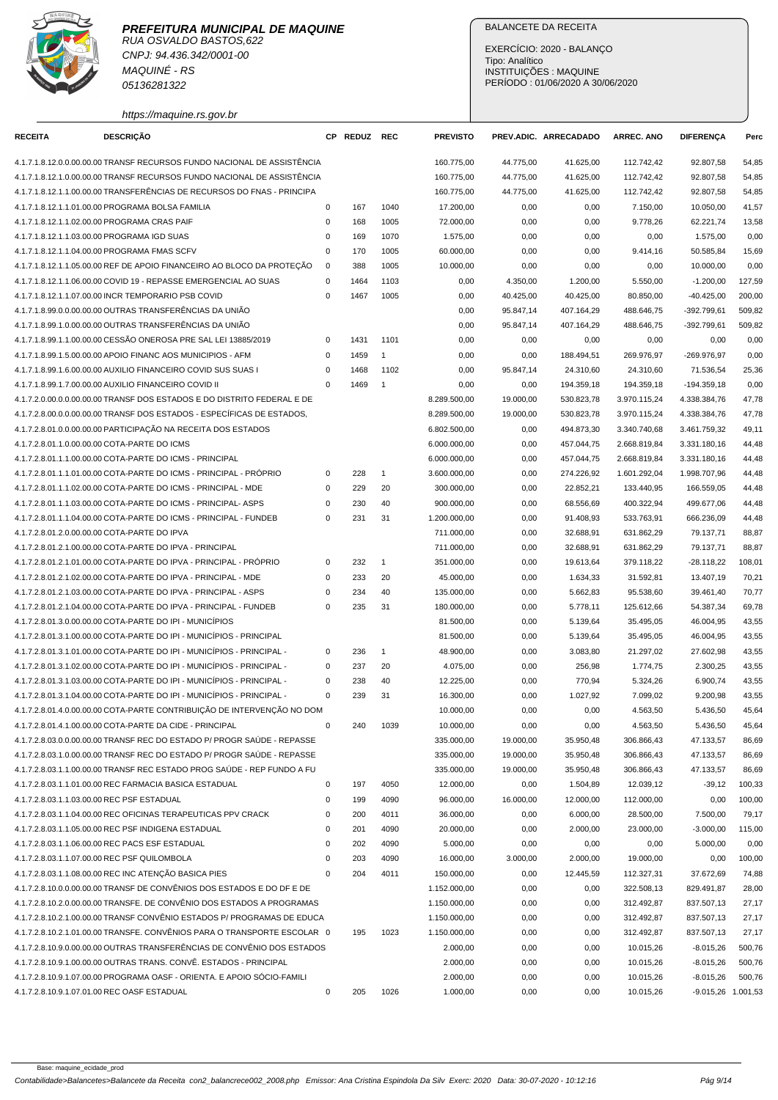

CNPJ: 94.436.342/0001-00 MAQUINÉ - RS 05136281322

https://maquine.rs.gov.br

## BALANCETE DA RECEITA

EXERCÍCIO: 2020 - BALANÇO Tipo: Analítico INSTITUIÇÕES : MAQUINE PERÍODO : 01/06/2020 A 30/06/2020

| <b>RECEITA</b> | <b>DESCRIÇÃO</b>                                                                                                                    | CP.         | <b>REDUZ REC</b> |                | <b>PREVISTO</b> |           | PREV.ADIC. ARRECADADO | <b>ARREC. ANO</b>      | <b>DIFERENCA</b>     | Perc   |
|----------------|-------------------------------------------------------------------------------------------------------------------------------------|-------------|------------------|----------------|-----------------|-----------|-----------------------|------------------------|----------------------|--------|
|                | 4.1.7.1.8.12.0.0.00.00.00 TRANSF RECURSOS FUNDO NACIONAL DE ASSISTÊNCIA                                                             |             |                  |                | 160.775,00      | 44.775,00 | 41.625,00             | 112.742,42             | 92.807,58            | 54,85  |
|                | 4.1.7.1.8.12.1.0.00.00.00 TRANSF RECURSOS FUNDO NACIONAL DE ASSISTÊNCIA                                                             |             |                  |                | 160.775,00      | 44.775,00 | 41.625,00             | 112.742,42             | 92.807,58            | 54,85  |
|                | 4.1.7.1.8.12.1.1.00.00.00 TRANSFERÊNCIAS DE RECURSOS DO FNAS - PRINCIPA                                                             |             |                  |                | 160.775,00      | 44.775,00 | 41.625,00             | 112.742,42             | 92.807,58            | 54,85  |
|                | 4.1.7.1.8.12.1.1.01.00.00 PROGRAMA BOLSA FAMILIA                                                                                    | 0           | 167              | 1040           | 17.200,00       | 0,00      | 0,00                  | 7.150,00               | 10.050,00            | 41,57  |
|                | 4.1.7.1.8.12.1.1.02.00.00 PROGRAMA CRAS PAIF                                                                                        | $\mathbf 0$ | 168              | 1005           | 72.000,00       | 0,00      | 0,00                  | 9.778,26               | 62.221,74            | 13,58  |
|                | 4.1.7.1.8.12.1.1.03.00.00 PROGRAMA IGD SUAS                                                                                         | $\mathbf 0$ | 169              | 1070           | 1.575,00        | 0,00      | 0,00                  | 0,00                   | 1.575,00             | 0,00   |
|                | 4.1.7.1.8.12.1.1.04.00.00 PROGRAMA FMAS SCFV                                                                                        | $\mathbf 0$ | 170              | 1005           | 60.000,00       | 0,00      | 0,00                  | 9.414,16               | 50.585,84            | 15,69  |
|                | 4.1.7.1.8.12.1.1.05.00.00 REF DE APOIO FINANCEIRO AO BLOCO DA PROTEÇÃO                                                              | 0           | 388              | 1005           | 10.000,00       | 0,00      | 0,00                  | 0,00                   | 10.000,00            | 0,00   |
|                | 4.1.7.1.8.12.1.1.06.00.00 COVID 19 - REPASSE EMERGENCIAL AO SUAS                                                                    | $\mathbf 0$ | 1464             | 1103           | 0,00            | 4.350,00  | 1.200,00              | 5.550,00               | $-1.200,00$          | 127,59 |
|                | 4.1.7.1.8.12.1.1.07.00.00 INCR TEMPORARIO PSB COVID                                                                                 | $\mathbf 0$ | 1467             | 1005           | 0,00            | 40.425,00 | 40.425,00             | 80.850,00              | $-40.425,00$         | 200,00 |
|                | 4.1.7.1.8.99.0.0.00.00.00 OUTRAS TRANSFERÊNCIAS DA UNIÃO                                                                            |             |                  |                | 0,00            | 95.847,14 | 407.164,29            | 488.646,75             | -392.799.61          | 509,82 |
|                | 4.1.7.1.8.99.1.0.00.00.00 OUTRAS TRANSFERÊNCIAS DA UNIÃO                                                                            |             |                  |                | 0,00            | 95.847,14 | 407.164,29            | 488.646,75             | -392.799,61          | 509,82 |
|                | 4.1.7.1.8.99.1.1.00.00.00 CESSÃO ONEROSA PRE SAL LEI 13885/2019                                                                     | $\mathbf 0$ | 1431             | 1101           | 0,00            | 0,00      | 0,00                  | 0,00                   | 0,00                 | 0,00   |
|                | 4.1.7.1.8.99.1.5.00.00.00 APOIO FINANC AOS MUNICIPIOS - AFM                                                                         | $\mathbf 0$ | 1459             | $\mathbf{1}$   | 0,00            | 0,00      | 188.494,51            | 269.976,97             | -269.976,97          | 0,00   |
|                | 4.1.7.1.8.99.1.6.00.00.00 AUXILIO FINANCEIRO COVID SUS SUAS I                                                                       | $\mathbf 0$ | 1468             | 1102           | 0,00            | 95.847,14 | 24.310,60             | 24.310,60              | 71.536,54            | 25,36  |
|                | 4.1.7.1.8.99.1.7.00.00.00 AUXILIO FINANCEIRO COVID II                                                                               | $\Omega$    | 1469             | $\overline{1}$ | 0,00            | 0,00      | 194.359,18            | 194.359,18             | $-194.359.18$        | 0,00   |
|                | 4.1.7.2.0.00.0.0.00.00.00 TRANSF DOS ESTADOS E DO DISTRITO FEDERAL E DE                                                             |             |                  |                | 8.289.500,00    | 19.000,00 | 530.823,78            | 3.970.115,24           | 4.338.384,76         | 47,78  |
|                | 4.1.7.2.8.00.0.0.00.00.00 TRANSF DOS ESTADOS - ESPECÍFICAS DE ESTADOS,                                                              |             |                  |                | 8.289.500,00    | 19.000,00 | 530.823,78            | 3.970.115,24           | 4.338.384,76         | 47,78  |
|                | 4.1.7.2.8.01.0.0.00.00.00 PARTICIPAÇÃO NA RECEITA DOS ESTADOS                                                                       |             |                  |                | 6.802.500,00    | 0,00      | 494.873,30            | 3.340.740,68           | 3.461.759,32         | 49,11  |
|                | 4.1.7.2.8.01.1.0.00.00.00 COTA-PARTE DO ICMS                                                                                        |             |                  |                | 6.000.000,00    | 0,00      | 457.044,75            | 2.668.819,84           | 3.331.180,16         | 44,48  |
|                | 4.1.7.2.8.01.1.1.00.00.00 COTA-PARTE DO ICMS - PRINCIPAL                                                                            |             |                  |                | 6.000.000,00    | 0,00      | 457.044,75            | 2.668.819,84           | 3.331.180,16         | 44,48  |
|                | 4.1.7.2.8.01.1.1.01.00.00 COTA-PARTE DO ICMS - PRINCIPAL - PRÓPRIO                                                                  | 0           | 228              | $\mathbf{1}$   | 3.600.000,00    | 0,00      | 274.226,92            | 1.601.292.04           | 1.998.707,96         | 44,48  |
|                | 4.1.7.2.8.01.1.1.02.00.00 COTA-PARTE DO ICMS - PRINCIPAL - MDE                                                                      | 0           | 229              | 20             | 300.000,00      | 0,00      | 22.852,21             | 133.440,95             | 166.559,05           | 44,48  |
|                | 4.1.7.2.8.01.1.1.03.00.00 COTA-PARTE DO ICMS - PRINCIPAL- ASPS                                                                      | $\mathbf 0$ | 230              | 40             | 900.000,00      | 0,00      | 68.556,69             | 400.322,94             | 499.677,06           | 44,48  |
|                | 4.1.7.2.8.01.1.1.04.00.00 COTA-PARTE DO ICMS - PRINCIPAL - FUNDEB                                                                   | $\mathbf 0$ | 231              | 31             | 1.200.000,00    | 0,00      | 91.408,93             | 533.763,91             | 666.236,09           | 44,48  |
|                | 4.1.7.2.8.01.2.0.00.00.00 COTA-PARTE DO IPVA                                                                                        |             |                  |                | 711.000,00      | 0,00      | 32.688,91             | 631.862,29             | 79.137,71            | 88,87  |
|                | 4.1.7.2.8.01.2.1.00.00.00 COTA-PARTE DO IPVA - PRINCIPAL                                                                            |             |                  |                | 711.000,00      | 0,00      | 32.688,91             | 631.862,29             | 79.137,71            | 88,87  |
|                | 4.1.7.2.8.01.2.1.01.00.00 COTA-PARTE DO IPVA - PRINCIPAL - PRÓPRIO                                                                  | 0           | 232              | $\overline{1}$ | 351.000,00      | 0,00      | 19.613,64             | 379.118,22             | $-28.118,22$         | 108,01 |
|                | 4.1.7.2.8.01.2.1.02.00.00 COTA-PARTE DO IPVA - PRINCIPAL - MDE                                                                      | 0           | 233              | 20             | 45.000,00       | 0,00      | 1.634,33              | 31.592,81              | 13.407,19            | 70,21  |
|                | 4.1.7.2.8.01.2.1.03.00.00 COTA-PARTE DO IPVA - PRINCIPAL - ASPS                                                                     | $\mathbf 0$ | 234              | 40             | 135.000,00      | 0,00      | 5.662,83              | 95.538,60              | 39.461,40            | 70,77  |
|                | 4.1.7.2.8.01.2.1.04.00.00 COTA-PARTE DO IPVA - PRINCIPAL - FUNDEB                                                                   | $\mathbf 0$ | 235              | 31             | 180.000,00      | 0,00      | 5.778,11              | 125.612,66             | 54.387,34            | 69,78  |
|                | 4.1.7.2.8.01.3.0.00.00.00 COTA-PARTE DO IPI - MUNICÍPIOS                                                                            |             |                  |                | 81.500,00       | 0,00      | 5.139,64              | 35.495,05              | 46.004,95            | 43,55  |
|                | 4.1.7.2.8.01.3.1.00.00.00 COTA-PARTE DO IPI - MUNICÍPIOS - PRINCIPAL                                                                |             |                  |                | 81.500,00       | 0,00      | 5.139,64              | 35.495,05              | 46.004,95            | 43,55  |
|                | 4.1.7.2.8.01.3.1.01.00.00 COTA-PARTE DO IPI - MUNICÍPIOS - PRINCIPAL -                                                              | 0           | 236              | $\mathbf{1}$   | 48.900,00       | 0,00      | 3.083,80              | 21.297,02              | 27.602,98            | 43,55  |
|                | 4.1.7.2.8.01.3.1.02.00.00 COTA-PARTE DO IPI - MUNICÍPIOS - PRINCIPAL -                                                              | 0           | 237              | 20             | 4.075,00        | 0,00      | 256,98                |                        |                      | 43,55  |
|                | 4.1.7.2.8.01.3.1.03.00.00 COTA-PARTE DO IPI - MUNICÍPIOS - PRINCIPAL -                                                              | 0           | 238              | 40             | 12.225,00       | 0,00      | 770,94                | 1.774,75<br>5.324,26   | 2.300,25<br>6.900,74 | 43,55  |
|                |                                                                                                                                     | $\mathbf 0$ | 239              | 31             |                 |           |                       |                        |                      |        |
|                | 4.1.7.2.8.01.3.1.04.00.00 COTA-PARTE DO IPI - MUNICÍPIOS - PRINCIPAL -                                                              |             |                  |                | 16.300,00       | 0,00      | 1.027,92              | 7.099,02               | 9.200,98             | 43,55  |
|                | 4.1.7.2.8.01.4.0.00.00.00 COTA-PARTE CONTRIBUIÇÃO DE INTERVENÇÃO NO DOM                                                             |             |                  |                | 10.000,00       | 0,00      | 0,00                  | 4.563,50               | 5.436,50             | 45,64  |
|                | 4.1.7.2.8.01.4.1.00.00.00 COTA-PARTE DA CIDE - PRINCIPAL<br>4.1.7.2.8.03.0.0.00.00.00 TRANSF REC DO ESTADO P/ PROGR SAÚDE - REPASSE | 0           | 240              | 1039           | 10.000,00       | 0,00      | 0,00                  | 4.563,50<br>306.866,43 | 5.436,50             | 45,64  |
|                | 4.1.7.2.8.03.1.0.00.00.00 TRANSF REC DO ESTADO P/ PROGR SAÚDE - REPASSE                                                             |             |                  |                | 335.000,00      | 19.000,00 | 35.950,48             |                        | 47.133,57            | 86,69  |
|                |                                                                                                                                     |             |                  |                | 335.000,00      | 19.000,00 | 35.950,48             | 306.866,43             | 47.133,57            | 86,69  |
|                | 4.1.7.2.8.03.1.1.00.00.00 TRANSF REC ESTADO PROG SAÚDE - REP FUNDO A FU                                                             |             |                  |                | 335.000,00      | 19.000,00 | 35.950,48             | 306.866,43             | 47.133,57            | 86,69  |
|                | 4.1.7.2.8.03.1.1.01.00.00 REC FARMACIA BASICA ESTADUAL                                                                              | $\mathbf 0$ | 197              | 4050           | 12.000,00       | 0,00      | 1.504,89              | 12.039,12              | $-39,12$             | 100,33 |
|                | 4.1.7.2.8.03.1.1.03.00.00 REC PSF ESTADUAL                                                                                          | 0           | 199              | 4090           | 96.000,00       | 16.000,00 | 12.000,00             | 112.000,00             | 0,00                 | 100,00 |
|                | 4.1.7.2.8.03.1.1.04.00.00 REC OFICINAS TERAPEUTICAS PPV CRACK                                                                       | 0           | 200              | 4011           | 36.000,00       | 0,00      | 6.000,00              | 28.500,00              | 7.500,00             | 79,17  |
|                | 4.1.7.2.8.03.1.1.05.00.00 REC PSF INDIGENA ESTADUAL                                                                                 | 0           | 201              | 4090           | 20.000,00       | 0,00      | 2.000,00              | 23.000,00              | $-3.000,00$          | 115,00 |
|                | 4.1.7.2.8.03.1.1.06.00.00 REC PACS ESF ESTADUAL                                                                                     | $\mathbf 0$ | 202              | 4090           | 5.000,00        | 0,00      | 0,00                  | 0,00                   | 5.000,00             | 0,00   |
|                | 4.1.7.2.8.03.1.1.07.00.00 REC PSF QUILOMBOLA                                                                                        | 0           | 203              | 4090           | 16.000,00       | 3.000,00  | 2.000,00              | 19.000,00              | 0,00                 | 100,00 |
|                | 4.1.7.2.8.03.1.1.08.00.00 REC INC ATENÇÃO BASICA PIES                                                                               | $\mathbf 0$ | 204              | 4011           | 150.000,00      | 0,00      | 12.445,59             | 112.327,31             | 37.672,69            | 74,88  |
|                | 4.1.7.2.8.10.0.0.00.00.00 TRANSF DE CONVÊNIOS DOS ESTADOS E DO DF E DE                                                              |             |                  |                | 1.152.000,00    | 0,00      | 0,00                  | 322.508,13             | 829.491,87           | 28,00  |
|                | 4.1.7.2.8.10.2.0.00.00.00 TRANSFE. DE CONVÊNIO DOS ESTADOS A PROGRAMAS                                                              |             |                  |                | 1.150.000,00    | 0,00      | 0,00                  | 312.492,87             | 837.507,13           | 27,17  |
|                | 4.1.7.2.8.10.2.1.00.00.00 TRANSF CONVÊNIO ESTADOS P/ PROGRAMAS DE EDUCA                                                             |             |                  |                | 1.150.000,00    | 0,00      | 0,00                  | 312.492,87             | 837.507,13           | 27,17  |
|                | 4.1.7.2.8.10.2.1.01.00.00 TRANSFE. CONVÊNIOS PARA O TRANSPORTE ESCOLAR 0                                                            |             | 195              | 1023           | 1.150.000,00    | 0,00      | 0,00                  | 312.492,87             | 837.507,13           | 27,17  |
|                | 4.1.7.2.8.10.9.0.00.00.00 OUTRAS TRANSFERÊNCIAS DE CONVÊNIO DOS ESTADOS                                                             |             |                  |                | 2.000,00        | 0,00      | 0,00                  | 10.015,26              | $-8.015,26$          | 500,76 |
|                | 4.1.7.2.8.10.9.1.00.00.00 OUTRAS TRANS. CONVÊ. ESTADOS - PRINCIPAL                                                                  |             |                  |                | 2.000,00        | 0,00      | 0,00                  | 10.015,26              | $-8.015,26$          | 500,76 |
|                | 4.1.7.2.8.10.9.1.07.00.00 PROGRAMA OASF - ORIENTA. E APOIO SÓCIO-FAMILI                                                             |             |                  |                | 2.000,00        | 0,00      | 0,00                  | 10.015,26              | $-8.015,26$          | 500,76 |
|                | 4.1.7.2.8.10.9.1.07.01.00 REC OASF ESTADUAL                                                                                         | 0           | 205              | 1026           | 1.000,00        | 0,00      | 0,00                  | 10.015,26              | $-9.015,26$ 1.001,53 |        |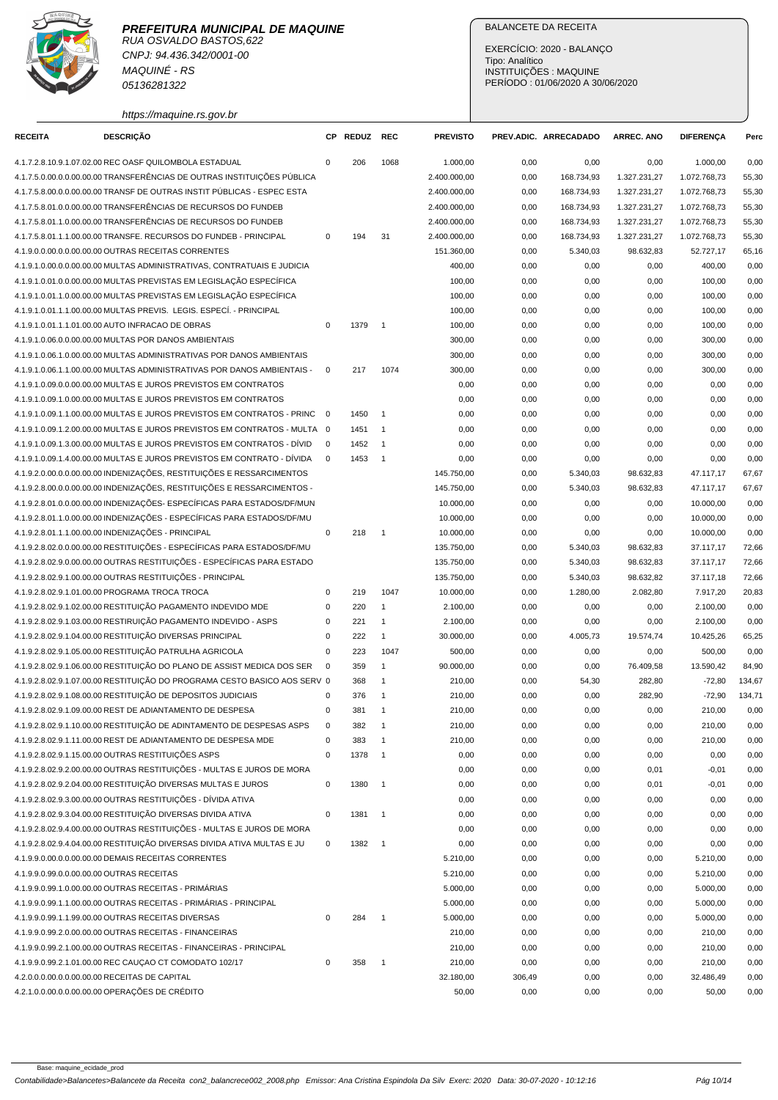RUA OSVALDO BASTOS,622 CNPJ: 94.436.342/0001-00 MAQUINÉ - RS 05136281322

https://maquine.rs.gov.br

## BALANCETE DA RECEITA

EXERCÍCIO: 2020 - BALANÇO Tipo: Analítico INSTITUIÇÕES : MAQUINE PERÍODO : 01/06/2020 A 30/06/2020

| <b>RECEITA</b>                            | <b>DESCRIÇÃO</b>                                                                                                            |                            | CP REDUZ | <b>REC</b>                 | <b>PREVISTO</b>          |              | PREV.ADIC. ARRECADADO | <b>ARREC. ANO</b>      | <b>DIFERENÇA</b>       | Perc           |
|-------------------------------------------|-----------------------------------------------------------------------------------------------------------------------------|----------------------------|----------|----------------------------|--------------------------|--------------|-----------------------|------------------------|------------------------|----------------|
|                                           | 4.1.7.2.8.10.9.1.07.02.00 REC OASF QUILOMBOLA ESTADUAL                                                                      | $\mathbf 0$                | 206      | 1068                       | 1.000,00                 | 0,00         | 0,00                  | 0,00                   | 1.000,00               | 0,00           |
|                                           | 4.1.7.5.0.00.0.0.00.00.00 TRANSFERÊNCIAS DE OUTRAS INSTITUICÕES PÚBLICA                                                     |                            |          |                            | 2.400.000,00             | 0,00         | 168.734,93            | 1.327.231,27           | 1.072.768,73           | 55,30          |
|                                           | 4.1.7.5.8.00.0.0.00.00.00 TRANSF DE OUTRAS INSTIT PÚBLICAS - ESPEC ESTA                                                     |                            |          |                            | 2.400.000,00             | 0,00         | 168.734,93            | 1.327.231,27           | 1.072.768,73           | 55,30          |
|                                           | 4.1.7.5.8.01.0.0.00.00.00 TRANSFERÊNCIAS DE RECURSOS DO FUNDEB                                                              |                            |          |                            | 2.400.000,00             | 0,00         | 168.734,93            | 1.327.231,27           | 1.072.768,73           | 55,30          |
|                                           | 4.1.7.5.8.01.1.0.00.00.00 TRANSFERÊNCIAS DE RECURSOS DO FUNDEB                                                              |                            |          |                            | 2.400.000,00             | 0,00         | 168.734,93            | 1.327.231,27           | 1.072.768,73           | 55,30          |
|                                           | 4.1.7.5.8.01.1.1.00.00.00 TRANSFE. RECURSOS DO FUNDEB - PRINCIPAL                                                           | $\mathbf 0$                | 194      | 31                         | 2.400.000,00             | 0,00         | 168.734,93            | 1.327.231,27           | 1.072.768,73           | 55,30          |
|                                           | 4.1.9.0.0.00.0.0.00.00.00 OUTRAS RECEITAS CORRENTES                                                                         |                            |          |                            | 151.360,00               | 0,00         | 5.340,03              | 98.632,83              | 52.727,17              | 65,16          |
|                                           | 4.1.9.1.0.00.0.0.00.00.00 MULTAS ADMINISTRATIVAS, CONTRATUAIS E JUDICIA                                                     |                            |          |                            | 400,00                   | 0,00         | 0,00                  | 0,00                   | 400,00                 | 0,00           |
|                                           | 4.1.9.1.0.01.0.0.00.00.00 MULTAS PREVISTAS EM LEGISLAÇÃO ESPECÍFICA                                                         |                            |          |                            | 100,00                   | 0,00         | 0,00                  | 0,00                   | 100,00                 | 0,00           |
|                                           | 4.1.9.1.0.01.1.0.00.00.00 MULTAS PREVISTAS EM LEGISLAÇÃO ESPECÍFICA                                                         |                            |          |                            | 100,00                   | 0,00         | 0,00                  | 0,00                   | 100,00                 | 0,00           |
|                                           | 4.1.9.1.0.01.1.1.00.00.00 MULTAS PREVIS. LEGIS. ESPECI. - PRINCIPAL                                                         |                            |          |                            | 100,00                   | 0,00         | 0,00                  | 0,00                   | 100,00                 | 0,00           |
|                                           | 4.1.9.1.0.01.1.1.01.00.00 AUTO INFRACAO DE OBRAS                                                                            | 0                          | 1379     | $\overline{\phantom{0}}$ 1 | 100,00                   | 0,00         | 0,00                  | 0,00                   | 100,00                 | 0,00           |
|                                           | 4.1.9.1.0.06.0.0.00.00.00 MULTAS POR DANOS AMBIENTAIS                                                                       |                            |          |                            | 300,00                   | 0,00         | 0,00                  | 0,00                   | 300,00                 | 0,00           |
|                                           | 4.1.9.1.0.06.1.0.00.00.00 MULTAS ADMINISTRATIVAS POR DANOS AMBIENTAIS                                                       |                            |          |                            | 300,00                   | 0,00         | 0,00                  | 0,00                   | 300,00                 | 0,00           |
|                                           | 4.1.9.1.0.06.1.1.00.00.00 MULTAS ADMINISTRATIVAS POR DANOS AMBIENTAIS -                                                     | $\mathbf 0$                | 217      | 1074                       | 300,00                   | 0,00         | 0,00                  | 0,00                   | 300,00                 | 0,00           |
|                                           | 4.1.9.1.0.09.0.0.00.00.00 MULTAS E JUROS PREVISTOS EM CONTRATOS                                                             |                            |          |                            | 0,00                     | 0,00         | 0,00                  | 0,00                   | 0,00                   | 0,00           |
|                                           | 4.1.9.1.0.09.1.0.00.00.00 MULTAS E JUROS PREVISTOS EM CONTRATOS                                                             |                            |          |                            | 0,00                     | 0,00         | 0,00                  | 0,00                   | 0,00                   | 0,00           |
|                                           | 4.1.9.1.0.09.1.1.00.00.00 MULTAS E JUROS PREVISTOS EM CONTRATOS - PRINC                                                     | $\overline{\mathbf{0}}$    | 1450     | $\overline{1}$             | 0,00                     | 0,00         | 0,00                  | 0,00                   | 0,00                   | 0,00           |
|                                           | 4.1.9.1.0.09.1.2.00.00.00 MULTAS E JUROS PREVISTOS EM CONTRATOS - MULTA 0                                                   |                            | 1451     | $\overline{1}$             | 0,00                     | 0,00         | 0,00                  | 0,00                   | 0,00                   | 0,00           |
|                                           | 4.1.9.1.0.09.1.3.00.00.00 MULTAS E JUROS PREVISTOS EM CONTRATOS - DÍVID                                                     | $\mathbf 0$                | 1452     | $\overline{1}$             | 0,00                     | 0,00         | 0,00                  | 0,00                   | 0,00                   | 0,00           |
|                                           | 4.1.9.1.0.09.1.4.00.00.00 MULTAS E JUROS PREVISTOS EM CONTRATO - DÍVIDA                                                     | $\mathbf 0$                | 1453     | $\overline{1}$             | 0,00                     | 0,00         | 0,00                  | 0,00                   | 0,00                   | 0,00           |
|                                           | 4.1.9.2.0.00.0.0.00.00.00 INDENIZAÇÕES, RESTITUIÇÕES E RESSARCIMENTOS                                                       |                            |          |                            | 145.750,00               | 0,00         | 5.340,03              | 98.632,83              | 47.117,17              | 67,67          |
|                                           | 4.1.9.2.8.00.0.0.00.00.00 INDENIZAÇÕES, RESTITUIÇÕES E RESSARCIMENTOS -                                                     |                            |          |                            | 145.750,00               | 0,00         | 5.340,03              | 98.632,83              | 47.117.17              | 67,67          |
|                                           | 4.1.9.2.8.01.0.0.00.00.00 INDENIZAÇÕES- ESPECÍFICAS PARA ESTADOS/DF/MUN                                                     |                            |          |                            | 10.000,00                | 0,00         | 0,00                  | 0,00                   | 10.000,00              | 0,00           |
|                                           | 4.1.9.2.8.01.1.0.00.00.00 INDENIZAÇÕES - ESPECÍFICAS PARA ESTADOS/DF/MU                                                     |                            |          |                            | 10.000,00                | 0,00         |                       | 0,00                   | 10.000,00              | 0,00           |
|                                           | 4.1.9.2.8.01.1.1.00.00.00 INDENIZAÇÕES - PRINCIPAL                                                                          | $\mathbf 0$                | 218      | $\overline{\phantom{0}}$ 1 | 10.000,00                | 0,00         | 0,00<br>0,00          | 0,00                   | 10.000,00              | 0,00           |
|                                           | 4.1.9.2.8.02.0.0.00.00.00 RESTITUIÇÕES - ESPECÍFICAS PARA ESTADOS/DF/MU                                                     |                            |          |                            |                          |              |                       |                        |                        |                |
|                                           | 4.1.9.2.8.02.9.0.00.00.00 OUTRAS RESTITUIÇÕES - ESPECÍFICAS PARA ESTADO                                                     |                            |          |                            | 135.750,00<br>135.750,00 | 0,00<br>0,00 | 5.340,03<br>5.340,03  | 98.632,83<br>98.632,83 | 37.117,17<br>37.117,17 | 72,66<br>72,66 |
|                                           | 4.1.9.2.8.02.9.1.00.00.00 OUTRAS RESTITUIÇÕES - PRINCIPAL                                                                   |                            |          |                            | 135.750,00               | 0,00         | 5.340,03              | 98.632,82              | 37.117,18              | 72,66          |
|                                           | 4.1.9.2.8.02.9.1.01.00.00 PROGRAMA TROCA TROCA                                                                              | 0                          | 219      | 1047                       | 10.000,00                | 0,00         | 1.280,00              | 2.082,80               | 7.917,20               | 20,83          |
|                                           | 4.1.9.2.8.02.9.1.02.00.00 RESTITUIÇÃO PAGAMENTO INDEVIDO MDE                                                                | $\pmb{0}$                  | 220      | $\mathbf{1}$               | 2.100,00                 | 0,00         | 0,00                  |                        | 2.100,00               | 0,00           |
|                                           | 4.1.9.2.8.02.9.1.03.00.00 RESTIRUIÇÃO PAGAMENTO INDEVIDO - ASPS                                                             | $\mathbf 0$                | 221      |                            |                          |              |                       | 0,00                   | 2.100,00               |                |
|                                           | 4.1.9.2.8.02.9.1.04.00.00 RESTITUIÇÃO DIVERSAS PRINCIPAL                                                                    |                            |          | $\mathbf{1}$               | 2.100,00                 | 0,00         | 0,00                  | 0,00                   |                        | 0,00           |
|                                           | 4.1.9.2.8.02.9.1.05.00.00 RESTITUIÇÃO PATRULHA AGRICOLA                                                                     | $\mathbf 0$<br>$\mathbf 0$ | 222      | $\mathbf{1}$               | 30.000,00                | 0,00         | 4.005,73              | 19.574,74              | 10.425,26              | 65,25          |
|                                           | 4.1.9.2.8.02.9.1.06.00.00 RESTITUICÃO DO PLANO DE ASSIST MEDICA DOS SER                                                     | $\mathbf 0$                | 223      | 1047<br>$\mathbf{1}$       | 500,00                   | 0,00         | 0,00                  | 0,00                   | 500,00                 | 0,00           |
|                                           |                                                                                                                             |                            | 359      |                            | 90.000,00                | 0,00         | 0,00                  | 76.409,58              | 13.590,42              | 84,90          |
|                                           | 4.1.9.2.8.02.9.1.07.00.00 RESTITUIÇÃO DO PROGRAMA CESTO BASICO AOS SERV 0                                                   |                            | 368      | $\mathbf{1}$               | 210,00                   | 0,00         | 54,30                 | 282,80                 | $-72,80$               | 134,67         |
|                                           | 4.1.9.2.8.02.9.1.08.00.00 RESTITUIÇÃO DE DEPOSITOS JUDICIAIS                                                                | $\pmb{0}$                  | 376      | $\mathbf{1}$               | 210,00                   | 0,00         | 0,00                  | 282,90                 | $-72,90$               | 134,71         |
|                                           | 4.1.9.2.8.02.9.1.09.00.00 REST DE ADIANTAMENTO DE DESPESA                                                                   | $\mathbf 0$                | 381      | $\overline{1}$             | 210,00                   | 0,00         | 0,00                  | 0,00                   | 210,00                 | 0,00           |
|                                           | 4.1.9.2.8.02.9.1.10.00.00 RESTITUIÇÃO DE ADINTAMENTO DE DESPESAS ASPS                                                       | $\mathbf 0$                | 382      | $\overline{1}$             | 210,00                   | 0,00         | 0,00                  | 0,00                   | 210,00                 | 0,00           |
|                                           | 4.1.9.2.8.02.9.1.11.00.00 REST DE ADIANTAMENTO DE DESPESA MDE                                                               | 0                          | 383      |                            | 210,00                   | 0,00         | 0,00                  | 0,00                   | 210,00                 | 0,00           |
|                                           | 4.1.9.2.8.02.9.1.15.00.00 OUTRAS RESTITUIÇÕES ASPS                                                                          | $\pmb{0}$                  | 1378     | $\overline{1}$             | 0,00                     | 0,00         | 0,00                  | 0,00                   | 0,00                   | 0,00           |
|                                           | 4.1.9.2.8.02.9.2.00.00.00 OUTRAS RESTITUIÇÕES - MULTAS E JUROS DE MORA                                                      | $\mathsf 0$                |          |                            | 0,00                     | 0,00         | 0,00                  | 0,01                   | $-0,01$                | 0,00           |
|                                           | 4.1.9.2.8.02.9.2.04.00.00 RESTITUIÇÃO DIVERSAS MULTAS E JUROS                                                               |                            | 1380     | $\overline{\phantom{0}}$ 1 | 0,00                     | 0,00         | 0,00                  | 0,01                   | $-0,01$                | 0,00           |
|                                           | 4.1.9.2.8.02.9.3.00.00.00 OUTRAS RESTITUIÇÕES - DÍVIDA ATIVA<br>4.1.9.2.8.02.9.3.04.00.00 RESTITUIÇÃO DIVERSAS DIVIDA ATIVA |                            |          |                            | 0,00                     | 0,00         | 0,00                  | 0,00                   | 0,00                   | 0,00           |
|                                           | 4.1.9.2.8.02.9.4.00.00.00 OUTRAS RESTITUIÇÕES - MULTAS E JUROS DE MORA                                                      | 0                          | 1381     | $\overline{\phantom{0}}$ 1 | 0,00                     | 0,00         | 0,00                  | 0,00                   | 0,00                   | 0,00           |
|                                           |                                                                                                                             |                            |          |                            | 0,00                     | 0,00         | 0,00                  | 0,00                   | 0,00                   | 0,00           |
|                                           | 4.1.9.2.8.02.9.4.04.00.00 RESTITUIÇÃO DIVERSAS DIVIDA ATIVA MULTAS E JU                                                     | 0                          | 1382     | $\overline{\phantom{0}}$ 1 | 0,00                     | 0,00         | 0,00                  | 0,00                   | 0,00                   | 0,00           |
|                                           | 4.1.9.9.0.00.0.0.00.00.00 DEMAIS RECEITAS CORRENTES                                                                         |                            |          |                            | 5.210,00                 | 0,00         | 0,00                  | 0,00                   | 5.210,00               | 0,00           |
| 4.1.9.9.0.99.0.0.00.00.00 OUTRAS RECEITAS |                                                                                                                             |                            |          |                            | 5.210,00                 | 0,00         | 0,00                  | 0,00                   | 5.210,00               | 0,00           |
|                                           | 4.1.9.9.0.99.1.0.00.00.00 OUTRAS RECEITAS - PRIMÁRIAS                                                                       |                            |          |                            | 5.000,00                 | 0,00         | 0,00                  | 0,00                   | 5.000,00               | 0,00           |
|                                           | 4.1.9.9.0.99.1.1.00.00.00 OUTRAS RECEITAS - PRIMÁRIAS - PRINCIPAL                                                           |                            |          |                            | 5.000,00                 | 0,00         | 0,00                  | 0,00                   | 5.000,00               | 0,00           |
|                                           | 4.1.9.9.0.99.1.1.99.00.00 OUTRAS RECEITAS DIVERSAS                                                                          | 0                          | 284      | $\overline{1}$             | 5.000,00                 | 0,00         | 0,00                  | 0,00                   | 5.000,00               | 0,00           |
|                                           | 4.1.9.9.0.99.2.0.00.00.00 OUTRAS RECEITAS - FINANCEIRAS                                                                     |                            |          |                            | 210,00                   | 0,00         | 0,00                  | 0,00                   | 210,00                 | 0,00           |
|                                           | 4.1.9.9.0.99.2.1.00.00.00 OUTRAS RECEITAS - FINANCEIRAS - PRINCIPAL                                                         |                            |          |                            | 210,00                   | 0,00         | 0,00                  | 0,00                   | 210,00                 | 0,00           |
|                                           | 4.1.9.9.0.99.2.1.01.00.00 REC CAUÇAO CT COMODATO 102/17                                                                     | 0                          | 358      | $\overline{1}$             | 210,00                   | 0,00         | 0,00                  | 0,00                   | 210,00                 | 0,00           |
|                                           | 4.2.0.0.0.00.0.0.00.00.00 RECEITAS DE CAPITAL                                                                               |                            |          |                            | 32.180,00                | 306,49       | 0,00                  | 0,00                   | 32.486,49              | 0,00           |
|                                           | 4.2.1.0.0.00.0.0.00.00.00 OPERAÇÕES DE CRÉDITO                                                                              |                            |          |                            | 50,00                    | 0,00         | 0,00                  | 0,00                   | 50,00                  | 0,00           |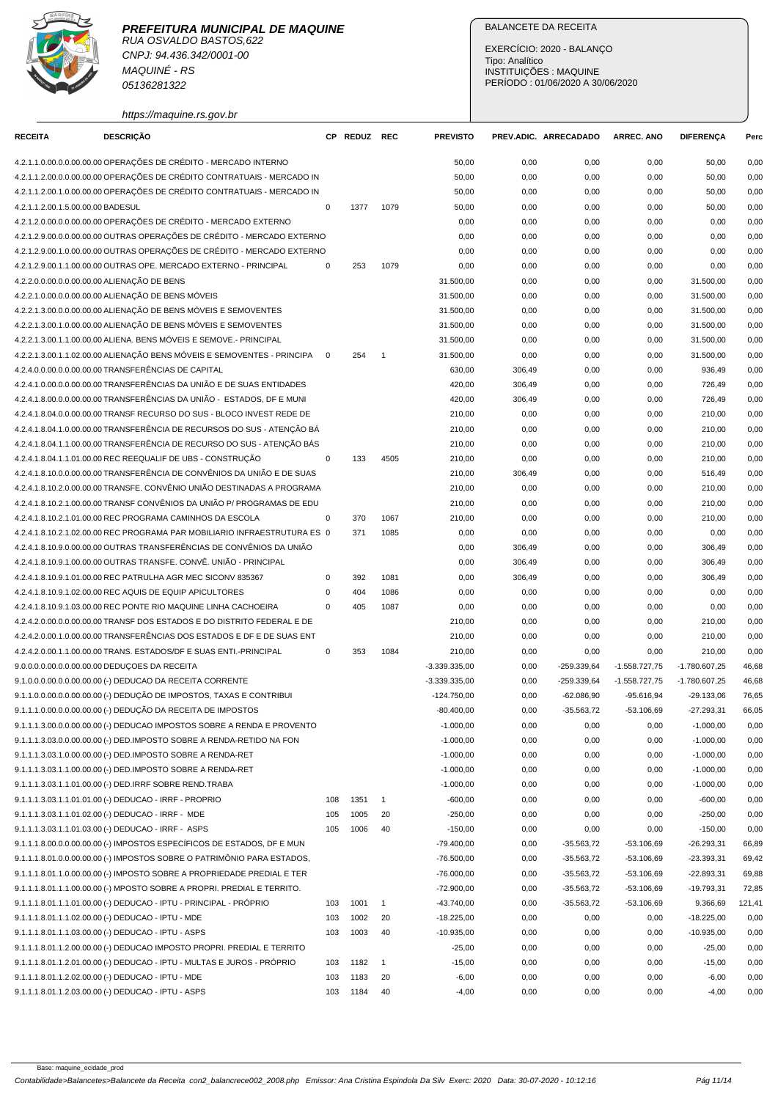CNPJ: 94.436.342/0001-00 MAQUINÉ - RS 05136281322

https://maquine.rs.gov.br

# BALANCETE DA RECEITA

| <b>RECEITA</b>                    | <b>DESCRIÇÃO</b>                                                          |             | CP REDUZ REC |                | <b>PREVISTO</b>            |        | PREV.ADIC. ARRECADADO | <b>ARREC. ANO</b> | <b>DIFERENCA</b> | Perc   |
|-----------------------------------|---------------------------------------------------------------------------|-------------|--------------|----------------|----------------------------|--------|-----------------------|-------------------|------------------|--------|
|                                   | 4.2.1.1.0.00.0.0.00.00.00 OPERAÇÕES DE CRÉDITO - MERCADO INTERNO          |             |              |                | 50,00                      | 0,00   | 0,00                  | 0,00              | 50,00            | 0,00   |
|                                   | 4.2.1.1.2.00.0.0.00.00.00 OPERAÇÕES DE CRÉDITO CONTRATUAIS - MERCADO IN   |             |              |                | 50,00                      | 0,00   | 0,00                  | 0,00              | 50,00            | 0,00   |
|                                   | 4.2.1.1.2.00.1.0.00.00.00 OPERAÇÕES DE CRÉDITO CONTRATUAIS - MERCADO IN   |             |              |                | 50,00                      | 0,00   | 0,00                  | 0,00              | 50,00            | 0,00   |
| 4.2.1.1.2.00.1.5.00.00.00 BADESUL |                                                                           | $\mathbf 0$ | 1377         | 1079           | 50,00                      | 0,00   | 0,00                  | 0,00              | 50,00            | 0,00   |
|                                   | 4.2.1.2.0.00.0.0.00.00.00 OPERAÇÕES DE CRÉDITO - MERCADO EXTERNO          |             |              |                | 0,00                       | 0,00   | 0,00                  | 0,00              | 0,00             | 0,00   |
|                                   | 4.2.1.2.9.00.0.0.00.00.00 OUTRAS OPERAÇÕES DE CRÉDITO - MERCADO EXTERNO   |             |              |                | 0,00                       | 0,00   | 0,00                  | 0,00              | 0,00             | 0,00   |
|                                   | 4.2.1.2.9.00.1.0.00.00.00 OUTRAS OPERAÇÕES DE CRÉDITO - MERCADO EXTERNO   |             |              |                | 0,00                       | 0,00   | 0,00                  | 0,00              | 0,00             | 0,00   |
|                                   | 4.2.1.2.9.00.1.1.00.00.00 OUTRAS OPE. MERCADO EXTERNO - PRINCIPAL         | 0           | 253          | 1079           | 0,00                       | 0,00   | 0,00                  | 0,00              | 0,00             | 0,00   |
|                                   | 4.2.2.0.0.00.0.0.00.00.00 ALIENAÇÃO DE BENS                               |             |              |                | 31.500,00                  | 0,00   | 0,00                  | 0,00              | 31.500,00        | 0,00   |
|                                   | 4.2.2.1.0.00.0.0.00.00.00 ALIENAÇÃO DE BENS MÓVEIS                        |             |              |                | 31.500,00                  | 0,00   | 0,00                  | 0,00              | 31.500,00        | 0,00   |
|                                   | 4.2.2.1.3.00.0.0.00.00.00 ALIENAÇÃO DE BENS MÓVEIS E SEMOVENTES           |             |              |                | 31.500,00                  | 0,00   | 0,00                  | 0,00              | 31.500,00        | 0,00   |
|                                   | 4.2.2.1.3.00.1.0.00.00.00 ALIENAÇÃO DE BENS MÓVEIS E SEMOVENTES           |             |              |                | 31.500,00                  | 0,00   | 0,00                  | 0,00              | 31.500,00        | 0,00   |
|                                   | 4.2.2.1.3.00.1.1.00.00.00 ALIENA. BENS MÓVEIS E SEMOVE.- PRINCIPAL        |             |              |                | 31.500,00                  | 0,00   | 0,00                  | 0,00              | 31.500,00        | 0,00   |
|                                   | 4.2.2.1.3.00.1.1.02.00.00 ALIENAÇÃO BENS MÓVEIS E SEMOVENTES - PRINCIPA   | $\mathbf 0$ | 254          | $\overline{1}$ | 31.500,00                  | 0,00   | 0,00                  | 0,00              | 31.500,00        | 0,00   |
|                                   | 4.2.4.0.0.00.0.0.00.00.00 TRANSFERÊNCIAS DE CAPITAL                       |             |              |                | 630,00                     | 306,49 | 0,00                  | 0,00              | 936,49           | 0,00   |
|                                   | 4.2.4.1.0.00.0.0.00.00.00 TRANSFERÊNCIAS DA UNIÃO E DE SUAS ENTIDADES     |             |              |                | 420,00                     | 306,49 | 0,00                  | 0,00              | 726,49           | 0,00   |
|                                   | 4.2.4.1.8.00.0.0.00.00.00 TRANSFERÊNCIAS DA UNIÃO - ESTADOS. DF E MUNI    |             |              |                | 420,00                     | 306,49 | 0,00                  | 0,00              | 726,49           | 0,00   |
|                                   | 4.2.4.1.8.04.0.0.00.00.00 TRANSF RECURSO DO SUS - BLOCO INVEST REDE DE    |             |              |                | 210,00                     | 0,00   | 0,00                  | 0,00              | 210,00           | 0,00   |
|                                   | 4.2.4.1.8.04.1.0.00.00.00 TRANSFERÊNCIA DE RECURSOS DO SUS - ATENÇÃO BÁ   |             |              |                | 210,00                     | 0,00   | 0,00                  | 0,00              | 210,00           | 0,00   |
|                                   | 4.2.4.1.8.04.1.1.00.00.00 TRANSFERÊNCIA DE RECURSO DO SUS - ATENÇÃO BÁS   |             |              |                | 210,00                     | 0,00   | 0,00                  | 0,00              | 210,00           | 0,00   |
|                                   | 4.2.4.1.8.04.1.1.01.00.00 REC REEQUALIF DE UBS - CONSTRUÇÃO               | $\mathbf 0$ | 133          | 4505           | 210,00                     | 0,00   | 0,00                  | 0,00              | 210,00           | 0,00   |
|                                   | 4.2.4.1.8.10.0.0.00.00.00 TRANSFERÊNCIA DE CONVÊNIOS DA UNIÃO E DE SUAS   |             |              |                | 210,00                     | 306,49 | 0,00                  | 0,00              | 516,49           | 0,00   |
|                                   | 4.2.4.1.8.10.2.0.00.00.00 TRANSFE, CONVÊNIO UNIÃO DESTINADAS A PROGRAMA   |             |              |                | 210,00                     | 0,00   | 0,00                  | 0,00              | 210,00           | 0,00   |
|                                   | 4.2.4.1.8.10.2.1.00.00.00 TRANSF CONVÊNIOS DA UNIÃO P/ PROGRAMAS DE EDU   |             |              |                | 210,00                     | 0,00   | 0,00                  | 0,00              | 210,00           | 0,00   |
|                                   | 4.2.4.1.8.10.2.1.01.00.00 REC PROGRAMA CAMINHOS DA ESCOLA                 | 0           | 370          | 1067           | 210,00                     | 0,00   | 0,00                  | 0,00              | 210,00           | 0,00   |
|                                   | 4.2.4.1.8.10.2.1.02.00.00 REC PROGRAMA PAR MOBILIARIO INFRAESTRUTURA ES 0 |             | 371          | 1085           | 0,00                       | 0,00   | 0,00                  | 0,00              | 0,00             | 0,00   |
|                                   | 4.2.4.1.8.10.9.0.00.00.00 OUTRAS TRANSFERÊNCIAS DE CONVÊNIOS DA UNIÃO     |             |              |                | 0,00                       | 306,49 | 0,00                  | 0,00              | 306,49           | 0,00   |
|                                   | 4.2.4.1.8.10.9.1.00.00.00 OUTRAS TRANSFE. CONVÊ. UNIÃO - PRINCIPAL        |             |              |                | 0,00                       | 306,49 | 0,00                  | 0,00              | 306,49           | 0,00   |
|                                   | 4.2.4.1.8.10.9.1.01.00.00 REC PATRULHA AGR MEC SICONV 835367              | 0           | 392          | 1081           | 0,00                       | 306,49 | 0,00                  | 0,00              | 306,49           | 0,00   |
|                                   | 4.2.4.1.8.10.9.1.02.00.00 REC AQUIS DE EQUIP APICULTORES                  | 0           | 404          | 1086           | 0,00                       | 0,00   | 0,00                  | 0,00              | 0,00             | 0,00   |
|                                   | 4.2.4.1.8.10.9.1.03.00.00 REC PONTE RIO MAQUINE LINHA CACHOEIRA           | 0           | 405          | 1087           | 0,00                       | 0,00   | 0,00                  | 0,00              | 0,00             | 0,00   |
|                                   | 4.2.4.2.0.00.0.0.00.00.00 TRANSF DOS ESTADOS E DO DISTRITO FEDERAL E DE   |             |              |                | 210,00                     | 0,00   | 0,00                  | 0,00              | 210,00           | 0,00   |
|                                   | 4.2.4.2.0.00.1.0.00.00.00 TRANSFERÊNCIAS DOS ESTADOS E DF E DE SUAS ENT   |             |              |                | 210,00                     | 0,00   | 0,00                  | 0,00              | 210,00           | 0,00   |
|                                   | 4.2.4.2.0.00.1.1.00.00.00 TRANS. ESTADOS/DF E SUAS ENTI.-PRINCIPAL        | 0           | 353          | 1084           | 210,00                     | 0,00   | 0,00                  | 0,00              | 210,00           | 0,00   |
|                                   | 9.0.0.0.0.00.0.0.00.00.00 DEDUÇOES DA RECEITA                             |             |              |                | $-3.339.335,00$            | 0,00   | -259.339,64           | $-1.558.727,75$   | $-1.780.607,25$  | 46,68  |
|                                   | 9.1.0.0.0.00.0.0.00.00.00 (-) DEDUCAO DA RECEITA CORRENTE                 |             |              |                | $-3.339.335,00$            | 0,00   | $-259.339,64$         | $-1.558.727,75$   | $-1.780.607,25$  | 46,68  |
|                                   | 9.1.1.0.0.00.0.0.00.00.00 (-) DEDUÇÃO DE IMPOSTOS, TAXAS E CONTRIBUI      |             |              |                |                            |        |                       |                   |                  |        |
|                                   | 9.1.1.1.0.00.0.0.00.00.00 (-) DEDUÇÃO DA RECEITA DE IMPOSTOS              |             |              |                | $-124.750,00$              | 0,00   | $-62.086,90$          | $-95.616,94$      | $-29.133,06$     | 76,65  |
|                                   |                                                                           |             |              |                | $-80.400,00$               | 0,00   | $-35.563,72$          | -53.106,69        | $-27.293,31$     | 66,05  |
|                                   | 9.1.1.1.3.00.0.0.00.00.00 (-) DEDUCAO IMPOSTOS SOBRE A RENDA E PROVENTO   |             |              |                | $-1.000,00$<br>$-1.000,00$ | 0,00   | 0,00                  | 0,00              | $-1.000,00$      | 0,00   |
|                                   | 9.1.1.1.3.03.0.0.00.00.00 (-) DED.IMPOSTO SOBRE A RENDA-RETIDO NA FON     |             |              |                |                            | 0,00   | 0,00                  | 0,00              | $-1.000,00$      | 0,00   |
|                                   | 9.1.1.1.3.03.1.0.00.00.00 (-) DED.IMPOSTO SOBRE A RENDA-RET               |             |              |                | $-1.000,00$                | 0,00   | 0,00                  | 0,00              | $-1.000,00$      | 0,00   |
|                                   | 9.1.1.1.3.03.1.1.00.00.00 (-) DED.IMPOSTO SOBRE A RENDA-RET               |             |              |                | $-1.000,00$                | 0,00   | 0,00                  | 0,00              | $-1.000,00$      | 0,00   |
|                                   | 9.1.1.1.3.03.1.1.01.00.00 (-) DED.IRRF SOBRE REND.TRABA                   |             |              |                | $-1.000,00$                | 0,00   | 0,00                  | 0,00              | $-1.000,00$      | 0,00   |
|                                   | 9.1.1.1.3.03.1.1.01.01.00 (-) DEDUCAO - IRRF - PROPRIO                    | 108         | 1351         | $\overline{1}$ | $-600,00$                  | 0,00   | 0,00                  | 0,00              | $-600,00$        | 0,00   |
|                                   | 9.1.1.1.3.03.1.1.01.02.00 (-) DEDUCAO - IRRF - MDE                        | 105         | 1005         | 20             | $-250,00$                  | 0,00   | 0,00                  | 0,00              | $-250,00$        | 0,00   |
|                                   | 9.1.1.1.3.03.1.1.01.03.00 (-) DEDUCAO - IRRF - ASPS                       | 105         | 1006         | 40             | $-150,00$                  | 0,00   | 0,00                  | 0,00              | $-150,00$        | 0,00   |
|                                   | 9.1.1.1.8.00.0.0.00.00.00 (-) IMPOSTOS ESPECÍFICOS DE ESTADOS, DF E MUN   |             |              |                | $-79.400,00$               | 0,00   | $-35.563,72$          | $-53.106,69$      | $-26.293,31$     | 66,89  |
|                                   | 9.1.1.1.8.01.0.0.00.00.00 (-) IMPOSTOS SOBRE O PATRIMÔNIO PARA ESTADOS,   |             |              |                | $-76.500,00$               | 0,00   | $-35.563,72$          | $-53.106,69$      | $-23.393,31$     | 69,42  |
|                                   | 9.1.1.1.8.01.1.0.00.00.00 (-) IMPOSTO SOBRE A PROPRIEDADE PREDIAL E TER   |             |              |                | $-76.000,00$               | 0,00   | $-35.563,72$          | $-53.106,69$      | $-22.893,31$     | 69,88  |
|                                   | 9.1.1.1.8.01.1.1.00.00.00 (-) MPOSTO SOBRE A PROPRI. PREDIAL E TERRITO.   |             |              |                | $-72.900,00$               | 0,00   | $-35.563,72$          | $-53.106,69$      | $-19.793,31$     | 72,85  |
|                                   | 9.1.1.1.8.01.1.1.01.00.00 (-) DEDUCAO - IPTU - PRINCIPAL - PRÓPRIO        | 103         | 1001         | $\overline{1}$ | $-43.740,00$               | 0,00   | $-35.563,72$          | $-53.106,69$      | 9.366,69         | 121,41 |
|                                   | 9.1.1.1.8.01.1.1.02.00.00 (-) DEDUCAO - IPTU - MDE                        | 103         | 1002         | 20             | $-18.225,00$               | 0,00   | 0,00                  | 0,00              | $-18.225,00$     | 0,00   |
|                                   | 9.1.1.1.8.01.1.1.03.00.00 (-) DEDUCAO - IPTU - ASPS                       | 103         | 1003         | 40             | $-10.935,00$               | 0,00   | 0,00                  | 0,00              | $-10.935,00$     | 0,00   |
|                                   | 9.1.1.1.8.01.1.2.00.00.00 (-) DEDUCAO IMPOSTO PROPRI. PREDIAL E TERRITO   |             |              |                | $-25,00$                   | 0,00   | 0,00                  | 0,00              | $-25,00$         | 0,00   |
|                                   | 9.1.1.1.8.01.1.2.01.00.00 (-) DEDUCAO - IPTU - MULTAS E JUROS - PRÓPRIO   | 103         | 1182         | $\overline{1}$ | $-15,00$                   | 0,00   | 0,00                  | 0,00              | $-15,00$         | 0,00   |
|                                   | 9.1.1.1.8.01.1.2.02.00.00 (-) DEDUCAO - IPTU - MDE                        | 103         | 1183         | 20             | $-6,00$                    | 0,00   | 0,00                  | 0,00              | $-6,00$          | 0,00   |
|                                   | 9.1.1.1.8.01.1.2.03.00.00 (-) DEDUCAO - IPTU - ASPS                       | 103         | 1184         | 40             | $-4,00$                    | 0,00   | 0,00                  | 0,00              | $-4,00$          | 0,00   |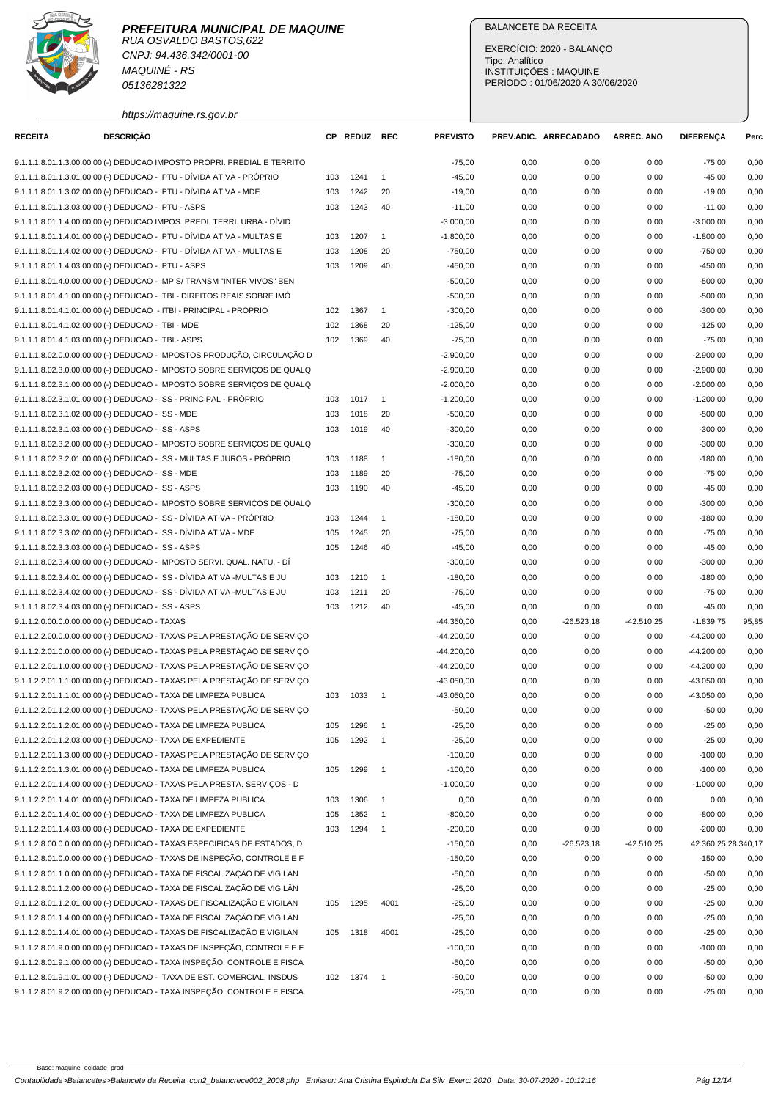RUA OSVALDO BASTOS,622 CNPJ: 94.436.342/0001-00 MAQUINÉ - RS 05136281322

## BALANCETE DA RECEITA

EXERCÍCIO: 2020 - BALANÇO Tipo: Analítico INSTITUIÇÕES : MAQUINE PERÍODO : 01/06/2020 A 30/06/2020

https://maquine.rs.gov.br

| <b>RECEITA</b> | <b>DESCRIÇÃO</b>                                                        | СP  | <b>REDUZ REC</b> |                            | <b>PREVISTO</b> |      | PREV.ADIC. ARRECADADO | <b>ARREC. ANO</b> | <b>DIFERENÇA</b>    | Perc  |
|----------------|-------------------------------------------------------------------------|-----|------------------|----------------------------|-----------------|------|-----------------------|-------------------|---------------------|-------|
|                | 9.1.1.1.8.01.1.3.00.00.00 (-) DEDUCAO IMPOSTO PROPRI. PREDIAL E TERRITO |     |                  |                            | $-75,00$        | 0,00 | 0,00                  | 0,00              | $-75,00$            | 0,00  |
|                | 9.1.1.1.8.01.1.3.01.00.00 (-) DEDUCAO - IPTU - DÍVIDA ATIVA - PRÓPRIO   | 103 | 1241             | $\overline{1}$             | $-45,00$        | 0,00 | 0,00                  | 0,00              | $-45,00$            | 0,00  |
|                | 9.1.1.1.8.01.1.3.02.00.00 (-) DEDUCAO - IPTU - DÍVIDA ATIVA - MDE       | 103 | 1242             | 20                         | $-19,00$        | 0,00 | 0,00                  | 0,00              | $-19,00$            | 0,00  |
|                | 9.1.1.1.8.01.1.3.03.00.00 (-) DEDUCAO - IPTU - ASPS                     | 103 | 1243             | 40                         | $-11,00$        | 0,00 | 0,00                  | 0,00              | $-11,00$            | 0,00  |
|                | 9.1.1.1.8.01.1.4.00.00.00 (-) DEDUCAO IMPOS. PREDI. TERRI. URBA.- DÍVID |     |                  |                            | $-3.000,00$     | 0,00 | 0,00                  | 0,00              | $-3.000,00$         | 0,00  |
|                | 9.1.1.1.8.01.1.4.01.00.00 (-) DEDUCAO - IPTU - DÍVIDA ATIVA - MULTAS E  | 103 | 1207             | $\mathbf{1}$               | $-1.800,00$     | 0,00 | 0,00                  | 0,00              | $-1.800,00$         | 0,00  |
|                | 9.1.1.1.8.01.1.4.02.00.00 (-) DEDUCAO - IPTU - DÍVIDA ATIVA - MULTAS E  | 103 | 1208             | 20                         | $-750,00$       | 0,00 | 0,00                  | 0,00              | $-750,00$           | 0,00  |
|                | 9.1.1.1.8.01.1.4.03.00.00 (-) DEDUCAO - IPTU - ASPS                     | 103 | 1209             | 40                         | $-450,00$       | 0,00 | 0,00                  | 0,00              | $-450,00$           | 0,00  |
|                | 9.1.1.1.8.01.4.0.00.00.00 (-) DEDUCAO - IMP S/ TRANSM "INTER VIVOS" BEN |     |                  |                            | $-500,00$       | 0,00 | 0,00                  | 0,00              | $-500,00$           | 0,00  |
|                | 9.1.1.1.8.01.4.1.00.00.00 (-) DEDUCAO - ITBI - DIREITOS REAIS SOBRE IMO |     |                  |                            | $-500,00$       | 0,00 | 0,00                  | 0,00              | $-500,00$           | 0,00  |
|                | 9.1.1.1.8.01.4.1.01.00.00 (-) DEDUCAO - ITBI - PRINCIPAL - PRÓPRIO      | 102 | 1367             | $\overline{1}$             | $-300,00$       | 0,00 | 0,00                  | 0,00              | $-300,00$           | 0,00  |
|                | 9.1.1.1.8.01.4.1.02.00.00 (-) DEDUCAO - ITBI - MDE                      | 102 | 1368             | 20                         | $-125,00$       | 0,00 | 0,00                  | 0,00              | $-125,00$           | 0,00  |
|                | 9.1.1.1.8.01.4.1.03.00.00 (-) DEDUCAO - ITBI - ASPS                     | 102 | 1369             | 40                         | $-75,00$        | 0,00 | 0,00                  | 0,00              | $-75,00$            | 0,00  |
|                | 9.1.1.1.8.02.0.0.00.00.00 (-) DEDUCAO - IMPOSTOS PRODUÇÃO, CIRCULAÇÃO D |     |                  |                            | $-2.900,00$     | 0,00 | 0,00                  | 0,00              | $-2.900,00$         | 0,00  |
|                | 9.1.1.1.8.02.3.0.00.00.00 (-) DEDUCAO - IMPOSTO SOBRE SERVIÇOS DE QUALQ |     |                  |                            | $-2.900,00$     | 0,00 | 0,00                  | 0,00              | $-2.900,00$         | 0,00  |
|                | 9.1.1.1.8.02.3.1.00.00.00 (-) DEDUCAO - IMPOSTO SOBRE SERVIÇOS DE QUALQ |     |                  |                            | $-2.000,00$     | 0,00 | 0,00                  | 0,00              | $-2.000,00$         | 0,00  |
|                | 9.1.1.1.8.02.3.1.01.00.00 (-) DEDUCAO - ISS - PRINCIPAL - PRÓPRIO       | 103 | 1017             | $\overline{1}$             | $-1.200,00$     | 0,00 | 0,00                  | 0,00              | $-1.200.00$         | 0,00  |
|                | 9.1.1.1.8.02.3.1.02.00.00 (-) DEDUCAO - ISS - MDE                       | 103 | 1018             | 20                         | $-500,00$       | 0,00 | 0,00                  | 0,00              | $-500,00$           | 0,00  |
|                | 9.1.1.1.8.02.3.1.03.00.00 (-) DEDUCAO - ISS - ASPS                      | 103 | 1019             | 40                         | $-300,00$       | 0,00 | 0,00                  | 0,00              | $-300,00$           | 0,00  |
|                | 9.1.1.1.8.02.3.2.00.00.00 (-) DEDUCAO - IMPOSTO SOBRE SERVICOS DE QUALQ |     |                  |                            | $-300,00$       | 0,00 | 0,00                  | 0,00              | $-300,00$           | 0,00  |
|                | 9.1.1.1.8.02.3.2.01.00.00 (-) DEDUCAO - ISS - MULTAS E JUROS - PRÓPRIO  | 103 | 1188             | $\overline{1}$             | $-180,00$       | 0,00 | 0,00                  | 0,00              | $-180,00$           | 0,00  |
|                | 9.1.1.1.8.02.3.2.02.00.00 (-) DEDUCAO - ISS - MDE                       | 103 | 1189             | 20                         | $-75,00$        | 0,00 | 0,00                  | 0,00              | $-75,00$            | 0,00  |
|                | 9.1.1.1.8.02.3.2.03.00.00 (-) DEDUCAO - ISS - ASPS                      | 103 | 1190             | 40                         | $-45,00$        | 0,00 | 0,00                  | 0,00              | $-45,00$            | 0,00  |
|                | 9.1.1.1.8.02.3.3.00.00.00 (-) DEDUCAO - IMPOSTO SOBRE SERVIÇOS DE QUALQ |     |                  |                            | $-300,00$       | 0,00 | 0,00                  | 0,00              | $-300,00$           | 0,00  |
|                | 9.1.1.1.8.02.3.3.01.00.00 (-) DEDUCAO - ISS - DÍVIDA ATIVA - PRÓPRIO    | 103 | 1244             | $\mathbf{1}$               | $-180,00$       | 0,00 | 0,00                  | 0,00              | $-180,00$           | 0,00  |
|                | 9.1.1.1.8.02.3.3.02.00.00 (-) DEDUCAO - ISS - DÍVIDA ATIVA - MDE        | 105 | 1245             | 20                         | $-75,00$        | 0,00 | 0,00                  | 0,00              | $-75,00$            | 0,00  |
|                | 9.1.1.1.8.02.3.3.03.00.00 (-) DEDUCAO - ISS - ASPS                      | 105 | 1246             | 40                         | $-45,00$        | 0,00 | 0,00                  | 0,00              | $-45,00$            | 0,00  |
|                | 9.1.1.1.8.02.3.4.00.00.00 (-) DEDUCAO - IMPOSTO SERVI. QUAL. NATU. - DI |     |                  |                            | $-300,00$       | 0,00 | 0,00                  | 0,00              | $-300,00$           | 0,00  |
|                | 9.1.1.1.8.02.3.4.01.00.00 (-) DEDUCAO - ISS - DÍVIDA ATIVA -MULTAS E JU | 103 | 1210             | $\mathbf{1}$               | $-180,00$       | 0,00 | 0,00                  | 0,00              | $-180,00$           | 0,00  |
|                | 9.1.1.1.8.02.3.4.02.00.00 (-) DEDUCAO - ISS - DÍVIDA ATIVA -MULTAS E JU | 103 | 1211             | 20                         | $-75,00$        | 0,00 | 0,00                  | 0,00              | $-75,00$            | 0,00  |
|                | 9.1.1.1.8.02.3.4.03.00.00 (-) DEDUCAO - ISS - ASPS                      | 103 | 1212             | 40                         | $-45,00$        | 0,00 | 0,00                  | 0,00              | $-45,00$            | 0,00  |
|                | 9.1.1.2.0.00.0.0.00.00.00 (-) DEDUCAO - TAXAS                           |     |                  |                            | $-44.350,00$    | 0,00 | $-26.523,18$          | $-42.510,25$      | $-1.839,75$         | 95,85 |
|                | 9.1.1.2.2.00.0.0.00.00.00 (-) DEDUCAO - TAXAS PELA PRESTAÇÃO DE SERVIÇO |     |                  |                            | $-44.200,00$    | 0,00 | 0,00                  | 0,00              | $-44.200,00$        | 0,00  |
|                | 9.1.1.2.2.01.0.0.00.00.00 (-) DEDUCAO - TAXAS PELA PRESTAÇÃO DE SERVIÇO |     |                  |                            | $-44.200,00$    | 0,00 | 0,00                  | 0,00              | $-44.200,00$        | 0,00  |
|                | 9.1.1.2.2.01.1.0.00.00.00 (-) DEDUCAO - TAXAS PELA PRESTAÇÃO DE SERVICO |     |                  |                            | $-44.200,00$    | 0,00 | 0,00                  | 0,00              | $-44.200.00$        | 0,00  |
|                | 9.1.1.2.2.01.1.1.00.00.00 (-) DEDUCAO - TAXAS PELA PRESTAÇÃO DE SERVIÇO |     |                  |                            | $-43.050,00$    | 0,00 | 0,00                  | 0,00              | $-43.050,00$        | 0,00  |
|                | 9.1.1.2.2.01.1.1.01.00.00 (-) DEDUCAO - TAXA DE LIMPEZA PUBLICA         | 103 | 1033             | $\overline{1}$             | $-43.050,00$    | 0,00 | 0,00                  | 0,00              | $-43.050,00$        | 0,00  |
|                | 9.1.1.2.2.01.1.2.00.00.00 (-) DEDUCAO - TAXAS PELA PRESTAÇÃO DE SERVIÇO |     |                  |                            | $-50,00$        | 0,00 | 0,00                  | 0,00              | $-50,00$            | 0,00  |
|                | 9.1.1.2.2.01.1.2.01.00.00 (-) DEDUCAO - TAXA DE LIMPEZA PUBLICA         | 105 | 1296             | $\overline{1}$             | $-25,00$        | 0,00 | 0,00                  | 0,00              | $-25,00$            | 0,00  |
|                | 9.1.1.2.2.01.1.2.03.00.00 (-) DEDUCAO - TAXA DE EXPEDIENTE              | 105 | 1292             |                            | $-25,00$        | 0,00 | 0,00                  | 0,00              | $-25,00$            | 0,00  |
|                | 9.1.1.2.2.01.1.3.00.00.00 (-) DEDUCAO - TAXAS PELA PRESTAÇÃO DE SERVIÇO |     |                  |                            | $-100,00$       | 0,00 | 0,00                  | 0,00              | $-100,00$           | 0,00  |
|                | 9.1.1.2.2.01.1.3.01.00.00 (-) DEDUCAO - TAXA DE LIMPEZA PUBLICA         | 105 | 1299             | $\overline{1}$             | $-100,00$       | 0,00 | 0,00                  | 0,00              | $-100,00$           | 0,00  |
|                | 9.1.1.2.2.01.1.4.00.00.00 (-) DEDUCAO - TAXAS PELA PRESTA. SERVIÇOS - D |     |                  |                            | $-1.000,00$     | 0,00 | 0,00                  | 0,00              | $-1.000,00$         | 0,00  |
|                | 9.1.1.2.2.01.1.4.01.00.00 (-) DEDUCAO - TAXA DE LIMPEZA PUBLICA         | 103 | 1306             | $\overline{\phantom{0}}$   | 0,00            | 0,00 | 0,00                  | 0,00              | 0,00                | 0,00  |
|                | 9.1.1.2.2.01.1.4.01.00.00 (-) DEDUCAO - TAXA DE LIMPEZA PUBLICA         | 105 | 1352             | $\overline{\phantom{1}}$   | $-800,00$       | 0,00 | 0,00                  | 0,00              | $-800,00$           | 0,00  |
|                | 9.1.1.2.2.01.1.4.03.00.00 (-) DEDUCAO - TAXA DE EXPEDIENTE              | 103 | 1294             | $\overline{\phantom{1}}$   | $-200,00$       | 0,00 | 0,00                  | 0,00              | $-200,00$           | 0,00  |
|                | 9.1.1.2.8.00.0.0.00.00.00 (-) DEDUCAO - TAXAS ESPECÍFICAS DE ESTADOS, D |     |                  |                            | $-150,00$       | 0,00 | $-26.523,18$          | $-42.510.25$      | 42.360,25 28.340,17 |       |
|                | 9.1.1.2.8.01.0.0.00.00.00 (-) DEDUCAO - TAXAS DE INSPEÇÃO, CONTROLE E F |     |                  |                            | $-150,00$       | 0,00 | 0,00                  | 0,00              | $-150,00$           | 0,00  |
|                | 9.1.1.2.8.01.1.0.00.00.00 (-) DEDUCAO - TAXA DE FISCALIZAÇÃO DE VIGILÂN |     |                  |                            | $-50,00$        | 0,00 | 0,00                  | 0,00              | $-50,00$            | 0,00  |
|                | 9.1.1.2.8.01.1.2.00.00.00 (-) DEDUCAO - TAXA DE FISCALIZAÇÃO DE VIGILÂN |     |                  |                            | $-25,00$        | 0,00 | 0,00                  | 0,00              | $-25,00$            | 0,00  |
|                | 9.1.1.2.8.01.1.2.01.00.00 (-) DEDUCAO - TAXAS DE FISCALIZAÇÃO E VIGILAN | 105 | 1295             | 4001                       | $-25,00$        | 0,00 | 0,00                  | 0,00              | $-25,00$            | 0,00  |
|                | 9.1.1.2.8.01.1.4.00.00.00 (-) DEDUCAO - TAXA DE FISCALIZAÇÃO DE VIGILÂN |     |                  |                            | $-25,00$        | 0,00 | 0,00                  | 0,00              | $-25,00$            | 0,00  |
|                | 9.1.1.2.8.01.1.4.01.00.00 (-) DEDUCAO - TAXAS DE FISCALIZAÇÃO E VIGILAN | 105 | 1318             | 4001                       | $-25,00$        | 0,00 | 0,00                  | 0,00              | $-25,00$            | 0,00  |
|                | 9.1.1.2.8.01.9.0.00.00.00 (-) DEDUCAO - TAXAS DE INSPEÇÃO, CONTROLE E F |     |                  |                            | $-100,00$       | 0,00 | 0,00                  | 0,00              | $-100,00$           | 0,00  |
|                | 9.1.1.2.8.01.9.1.00.00.00 (-) DEDUCAO - TAXA INSPEÇÃO, CONTROLE E FISCA |     |                  |                            | $-50,00$        | 0,00 | 0,00                  | 0,00              | $-50,00$            | 0,00  |
|                | 9.1.1.2.8.01.9.1.01.00.00 (-) DEDUCAO - TAXA DE EST. COMERCIAL, INSDUS  | 102 | 1374             | $\overline{\phantom{0}}$ 1 | $-50,00$        | 0,00 | 0,00                  | 0,00              | $-50,00$            | 0,00  |
|                | 9.1.1.2.8.01.9.2.00.00.00 (-) DEDUCAO - TAXA INSPEÇÃO, CONTROLE E FISCA |     |                  |                            | $-25,00$        | 0,00 | 0,00                  | 0,00              | $-25,00$            | 0,00  |
|                |                                                                         |     |                  |                            |                 |      |                       |                   |                     |       |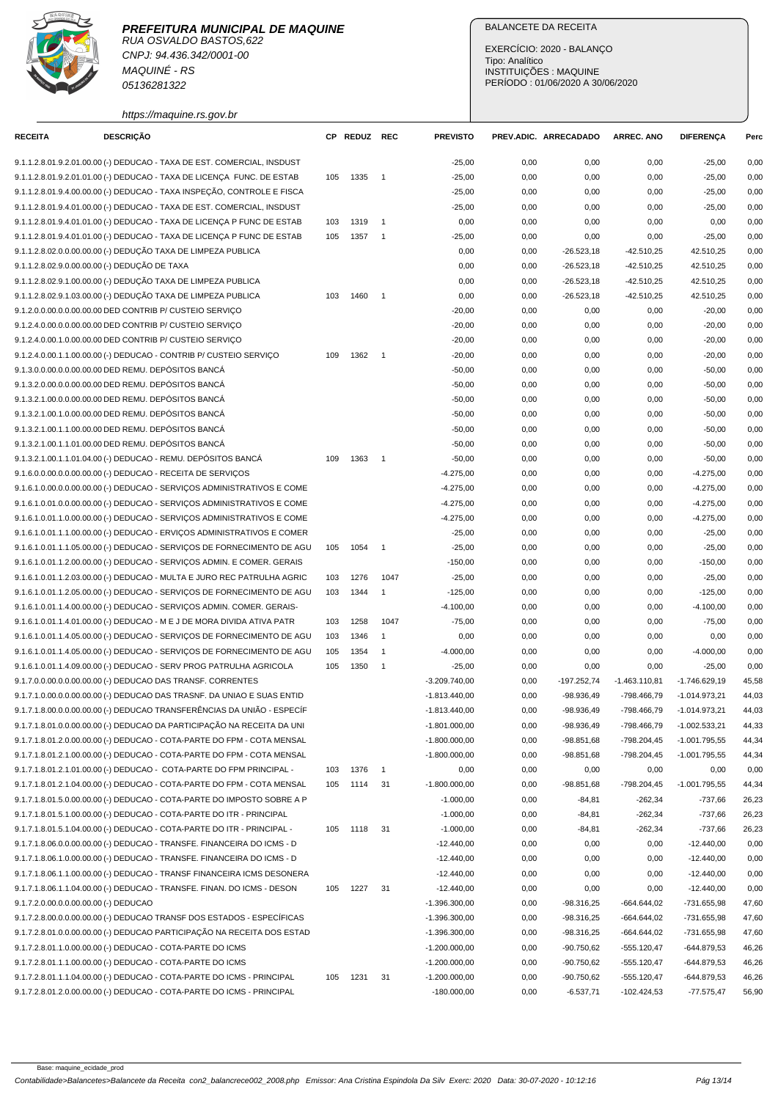RUA OSVALDO BASTOS,622 CNPJ: 94.436.342/0001-00 MAQUINÉ - RS 05136281322

# https://maquine.rs.gov.br

## BALANCETE DA RECEITA

EXERCÍCIO: 2020 - BALANÇO Tipo: Analítico INSTITUIÇÕES : MAQUINE PERÍODO : 01/06/2020 A 30/06/2020

| <b>RECEITA</b>                                | <b>DESCRIÇÃO</b>                                                         |     | CP REDUZ REC |                            | <b>PREVISTO</b> |      | PREV.ADIC. ARRECADADO | <b>ARREC. ANO</b> | <b>DIFERENÇA</b> | Perc  |
|-----------------------------------------------|--------------------------------------------------------------------------|-----|--------------|----------------------------|-----------------|------|-----------------------|-------------------|------------------|-------|
|                                               | 9.1.1.2.8.01.9.2.01.00.00 (-) DEDUCAO - TAXA DE EST. COMERCIAL, INSDUST  |     |              |                            | $-25,00$        | 0,00 | 0,00                  | 0,00              | $-25,00$         | 0,00  |
|                                               | 9.1.1.2.8.01.9.2.01.01.00 (-) DEDUCAO - TAXA DE LICENÇA FUNC. DE ESTAB   | 105 | 1335         | $\overline{\phantom{0}}$ 1 | $-25,00$        | 0,00 | 0,00                  | 0,00              | $-25,00$         | 0,00  |
|                                               | 9.1.1.2.8.01.9.4.00.00.00 (-) DEDUCAO - TAXA INSPEÇÃO, CONTROLE E FISCA  |     |              |                            | $-25,00$        | 0,00 | 0,00                  | 0,00              | $-25,00$         | 0,00  |
|                                               | 9.1.1.2.8.01.9.4.01.00.00 (-) DEDUCAO - TAXA DE EST. COMERCIAL, INSDUST  |     |              |                            | $-25,00$        | 0,00 | 0,00                  | 0,00              | $-25,00$         | 0,00  |
|                                               | 9.1.1.2.8.01.9.4.01.01.00 (-) DEDUCAO - TAXA DE LICENÇA P FUNC DE ESTAB  | 103 | 1319         | $\overline{1}$             | 0,00            | 0,00 | 0,00                  | 0,00              | 0,00             | 0,00  |
|                                               | 9.1.1.2.8.01.9.4.01.01.00 (-) DEDUCAO - TAXA DE LICENÇA P FUNC DE ESTAB  | 105 | 1357         | $\overline{1}$             | $-25,00$        | 0,00 | 0,00                  | 0,00              | $-25,00$         | 0,00  |
|                                               | 9.1.1.2.8.02.0.0.00.00.00 (-) DEDUÇÃO TAXA DE LIMPEZA PUBLICA            |     |              |                            | 0,00            | 0,00 | $-26.523,18$          | $-42.510,25$      | 42.510,25        | 0,00  |
| 9.1.1.2.8.02.9.0.00.00.00 (-) DEDUÇÃO DE TAXA |                                                                          |     |              |                            | 0,00            | 0,00 | $-26.523,18$          | $-42.510,25$      | 42.510,25        | 0,00  |
|                                               | 9.1.1.2.8.02.9.1.00.00.00 (-) DEDUÇÃO TAXA DE LIMPEZA PUBLICA            |     |              |                            | 0,00            | 0,00 | $-26.523,18$          | $-42.510,25$      | 42.510,25        | 0,00  |
|                                               | 9.1.1.2.8.02.9.1.03.00.00 (-) DEDUÇÃO TAXA DE LIMPEZA PUBLICA            | 103 | 1460         | $\overline{\phantom{0}}$   | 0,00            | 0,00 | $-26.523,18$          | $-42.510,25$      | 42.510,25        | 0,00  |
|                                               | 9.1.2.0.0.00.0.0.00.00.00 DED CONTRIB P/ CUSTEIO SERVIÇO                 |     |              |                            | $-20,00$        | 0,00 | 0,00                  | 0,00              | $-20,00$         | 0,00  |
|                                               | 9.1.2.4.0.00.0.0.00.00.00 DED CONTRIB P/ CUSTEIO SERVIÇO                 |     |              |                            | $-20,00$        | 0,00 | 0,00                  | 0,00              | $-20,00$         | 0,00  |
|                                               | 9.1.2.4.0.00.1.0.00.00.00 DED CONTRIB P/ CUSTEIO SERVIÇO                 |     |              |                            | $-20,00$        | 0,00 | 0,00                  | 0,00              | $-20,00$         | 0,00  |
|                                               | 9.1.2.4.0.00.1.1.00.00.00 (-) DEDUCAO - CONTRIB P/ CUSTEIO SERVIÇO       | 109 | 1362         | $\overline{\phantom{1}}$   | $-20,00$        | 0,00 | 0,00                  | 0,00              | $-20,00$         | 0,00  |
|                                               | 9.1.3.0.0.00.0.0.00.00.00 DED REMU. DEPÓSITOS BANCÁ                      |     |              |                            | $-50,00$        | 0,00 | 0,00                  | 0,00              | $-50,00$         | 0,00  |
|                                               | 9.1.3.2.0.00.0.0.00.00.00 DED REMU. DEPÓSITOS BANCÁ                      |     |              |                            | $-50,00$        | 0,00 | 0,00                  | 0,00              | $-50,00$         | 0,00  |
|                                               | 9.1.3.2.1.00.0.0.00.00.00 DED REMU. DEPÓSITOS BANCÁ                      |     |              |                            | $-50,00$        | 0,00 | 0,00                  | 0,00              | $-50,00$         | 0,00  |
|                                               | 9.1.3.2.1.00.1.0.00.00.00 DED REMU. DEPÓSITOS BANCÁ                      |     |              |                            | $-50,00$        | 0,00 | 0,00                  | 0,00              | $-50,00$         | 0,00  |
|                                               | 9.1.3.2.1.00.1.1.00.00.00 DED REMU. DEPÓSITOS BANCÁ                      |     |              |                            | $-50,00$        | 0,00 | 0,00                  | 0,00              | $-50,00$         | 0,00  |
|                                               | 9.1.3.2.1.00.1.1.01.00.00 DED REMU. DEPÓSITOS BANCÁ                      |     |              |                            | $-50,00$        | 0,00 | 0,00                  | 0,00              | $-50,00$         | 0,00  |
|                                               | 9.1.3.2.1.00.1.1.01.04.00 (-) DEDUCAO - REMU. DEPÓSITOS BANCÁ            | 109 | 1363         | $\overline{1}$             | $-50,00$        | 0,00 | 0,00                  | 0,00              | $-50,00$         | 0,00  |
|                                               | 9.1.6.0.0.00.0.0.00.00.00 (-) DEDUCAO - RECEITA DE SERVIÇOS              |     |              |                            | $-4.275,00$     | 0,00 | 0,00                  | 0,00              | $-4.275,00$      | 0,00  |
|                                               | 9.1.6.1.0.00.0.0.00.00.00 (-) DEDUCAO - SERVIÇOS ADMINISTRATIVOS E COME  |     |              |                            | $-4.275,00$     | 0,00 | 0,00                  | 0,00              | $-4.275,00$      | 0,00  |
|                                               | 9.1.6.1.0.01.0.00.00.00.00 (-) DEDUCAO - SERVIÇOS ADMINISTRATIVOS E COME |     |              |                            | $-4.275,00$     | 0,00 | 0,00                  | 0,00              | $-4.275,00$      | 0,00  |
|                                               | 9.1.6.1.0.01.1.0.00.00.00 (-) DEDUCAO - SERVIÇOS ADMINISTRATIVOS E COME  |     |              |                            | $-4.275,00$     |      |                       |                   |                  | 0,00  |
|                                               |                                                                          |     |              |                            |                 | 0,00 | 0,00                  | 0,00              | $-4.275,00$      |       |
|                                               | 9.1.6.1.0.01.1.1.00.00.00 (-) DEDUCAO - ERVIÇOS ADMINISTRATIVOS E COMER  |     |              |                            | $-25,00$        | 0,00 | 0,00                  | 0,00              | $-25,00$         | 0,00  |
|                                               | 9.1.6.1.0.01.1.1.05.00.00 (-) DEDUCAO - SERVIÇOS DE FORNECIMENTO DE AGU  | 105 | 1054         | $\overline{\phantom{0}}$ 1 | $-25,00$        | 0,00 | 0,00                  | 0,00              | $-25,00$         | 0,00  |
|                                               | 9.1.6.1.0.01.1.2.00.00.00 (-) DEDUCAO - SERVIÇOS ADMIN. E COMER. GERAIS  |     |              |                            | $-150,00$       | 0,00 | 0,00                  | 0,00              | $-150,00$        | 0,00  |
|                                               | 9.1.6.1.0.01.1.2.03.00.00 (-) DEDUCAO - MULTA E JURO REC PATRULHA AGRIC  | 103 | 1276         | 1047                       | $-25,00$        | 0,00 | 0,00                  | 0,00              | $-25,00$         | 0,00  |
|                                               | 9.1.6.1.0.01.1.2.05.00.00 (-) DEDUCAO - SERVIÇOS DE FORNECIMENTO DE AGU  | 103 | 1344         | $\overline{1}$             | $-125,00$       | 0,00 | 0,00                  | 0,00              | $-125,00$        | 0,00  |
|                                               | 9.1.6.1.0.01.1.4.00.00.00 (-) DEDUCAO - SERVIÇOS ADMIN. COMER. GERAIS-   |     |              |                            | $-4.100,00$     | 0,00 | 0,00                  | 0,00              | $-4.100,00$      | 0,00  |
|                                               | 9.1.6.1.0.01.1.4.01.00.00 (-) DEDUCAO - M E J DE MORA DIVIDA ATIVA PATR  | 103 | 1258         | 1047                       | $-75,00$        | 0,00 | 0,00                  | 0,00              | $-75,00$         | 0,00  |
|                                               | 9.1.6.1.0.01.1.4.05.00.00 (-) DEDUCAO - SERVIÇOS DE FORNECIMENTO DE AGU  | 103 | 1346         | $\overline{1}$             | 0,00            | 0,00 | 0,00                  | 0,00              | 0,00             | 0,00  |
|                                               | 9.1.6.1.0.01.1.4.05.00.00 (-) DEDUCAO - SERVIÇOS DE FORNECIMENTO DE AGU  | 105 | 1354         | $\overline{1}$             | $-4.000,00$     | 0,00 | 0,00                  | 0,00              | $-4.000,00$      | 0,00  |
|                                               | 9.1.6.1.0.01.1.4.09.00.00 (-) DEDUCAO - SERV PROG PATRULHA AGRICOLA      | 105 | 1350         | $\overline{1}$             | $-25,00$        | 0,00 | 0,00                  | 0,00              | $-25,00$         | 0,00  |
|                                               | 9.1.7.0.0.00.0.0.00.00.00 (-) DEDUCAO DAS TRANSF. CORRENTES              |     |              |                            | $-3.209.740,00$ | 0,00 | -197.252,74           | $-1.463.110,81$   | $-1.746.629,19$  | 45,58 |
|                                               | 9.1.7.1.0.00.0.0.00.00.00 (-) DEDUCAO DAS TRASNF. DA UNIAO E SUAS ENTID  |     |              |                            | $-1.813.440.00$ | 0,00 | $-98.936,49$          | -798.466,79       | $-1.014.973,21$  | 44,03 |
|                                               | 9.1.7.1.8.00.0.0.00.00.00 (-) DEDUCAO TRANSFERÊNCIAS DA UNIÃO - ESPECÍF  |     |              |                            | $-1.813.440,00$ | 0,00 | $-98.936.49$          | -798.466,79       | $-1.014.973,21$  | 44,03 |
|                                               | 9.1.7.1.8.01.0.0.00.00.00 (-) DEDUCAO DA PARTICIPAÇÃO NA RECEITA DA UNI  |     |              |                            | $-1.801.000,00$ | 0,00 | $-98.936,49$          | -798.466,79       | $-1.002.533,21$  | 44,33 |
|                                               | 9.1.7.1.8.01.2.0.00.00.00 (-) DEDUCAO - COTA-PARTE DO FPM - COTA MENSAL  |     |              |                            | $-1.800.000,00$ | 0,00 | $-98.851,68$          | -798.204,45       | -1.001.795,55    | 44,34 |
|                                               | 9.1.7.1.8.01.2.1.00.00.00 (-) DEDUCAO - COTA-PARTE DO FPM - COTA MENSAL  |     |              |                            | $-1.800.000,00$ | 0,00 | $-98.851,68$          | -798.204,45       | $-1.001.795,55$  | 44,34 |
|                                               | 9.1.7.1.8.01.2.1.01.00.00 (-) DEDUCAO - COTA-PARTE DO FPM PRINCIPAL -    | 103 | 1376         | $\overline{\phantom{0}}$ 1 | 0,00            | 0,00 | 0,00                  | 0,00              | 0,00             | 0,00  |
|                                               | 9.1.7.1.8.01.2.1.04.00.00 (-) DEDUCAO - COTA-PARTE DO FPM - COTA MENSAL  | 105 | 1114         | 31                         | $-1.800.000,00$ | 0,00 | $-98.851,68$          | -798.204,45       | $-1.001.795,55$  | 44,34 |
|                                               | 9.1.7.1.8.01.5.0.00.00.00 (-) DEDUCAO - COTA-PARTE DO IMPOSTO SOBRE A P  |     |              |                            | $-1.000,00$     | 0,00 | $-84,81$              | $-262,34$         | $-737,66$        | 26,23 |
|                                               | 9.1.7.1.8.01.5.1.00.00.00 (-) DEDUCAO - COTA-PARTE DO ITR - PRINCIPAL    |     |              |                            | $-1.000,00$     | 0,00 | $-84,81$              | $-262,34$         | $-737,66$        | 26,23 |
|                                               | 9.1.7.1.8.01.5.1.04.00.00 (-) DEDUCAO - COTA-PARTE DO ITR - PRINCIPAL -  | 105 | 1118         | 31                         | $-1.000,00$     | 0,00 | $-84,81$              | $-262,34$         | $-737,66$        | 26,23 |
|                                               | 9.1.7.1.8.06.0.0.00.00.00 (-) DEDUCAO - TRANSFE. FINANCEIRA DO ICMS - D  |     |              |                            | $-12.440,00$    | 0,00 | 0,00                  | 0,00              | $-12.440,00$     | 0,00  |
|                                               | 9.1.7.1.8.06.1.0.00.00.00 (-) DEDUCAO - TRANSFE. FINANCEIRA DO ICMS - D  |     |              |                            | $-12.440,00$    | 0,00 | 0,00                  | 0,00              | $-12.440,00$     | 0,00  |
|                                               | 9.1.7.1.8.06.1.1.00.00.00 (-) DEDUCAO - TRANSF FINANCEIRA ICMS DESONERA  |     |              |                            | $-12.440,00$    | 0,00 | 0,00                  | 0,00              | $-12.440,00$     | 0,00  |
|                                               | 9.1.7.1.8.06.1.1.04.00.00 (-) DEDUCAO - TRANSFE. FINAN. DO ICMS - DESON  | 105 | 1227         | 31                         | $-12.440,00$    | 0,00 | 0,00                  | 0,00              | $-12.440,00$     | 0,00  |
| 9.1.7.2.0.00.0.0.00.00.00 (-) DEDUCAO         |                                                                          |     |              |                            | $-1.396.300,00$ | 0,00 | $-98.316,25$          | $-664.644,02$     | -731.655,98      | 47,60 |
|                                               | 9.1.7.2.8.00.0.0.00.00.00 (-) DEDUCAO TRANSF DOS ESTADOS - ESPECÍFICAS   |     |              |                            | $-1.396.300,00$ | 0,00 | $-98.316,25$          | -664.644,02       | -731.655,98      | 47,60 |
|                                               | 9.1.7.2.8.01.0.0.00.00.00 (-) DEDUCAO PARTICIPAÇÃO NA RECEITA DOS ESTAD  |     |              |                            | $-1.396.300,00$ | 0,00 | $-98.316,25$          | -664.644,02       | -731.655,98      | 47,60 |
|                                               | 9.1.7.2.8.01.1.0.00.00.00 (-) DEDUCAO - COTA-PARTE DO ICMS               |     |              |                            | $-1.200.000,00$ | 0,00 | $-90.750,62$          | $-555.120,47$     | -644.879,53      | 46,26 |
|                                               | 9.1.7.2.8.01.1.1.00.00.00 (-) DEDUCAO - COTA-PARTE DO ICMS               |     |              |                            | $-1.200.000,00$ | 0,00 | $-90.750,62$          | $-555.120,47$     | -644.879,53      | 46,26 |
|                                               | 9.1.7.2.8.01.1.1.04.00.00 (-) DEDUCAO - COTA-PARTE DO ICMS - PRINCIPAL   | 105 | 1231         | 31                         | $-1.200.000,00$ | 0,00 | $-90.750,62$          | $-555.120,47$     | -644.879,53      | 46,26 |
|                                               | 9.1.7.2.8.01.2.0.00.00.00 (-) DEDUCAO - COTA-PARTE DO ICMS - PRINCIPAL   |     |              |                            | $-180.000,00$   | 0,00 | $-6.537,71$           | -102.424,53       | $-77.575,47$     | 56,90 |